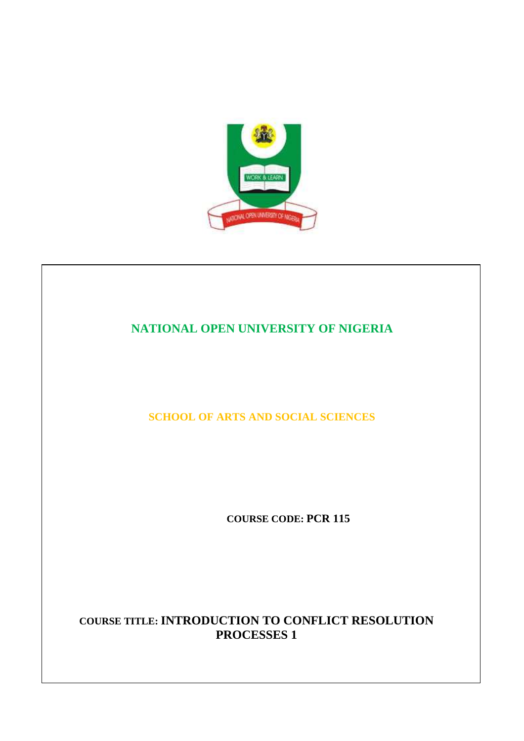

# **NATIONAL OPEN UNIVERSITY OF NIGERIA SCHOOL OF ARTS AND SOCIAL SCIENCES COURSE CODE: PCR 115 COURSE TITLE: INTRODUCTION TO CONFLICT RESOLUTION PROCESSES 1**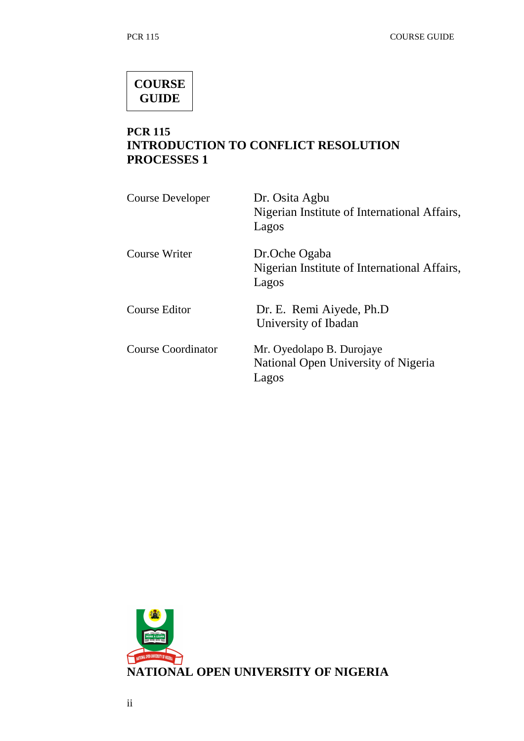# **COURSE GUIDE**

# **PCR 115 INTRODUCTION TO CONFLICT RESOLUTION PROCESSES 1**

| Course Developer          | Dr. Osita Agbu<br>Nigerian Institute of International Affairs,<br>Lagos   |
|---------------------------|---------------------------------------------------------------------------|
| <b>Course Writer</b>      | Dr.Oche Ogaba<br>Nigerian Institute of International Affairs,<br>Lagos    |
| <b>Course Editor</b>      | Dr. E. Remi Aiyede, Ph.D.<br>University of Ibadan                         |
| <b>Course Coordinator</b> | Mr. Oyedolapo B. Durojaye<br>National Open University of Nigeria<br>Lagos |

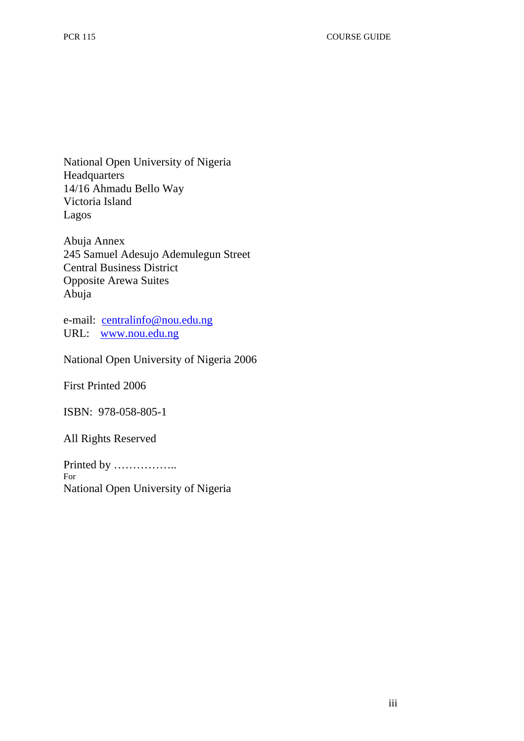National Open University of Nigeria **Headquarters** 14/16 Ahmadu Bello Way Victoria Island Lagos

Abuja Annex 245 Samuel Adesujo Ademulegun Street Central Business District Opposite Arewa Suites Abuja

e-mail: centralinfo@nou.edu.ng URL: www.nou.edu.ng

National Open University of Nigeria 2006

First Printed 2006

ISBN: 978-058-805-1

All Rights Reserved

Printed by …………….. For National Open University of Nigeria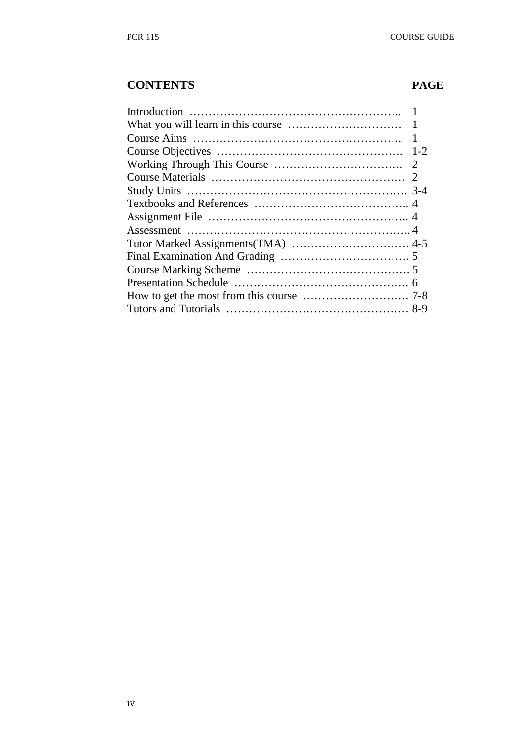# **CONTENTS PAGE**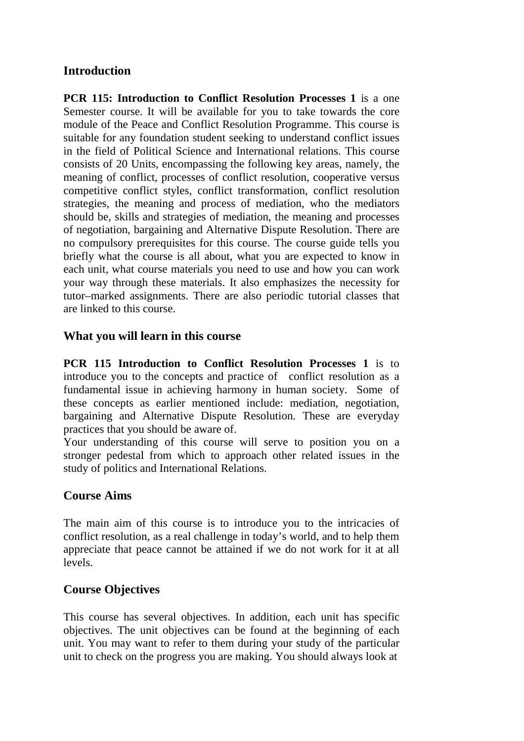# **Introduction**

**PCR 115: Introduction to Conflict Resolution Processes 1** is a one Semester course. It will be available for you to take towards the core module of the Peace and Conflict Resolution Programme. This course is suitable for any foundation student seeking to understand conflict issues in the field of Political Science and International relations. This course consists of 20 Units, encompassing the following key areas, namely, the meaning of conflict, processes of conflict resolution, cooperative versus competitive conflict styles, conflict transformation, conflict resolution strategies, the meaning and process of mediation, who the mediators should be, skills and strategies of mediation, the meaning and processes of negotiation, bargaining and Alternative Dispute Resolution. There are no compulsory prerequisites for this course. The course guide tells you briefly what the course is all about, what you are expected to know in each unit, what course materials you need to use and how you can work your way through these materials. It also emphasizes the necessity for tutor–marked assignments. There are also periodic tutorial classes that are linked to this course.

#### **What you will learn in this course**

**PCR 115 Introduction to Conflict Resolution Processes 1** is to introduce you to the concepts and practice of conflict resolution as a fundamental issue in achieving harmony in human society. Some of these concepts as earlier mentioned include: mediation, negotiation, bargaining and Alternative Dispute Resolution. These are everyday practices that you should be aware of.

Your understanding of this course will serve to position you on a stronger pedestal from which to approach other related issues in the study of politics and International Relations.

#### **Course Aims**

The main aim of this course is to introduce you to the intricacies of conflict resolution, as a real challenge in today's world, and to help them appreciate that peace cannot be attained if we do not work for it at all levels.

#### **Course Objectives**

This course has several objectives. In addition, each unit has specific objectives. The unit objectives can be found at the beginning of each unit. You may want to refer to them during your study of the particular unit to check on the progress you are making. You should always look at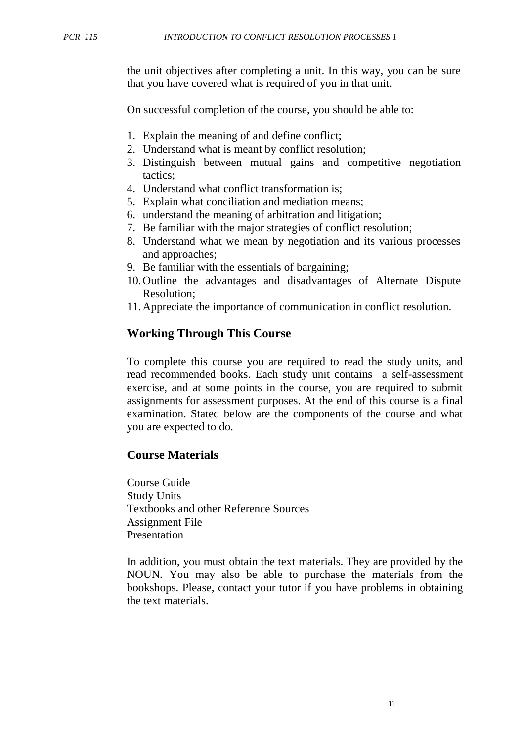the unit objectives after completing a unit. In this way, you can be sure that you have covered what is required of you in that unit.

On successful completion of the course, you should be able to:

- 1. Explain the meaning of and define conflict;
- 2. Understand what is meant by conflict resolution;
- 3. Distinguish between mutual gains and competitive negotiation tactics;
- 4. Understand what conflict transformation is;
- 5. Explain what conciliation and mediation means;
- 6. understand the meaning of arbitration and litigation;
- 7. Be familiar with the major strategies of conflict resolution;
- 8. Understand what we mean by negotiation and its various processes and approaches;
- 9. Be familiar with the essentials of bargaining;
- 10. Outline the advantages and disadvantages of Alternate Dispute Resolution;
- 11. Appreciate the importance of communication in conflict resolution.

# **Working Through This Course**

To complete this course you are required to read the study units, and read recommended books. Each study unit contains a self-assessment exercise, and at some points in the course, you are required to submit assignments for assessment purposes. At the end of this course is a final examination. Stated below are the components of the course and what you are expected to do.

# **Course Materials**

Course Guide Study Units Textbooks and other Reference Sources Assignment File Presentation

In addition, you must obtain the text materials. They are provided by the NOUN. You may also be able to purchase the materials from the bookshops. Please, contact your tutor if you have problems in obtaining the text materials.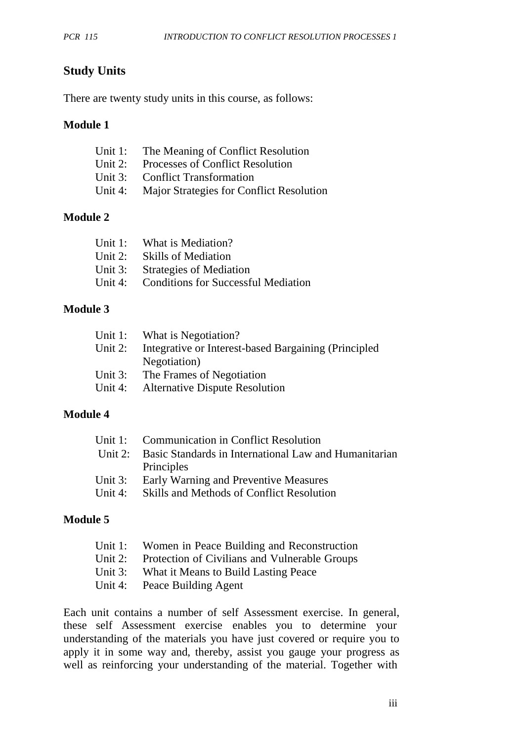# **Study Units**

There are twenty study units in this course, as follows:

#### **Module 1**

- Unit 1: The Meaning of Conflict Resolution
- Unit 2: Processes of Conflict Resolution
- Unit 3: Conflict Transformation
- Unit 4: Major Strategies for Conflict Resolution

#### **Module 2**

| Unit 1: What is Mediation?                  |
|---------------------------------------------|
| Unit 2: Skills of Mediation                 |
| Unit 3: Strategies of Mediation             |
| Unit 4: Conditions for Successful Mediation |

#### **Module 3**

|            | Unit 1: What is Negotiation?                          |
|------------|-------------------------------------------------------|
| Unit $2$ : | Integrative or Interest-based Bargaining (Principled) |
|            | Negotiation)                                          |
| Unit $3:$  | The Frames of Negotiation                             |
| Unit 4:    | <b>Alternative Dispute Resolution</b>                 |

# **Module 4**

| Unit 1: Communication in Conflict Resolution                  |
|---------------------------------------------------------------|
| Unit 2: Basic Standards in International Law and Humanitarian |
| <b>Principles</b>                                             |
| Unit 3: Early Warning and Preventive Measures                 |
| Unit 4: Skills and Methods of Conflict Resolution             |
|                                                               |

# **Module 5**

- Unit 1: Women in Peace Building and Reconstruction
- Unit 2: Protection of Civilians and Vulnerable Groups
- Unit 3: What it Means to Build Lasting Peace
- Unit 4: Peace Building Agent

Each unit contains a number of self Assessment exercise. In general, these self Assessment exercise enables you to determine your understanding of the materials you have just covered or require you to apply it in some way and, thereby, assist you gauge your progress as well as reinforcing your understanding of the material. Together with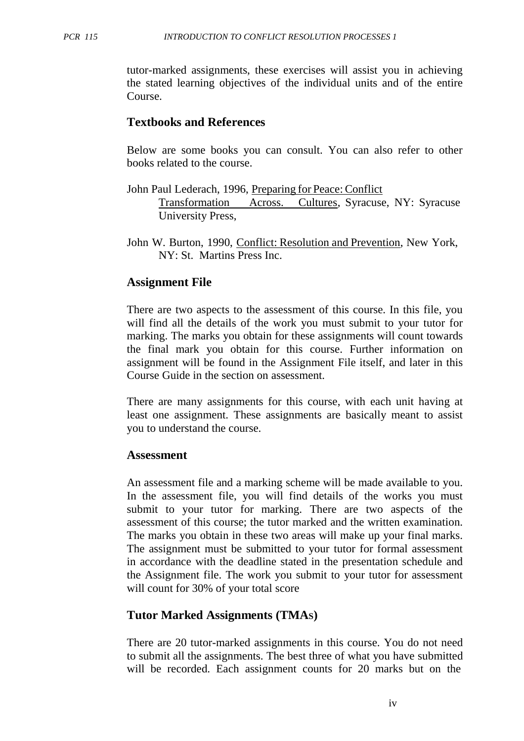tutor-marked assignments, these exercises will assist you in achieving the stated learning objectives of the individual units and of the entire Course.

# **Textbooks and References**

Below are some books you can consult. You can also refer to other books related to the course.

- John Paul Lederach, 1996, Preparing for Peace: Conflict Transformation Across. Cultures, Syracuse, NY: Syracuse University Press,
- John W. Burton, 1990, Conflict: Resolution and Prevention, New York, NY: St. Martins Press Inc.

# **Assignment File**

There are two aspects to the assessment of this course. In this file, you will find all the details of the work you must submit to your tutor for marking. The marks you obtain for these assignments will count towards the final mark you obtain for this course. Further information on assignment will be found in the Assignment File itself, and later in this Course Guide in the section on assessment.

There are many assignments for this course, with each unit having at least one assignment. These assignments are basically meant to assist you to understand the course.

#### **Assessment**

An assessment file and a marking scheme will be made available to you. In the assessment file, you will find details of the works you must submit to your tutor for marking. There are two aspects of the assessment of this course; the tutor marked and the written examination. The marks you obtain in these two areas will make up your final marks. The assignment must be submitted to your tutor for formal assessment in accordance with the deadline stated in the presentation schedule and the Assignment file. The work you submit to your tutor for assessment will count for 30% of your total score

# **Tutor Marked Assignments (TMAS)**

There are 20 tutor-marked assignments in this course. You do not need to submit all the assignments. The best three of what you have submitted will be recorded. Each assignment counts for 20 marks but on the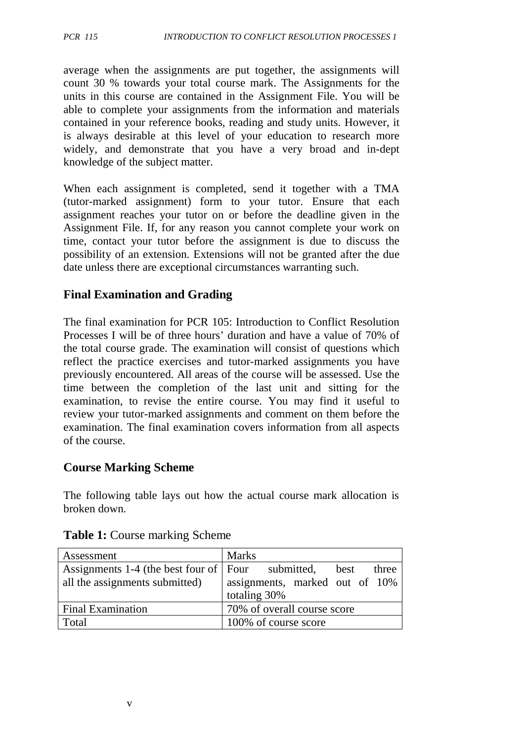average when the assignments are put together, the assignments will count 30 % towards your total course mark. The Assignments for the units in this course are contained in the Assignment File. You will be able to complete your assignments from the information and materials contained in your reference books, reading and study units. However, it is always desirable at this level of your education to research more widely, and demonstrate that you have a very broad and in-dept knowledge of the subject matter.

When each assignment is completed, send it together with a TMA (tutor-marked assignment) form to your tutor. Ensure that each assignment reaches your tutor on or before the deadline given in the Assignment File. If, for any reason you cannot complete your work on time, contact your tutor before the assignment is due to discuss the possibility of an extension. Extensions will not be granted after the due date unless there are exceptional circumstances warranting such.

#### **Final Examination and Grading**

The final examination for PCR 105: Introduction to Conflict Resolution Processes I will be of three hours' duration and have a value of 70% of the total course grade. The examination will consist of questions which reflect the practice exercises and tutor-marked assignments you have previously encountered. All areas of the course will be assessed. Use the time between the completion of the last unit and sitting for the examination, to revise the entire course. You may find it useful to review your tutor-marked assignments and comment on them before the examination. The final examination covers information from all aspects of the course.

#### **Course Marking Scheme**

The following table lays out how the actual course mark allocation is broken down.

| Assessment                                               | Marks                          |  |
|----------------------------------------------------------|--------------------------------|--|
| Assignments 1-4 (the best four of   Four submitted, best | three                          |  |
| all the assignments submitted)                           | assignments, marked out of 10% |  |
|                                                          | totaling 30%                   |  |
| Final Examination                                        | 70% of overall course score    |  |
| Total                                                    | 100% of course score           |  |

#### **Table 1:** Course marking Scheme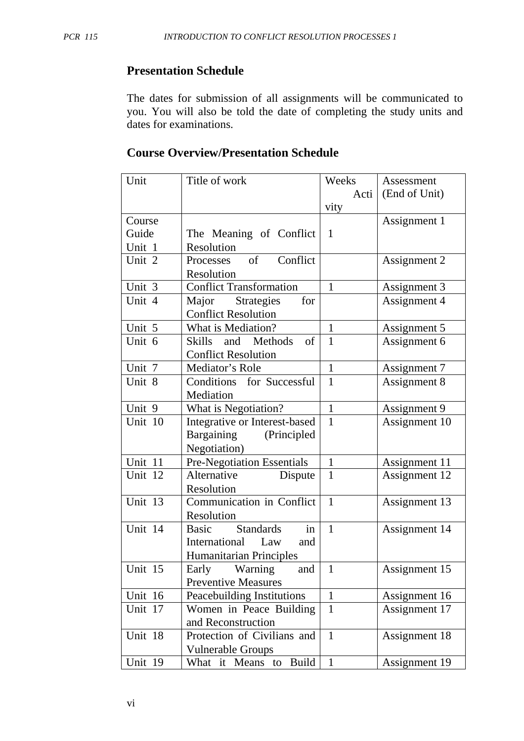# **Presentation Schedule**

The dates for submission of all assignments will be communicated to you. You will also be told the date of completing the study units and dates for examinations.

# **Course Overview/Presentation Schedule**

| Unit    | Title of work                     | Weeks          | Assessment    |
|---------|-----------------------------------|----------------|---------------|
|         |                                   | Acti           | (End of Unit) |
|         |                                   | vity           |               |
| Course  |                                   |                | Assignment 1  |
| Guide   | The Meaning of Conflict           | $\mathbf{1}$   |               |
| Unit 1  | Resolution                        |                |               |
| Unit 2  | Processes of Conflict             |                | Assignment 2  |
|         | Resolution                        |                |               |
| Unit 3  | <b>Conflict Transformation</b>    | $\mathbf{1}$   | Assignment 3  |
| Unit 4  | Major Strategies<br>for           |                | Assignment 4  |
|         | <b>Conflict Resolution</b>        |                |               |
| Unit 5  | What is Mediation?                | $\mathbf{1}$   | Assignment 5  |
| Unit 6  | of<br>and Methods<br>Skills       | $\mathbf{1}$   | Assignment 6  |
|         | <b>Conflict Resolution</b>        |                |               |
| Unit 7  | Mediator's Role                   | $\mathbf{1}$   | Assignment 7  |
| Unit 8  | Conditions for Successful         | $\mathbf{1}$   | Assignment 8  |
|         | Mediation                         |                |               |
| Unit 9  | What is Negotiation?              | $\mathbf{1}$   | Assignment 9  |
| Unit 10 | Integrative or Interest-based     | $\mathbf{1}$   | Assignment 10 |
|         | Bargaining (Principled            |                |               |
|         | Negotiation)                      |                |               |
| Unit 11 | <b>Pre-Negotiation Essentials</b> | $\mathbf{1}$   | Assignment 11 |
| Unit 12 | Dispute<br>Alternative            | $\mathbf{1}$   | Assignment 12 |
|         | Resolution                        |                |               |
| Unit 13 | Communication in Conflict         | $\mathbf{1}$   | Assignment 13 |
|         | Resolution                        |                |               |
| Unit 14 | in<br>Basic Standards             | $\mathbf{1}$   | Assignment 14 |
|         | International Law<br>and          |                |               |
|         | <b>Humanitarian Principles</b>    |                |               |
| Unit 15 | and<br>Early Warning              | $\mathbf{1}$   | Assignment 15 |
|         | <b>Preventive Measures</b>        |                |               |
| Unit 16 | Peacebuilding Institutions        | $\overline{1}$ | Assignment 16 |
| Unit 17 | Women in Peace Building           | $\mathbf{1}$   | Assignment 17 |
|         | and Reconstruction                |                |               |
| Unit 18 | Protection of Civilians and       | $\mathbf{1}$   | Assignment 18 |
|         | <b>Vulnerable Groups</b>          |                |               |
| Unit 19 | <b>Build</b><br>What it Means to  | $\mathbf{1}$   | Assignment 19 |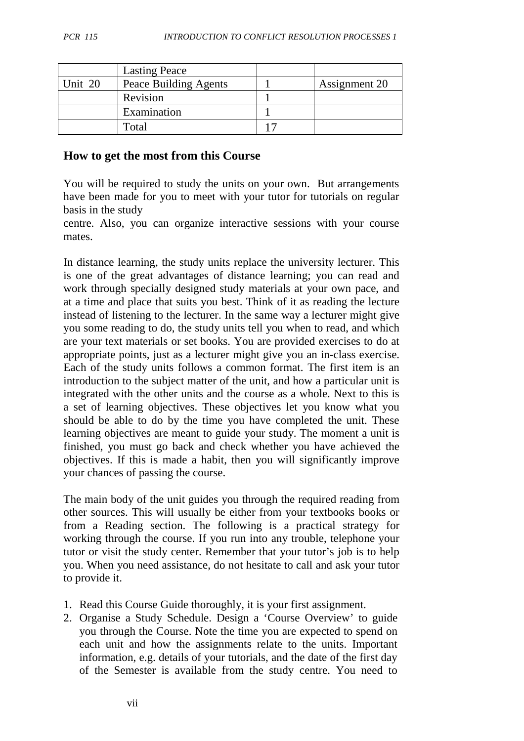|         | <b>Lasting Peace</b>  |               |
|---------|-----------------------|---------------|
| Unit 20 | Peace Building Agents | Assignment 20 |
|         | Revision              |               |
|         | Examination           |               |
|         | Total                 |               |

#### **How to get the most from this Course**

You will be required to study the units on your own. But arrangements have been made for you to meet with your tutor for tutorials on regular basis in the study

centre. Also, you can organize interactive sessions with your course mates.

In distance learning, the study units replace the university lecturer. This is one of the great advantages of distance learning; you can read and work through specially designed study materials at your own pace, and at a time and place that suits you best. Think of it as reading the lecture instead of listening to the lecturer. In the same way a lecturer might give you some reading to do, the study units tell you when to read, and which are your text materials or set books. You are provided exercises to do at appropriate points, just as a lecturer might give you an in-class exercise. Each of the study units follows a common format. The first item is an introduction to the subject matter of the unit, and how a particular unit is integrated with the other units and the course as a whole. Next to this is a set of learning objectives. These objectives let you know what you should be able to do by the time you have completed the unit. These learning objectives are meant to guide your study. The moment a unit is finished, you must go back and check whether you have achieved the objectives. If this is made a habit, then you will significantly improve your chances of passing the course.

The main body of the unit guides you through the required reading from other sources. This will usually be either from your textbooks books or from a Reading section. The following is a practical strategy for working through the course. If you run into any trouble, telephone your tutor or visit the study center. Remember that your tutor's job is to help you. When you need assistance, do not hesitate to call and ask your tutor to provide it.

- 1. Read this Course Guide thoroughly, it is your first assignment.
- 2. Organise a Study Schedule. Design a 'Course Overview' to guide you through the Course. Note the time you are expected to spend on each unit and how the assignments relate to the units. Important information, e.g. details of your tutorials, and the date of the first day of the Semester is available from the study centre. You need to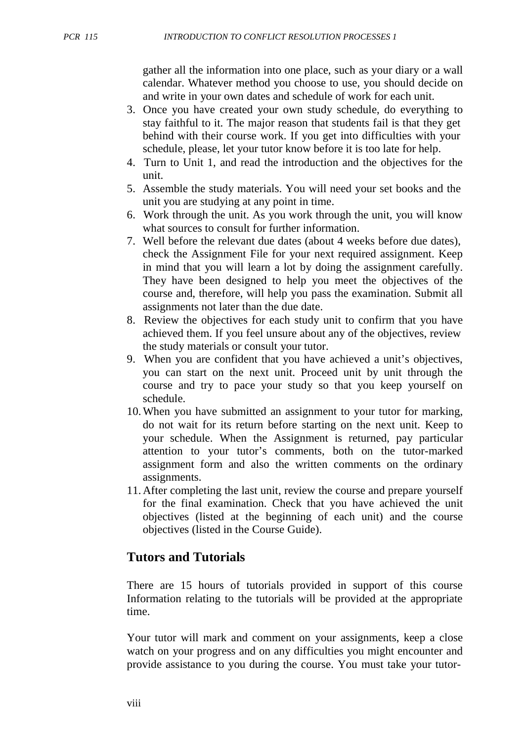gather all the information into one place, such as your diary or a wall calendar. Whatever method you choose to use, you should decide on and write in your own dates and schedule of work for each unit.

- 3. Once you have created your own study schedule, do everything to stay faithful to it. The major reason that students fail is that they get behind with their course work. If you get into difficulties with your schedule, please, let your tutor know before it is too late for help.
- 4. Turn to Unit 1, and read the introduction and the objectives for the unit.
- 5. Assemble the study materials. You will need your set books and the unit you are studying at any point in time.
- 6. Work through the unit. As you work through the unit, you will know what sources to consult for further information.
- 7. Well before the relevant due dates (about 4 weeks before due dates), check the Assignment File for your next required assignment. Keep in mind that you will learn a lot by doing the assignment carefully. They have been designed to help you meet the objectives of the course and, therefore, will help you pass the examination. Submit all assignments not later than the due date.
- 8. Review the objectives for each study unit to confirm that you have achieved them. If you feel unsure about any of the objectives, review the study materials or consult your tutor.
- 9. When you are confident that you have achieved a unit's objectives, you can start on the next unit. Proceed unit by unit through the course and try to pace your study so that you keep yourself on schedule.
- 10. When you have submitted an assignment to your tutor for marking, do not wait for its return before starting on the next unit. Keep to your schedule. When the Assignment is returned, pay particular attention to your tutor's comments, both on the tutor-marked assignment form and also the written comments on the ordinary assignments.
- 11. After completing the last unit, review the course and prepare yourself for the final examination. Check that you have achieved the unit objectives (listed at the beginning of each unit) and the course objectives (listed in the Course Guide).

# **Tutors and Tutorials**

There are 15 hours of tutorials provided in support of this course Information relating to the tutorials will be provided at the appropriate time.

Your tutor will mark and comment on your assignments, keep a close watch on your progress and on any difficulties you might encounter and provide assistance to you during the course. You must take your tutor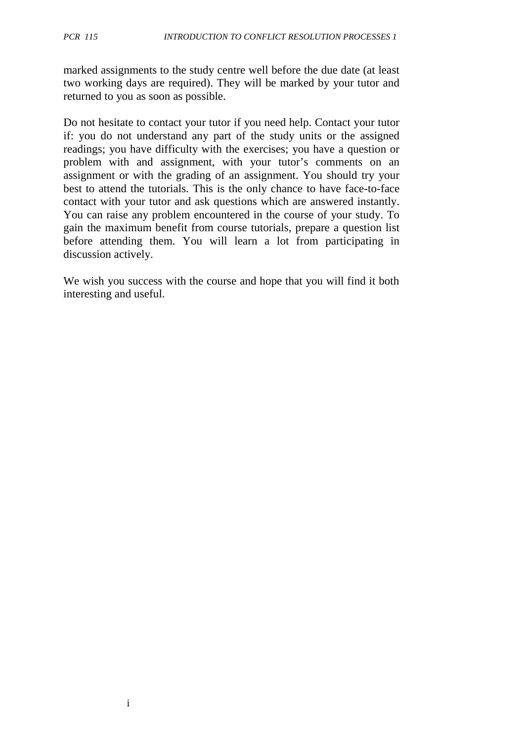marked assignments to the study centre well before the due date (at least two working days are required). They will be marked by your tutor and returned to you as soon as possible.

Do not hesitate to contact your tutor if you need help. Contact your tutor if: you do not understand any part of the study units or the assigned readings; you have difficulty with the exercises; you have a question or problem with and assignment, with your tutor's comments on an assignment or with the grading of an assignment. You should try your best to attend the tutorials. This is the only chance to have face-to-face contact with your tutor and ask questions which are answered instantly. You can raise any problem encountered in the course of your study. To gain the maximum benefit from course tutorials, prepare a question list before attending them. You will learn a lot from participating in discussion actively.

We wish you success with the course and hope that you will find it both interesting and useful.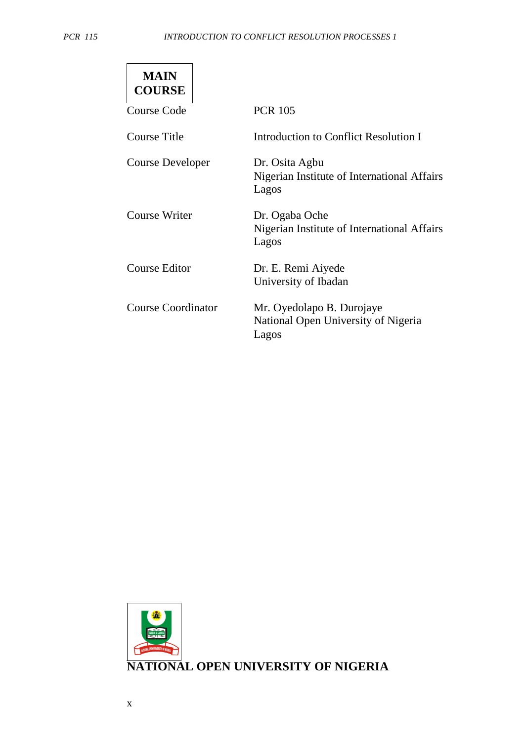| <b>MAIN</b><br><b>COURSE</b> |                                                                           |
|------------------------------|---------------------------------------------------------------------------|
| Course Code                  | <b>PCR 105</b>                                                            |
| <b>Course Title</b>          | Introduction to Conflict Resolution I                                     |
| <b>Course Developer</b>      | Dr. Osita Agbu<br>Nigerian Institute of International Affairs<br>Lagos    |
| Course Writer                | Dr. Ogaba Oche<br>Nigerian Institute of International Affairs<br>Lagos    |
| <b>Course Editor</b>         | Dr. E. Remi Aiyede<br>University of Ibadan                                |
| <b>Course Coordinator</b>    | Mr. Oyedolapo B. Durojaye<br>National Open University of Nigeria<br>Lagos |

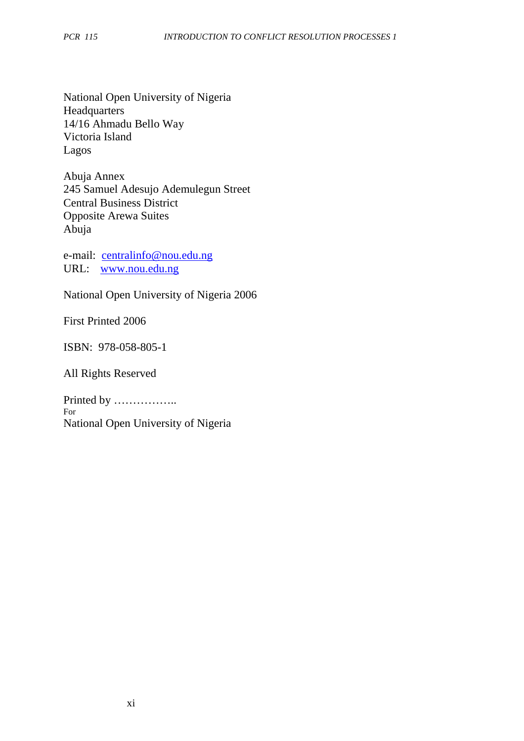National Open University of Nigeria **Headquarters** 14/16 Ahmadu Bello Way Victoria Island Lagos

Abuja Annex 245 Samuel Adesujo Ademulegun Street Central Business District Opposite Arewa Suites Abuja

e-mail: centralinfo@nou.edu.ng URL: www.nou.edu.ng

National Open University of Nigeria 2006

First Printed 2006

ISBN: 978-058-805-1

All Rights Reserved

Printed by …………….. For National Open University of Nigeria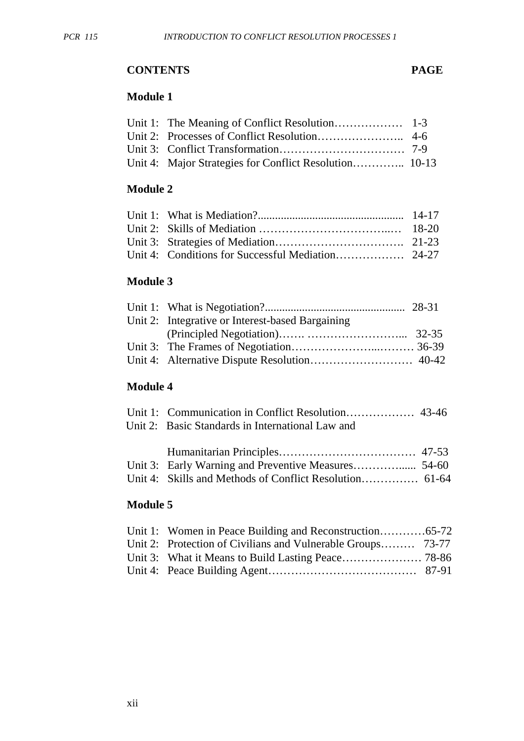#### **CONTENTS PAGE**

# **Module 1**

# **Module 2**

# **Module 3**

| Unit 2: Integrative or Interest-based Bargaining |  |
|--------------------------------------------------|--|
|                                                  |  |
|                                                  |  |
|                                                  |  |

# **Module 4**

| , , , , <i>,</i> |                                                  |  |
|------------------|--------------------------------------------------|--|
|                  |                                                  |  |
|                  |                                                  |  |
|                  |                                                  |  |
|                  | Unit 2: Basic Standards in International Law and |  |
|                  |                                                  |  |

# **Module 5**

| Unit 2: Protection of Civilians and Vulnerable Groups 73-77 |  |
|-------------------------------------------------------------|--|
|                                                             |  |
|                                                             |  |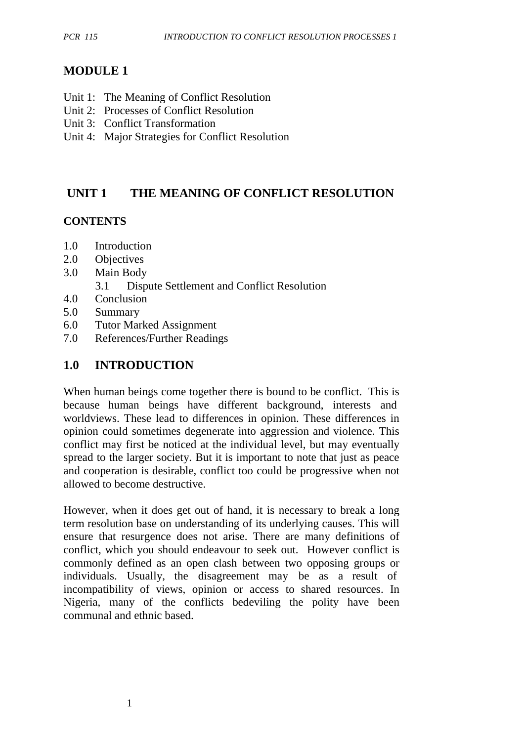# **MODULE 1**

- Unit 1: The Meaning of Conflict Resolution
- Unit 2: Processes of Conflict Resolution
- Unit 3: Conflict Transformation
- Unit 4: Major Strategies for Conflict Resolution

# **UNIT 1 THE MEANING OF CONFLICT RESOLUTION**

#### **CONTENTS**

- 1.0 Introduction
- 2.0 Objectives
- 3.0 Main Body
	- 3.1 Dispute Settlement and Conflict Resolution
- 4.0 Conclusion
- 5.0 Summary
- 6.0 Tutor Marked Assignment
- 7.0 References/Further Readings

# **1.0 INTRODUCTION**

When human beings come together there is bound to be conflict. This is because human beings have different background, interests and worldviews. These lead to differences in opinion. These differences in opinion could sometimes degenerate into aggression and violence. This conflict may first be noticed at the individual level, but may eventually spread to the larger society. But it is important to note that just as peace and cooperation is desirable, conflict too could be progressive when not allowed to become destructive.

However, when it does get out of hand, it is necessary to break a long term resolution base on understanding of its underlying causes. This will ensure that resurgence does not arise. There are many definitions of conflict, which you should endeavour to seek out. However conflict is commonly defined as an open clash between two opposing groups or individuals. Usually, the disagreement may be as a result of incompatibility of views, opinion or access to shared resources. In Nigeria, many of the conflicts bedeviling the polity have been communal and ethnic based.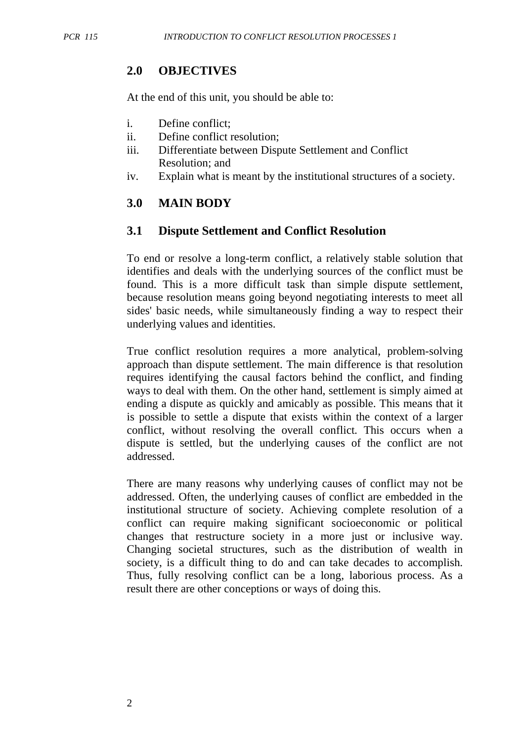# **2.0 OBJECTIVES**

At the end of this unit, you should be able to:

- i. Define conflict;
- ii. Define conflict resolution;
- iii. Differentiate between Dispute Settlement and Conflict Resolution; and
- iv. Explain what is meant by the institutional structures of a society.

# **3.0 MAIN BODY**

# **3.1 Dispute Settlement and Conflict Resolution**

To end or resolve a long-term conflict, a relatively stable solution that identifies and deals with the underlying sources of the conflict must be found. This is a more difficult task than simple dispute settlement, because resolution means going beyond negotiating interests to meet all sides' basic needs, while simultaneously finding a way to respect their underlying values and identities.

True conflict resolution requires a more analytical, problem-solving approach than dispute settlement. The main difference is that resolution requires identifying the causal factors behind the conflict, and finding ways to deal with them. On the other hand, settlement is simply aimed at ending a dispute as quickly and amicably as possible. This means that it is possible to settle a dispute that exists within the context of a larger conflict, without resolving the overall conflict. This occurs when a dispute is settled, but the underlying causes of the conflict are not addressed.

There are many reasons why underlying causes of conflict may not be addressed. Often, the underlying causes of conflict are embedded in the institutional structure of society. Achieving complete resolution of a conflict can require making significant socioeconomic or political changes that restructure society in a more just or inclusive way. Changing societal structures, such as the distribution of wealth in society, is a difficult thing to do and can take decades to accomplish. Thus, fully resolving conflict can be a long, laborious process. As a result there are other conceptions or ways of doing this.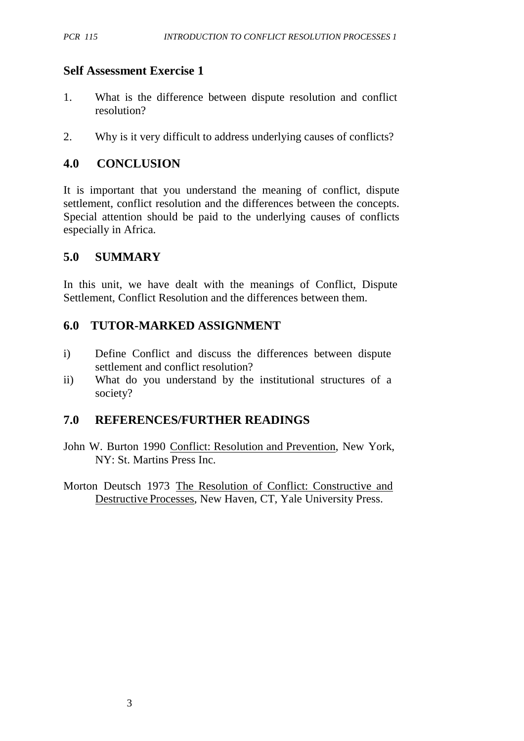#### **Self Assessment Exercise 1**

- 1. What is the difference between dispute resolution and conflict resolution?
- 2. Why is it very difficult to address underlying causes of conflicts?

# **4.0 CONCLUSION**

It is important that you understand the meaning of conflict, dispute settlement, conflict resolution and the differences between the concepts. Special attention should be paid to the underlying causes of conflicts especially in Africa.

# **5.0 SUMMARY**

In this unit, we have dealt with the meanings of Conflict, Dispute Settlement, Conflict Resolution and the differences between them.

# **6.0 TUTOR-MARKED ASSIGNMENT**

- i) Define Conflict and discuss the differences between dispute settlement and conflict resolution?
- ii) What do you understand by the institutional structures of a society?

# **7.0 REFERENCES/FURTHER READINGS**

- John W. Burton 1990 Conflict: Resolution and Prevention, New York, NY: St. Martins Press Inc.
- Morton Deutsch 1973 The Resolution of Conflict: Constructive and Destructive Processes, New Haven, CT, Yale University Press.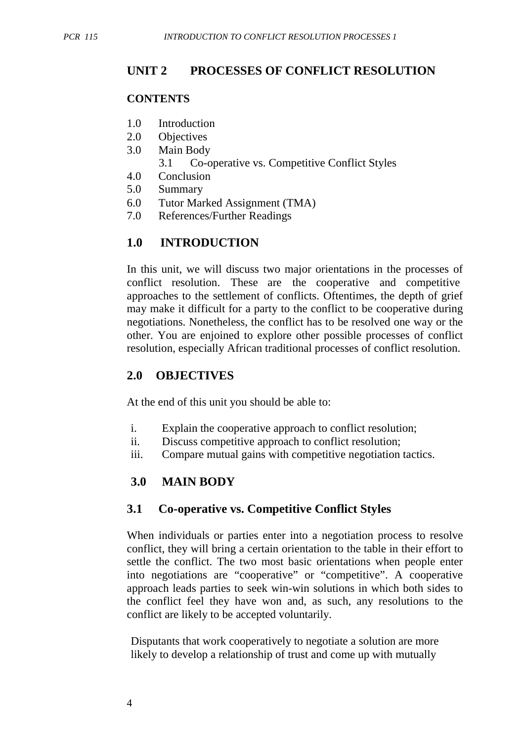# **UNIT 2 PROCESSES OF CONFLICT RESOLUTION**

# **CONTENTS**

- 1.0 Introduction
- 2.0 Objectives
- 3.0 Main Body
	- 3.1 Co-operative vs. Competitive Conflict Styles
- 4.0 Conclusion
- 5.0 Summary
- 6.0 Tutor Marked Assignment (TMA)
- 7.0 References/Further Readings

# **1.0 INTRODUCTION**

In this unit, we will discuss two major orientations in the processes of conflict resolution. These are the cooperative and competitive approaches to the settlement of conflicts. Oftentimes, the depth of grief may make it difficult for a party to the conflict to be cooperative during negotiations. Nonetheless, the conflict has to be resolved one way or the other. You are enjoined to explore other possible processes of conflict resolution, especially African traditional processes of conflict resolution.

# **2.0 OBJECTIVES**

At the end of this unit you should be able to:

- i. Explain the cooperative approach to conflict resolution;
- ii. Discuss competitive approach to conflict resolution;
- iii. Compare mutual gains with competitive negotiation tactics.

# **3.0 MAIN BODY**

# **3.1 Co-operative vs. Competitive Conflict Styles**

When individuals or parties enter into a negotiation process to resolve conflict, they will bring a certain orientation to the table in their effort to settle the conflict. The two most basic orientations when people enter into negotiations are "cooperative" or "competitive". A cooperative approach leads parties to seek win-win solutions in which both sides to the conflict feel they have won and, as such, any resolutions to the conflict are likely to be accepted voluntarily.

Disputants that work cooperatively to negotiate a solution are more likely to develop a relationship of trust and come up with mutually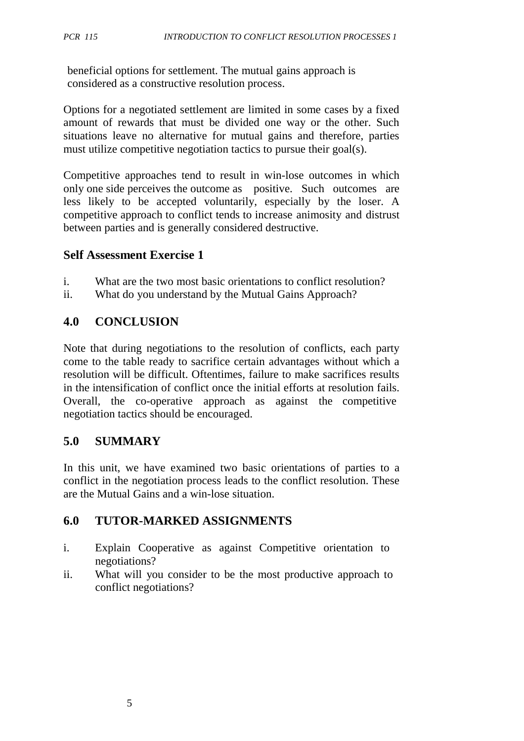beneficial options for settlement. The mutual gains approach is considered as a constructive resolution process.

Options for a negotiated settlement are limited in some cases by a fixed amount of rewards that must be divided one way or the other. Such situations leave no alternative for mutual gains and therefore, parties must utilize competitive negotiation tactics to pursue their goal(s).

Competitive approaches tend to result in win-lose outcomes in which only one side perceives the outcome as positive. Such outcomes are less likely to be accepted voluntarily, especially by the loser. A competitive approach to conflict tends to increase animosity and distrust between parties and is generally considered destructive.

#### **Self Assessment Exercise 1**

- i. What are the two most basic orientations to conflict resolution?
- ii. What do you understand by the Mutual Gains Approach?

# **4.0 CONCLUSION**

Note that during negotiations to the resolution of conflicts, each party come to the table ready to sacrifice certain advantages without which a resolution will be difficult. Oftentimes, failure to make sacrifices results in the intensification of conflict once the initial efforts at resolution fails. Overall, the co-operative approach as against the competitive negotiation tactics should be encouraged.

# **5.0 SUMMARY**

In this unit, we have examined two basic orientations of parties to a conflict in the negotiation process leads to the conflict resolution. These are the Mutual Gains and a win-lose situation.

# **6.0 TUTOR-MARKED ASSIGNMENTS**

- i. Explain Cooperative as against Competitive orientation to negotiations?
- ii. What will you consider to be the most productive approach to conflict negotiations?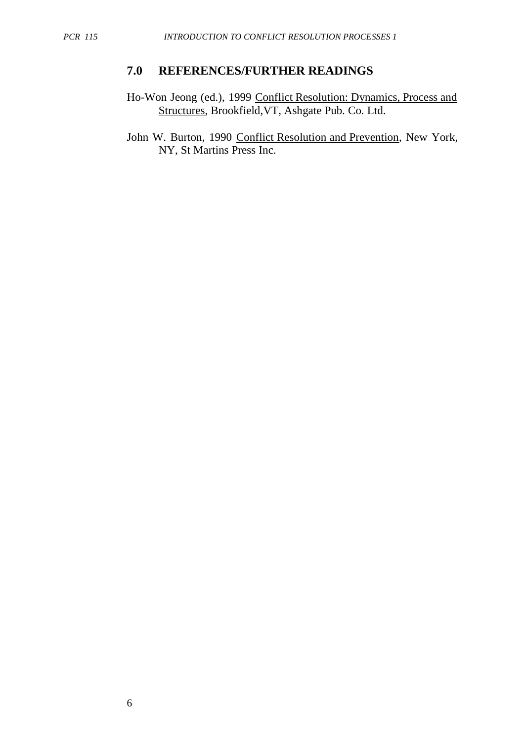#### **7.0 REFERENCES/FURTHER READINGS**

- Ho-Won Jeong (ed.), 1999 Conflict Resolution: Dynamics, Process and Structures, Brookfield,VT, Ashgate Pub. Co. Ltd.
- John W. Burton, 1990 Conflict Resolution and Prevention, New York, NY, St Martins Press Inc.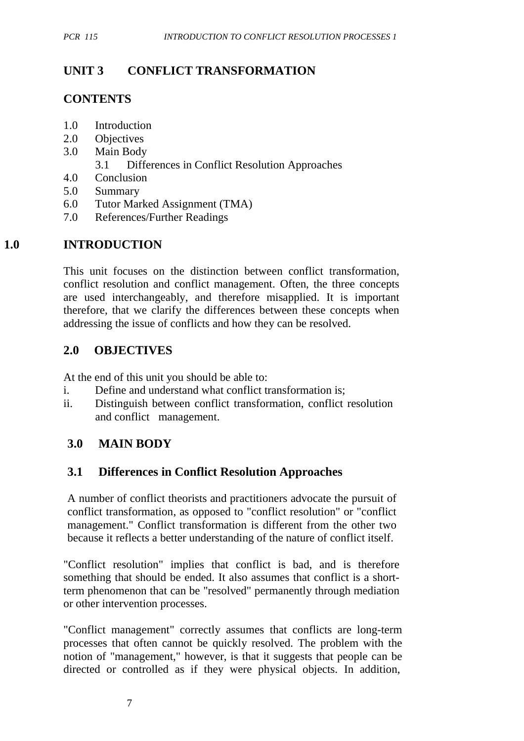# **UNIT 3 CONFLICT TRANSFORMATION**

# **CONTENTS**

- 1.0 Introduction
- 2.0 Objectives
- 3.0 Main Body
	- 3.1 Differences in Conflict Resolution Approaches
- 4.0 Conclusion
- 5.0 Summary
- 6.0 Tutor Marked Assignment (TMA)
- 7.0 References/Further Readings

# **1.0 INTRODUCTION**

This unit focuses on the distinction between conflict transformation, conflict resolution and conflict management. Often, the three concepts are used interchangeably, and therefore misapplied. It is important therefore, that we clarify the differences between these concepts when addressing the issue of conflicts and how they can be resolved.

# **2.0 OBJECTIVES**

At the end of this unit you should be able to:

- i. Define and understand what conflict transformation is;
- ii. Distinguish between conflict transformation, conflict resolution and conflict management.

# **3.0 MAIN BODY**

# **3.1 Differences in Conflict Resolution Approaches**

A number of conflict theorists and practitioners advocate the pursuit of conflict transformation, as opposed to "conflict resolution" or "conflict management." Conflict transformation is different from the other two because it reflects a better understanding of the nature of conflict itself.

"Conflict resolution" implies that conflict is bad, and is therefore something that should be ended. It also assumes that conflict is a shortterm phenomenon that can be "resolved" permanently through mediation or other intervention processes.

"Conflict management" correctly assumes that conflicts are long-term processes that often cannot be quickly resolved. The problem with the notion of "management," however, is that it suggests that people can be directed or controlled as if they were physical objects. In addition,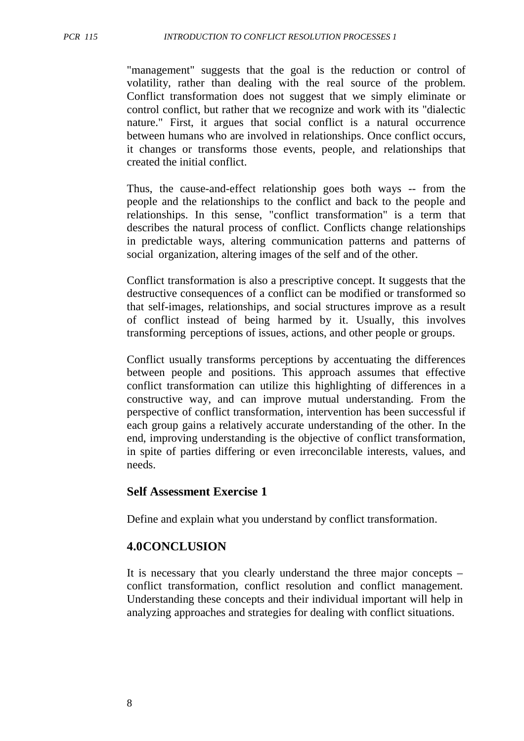"management" suggests that the goal is the reduction or control of volatility, rather than dealing with the real source of the problem. Conflict transformation does not suggest that we simply eliminate or control conflict, but rather that we recognize and work with its "dialectic nature." First, it argues that social conflict is a natural occurrence between humans who are involved in relationships. Once conflict occurs, it changes or transforms those events, people, and relationships that created the initial conflict.

Thus, the cause-and-effect relationship goes both ways -- from the people and the relationships to the conflict and back to the people and relationships. In this sense, "conflict transformation" is a term that describes the natural process of conflict. Conflicts change relationships in predictable ways, altering communication patterns and patterns of social organization, altering images of the self and of the other.

Conflict transformation is also a prescriptive concept. It suggests that the destructive consequences of a conflict can be modified or transformed so that self-images, relationships, and social structures improve as a result of conflict instead of being harmed by it. Usually, this involves transforming perceptions of issues, actions, and other people or groups.

Conflict usually transforms perceptions by accentuating the differences between people and positions. This approach assumes that effective conflict transformation can utilize this highlighting of differences in a constructive way, and can improve mutual understanding. From the perspective of conflict transformation, intervention has been successful if each group gains a relatively accurate understanding of the other. In the end, improving understanding is the objective of conflict transformation, in spite of parties differing or even irreconcilable interests, values, and needs.

# **Self Assessment Exercise 1**

Define and explain what you understand by conflict transformation.

# **4.0CONCLUSION**

It is necessary that you clearly understand the three major concepts – conflict transformation, conflict resolution and conflict management. Understanding these concepts and their individual important will help in analyzing approaches and strategies for dealing with conflict situations.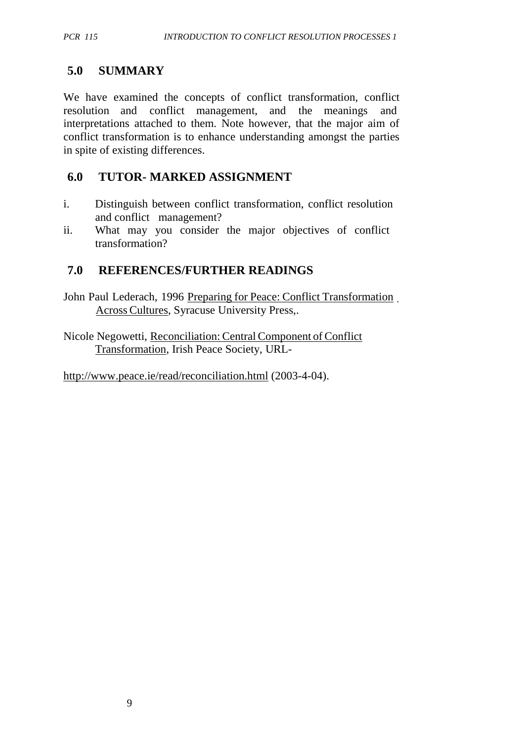# **5.0 SUMMARY**

We have examined the concepts of conflict transformation, conflict resolution and conflict management, and the meanings and interpretations attached to them. Note however, that the major aim of conflict transformation is to enhance understanding amongst the parties in spite of existing differences.

# **6.0 TUTOR- MARKED ASSIGNMENT**

- i. Distinguish between conflict transformation, conflict resolution and conflict management?
- ii. What may you consider the major objectives of conflict transformation?

# **7.0 REFERENCES/FURTHER READINGS**

- John Paul Lederach, 1996 Preparing for Peace: Conflict Transformation Across Cultures, Syracuse University Press,.
- Nicole Negowetti, Reconciliation: Central Component of Conflict Transformation, Irish Peace Society, URL-

http://www.peace.ie/read/reconciliation.html (2003-4-04).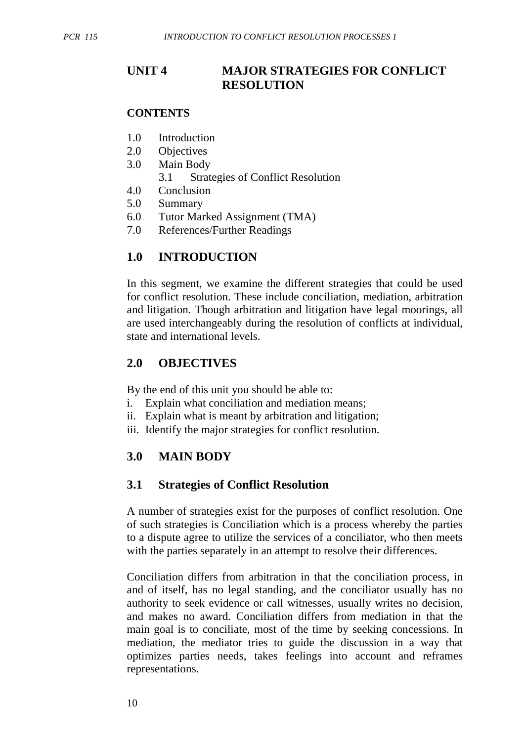# **UNIT 4 MAJOR STRATEGIES FOR CONFLICT RESOLUTION**

#### **CONTENTS**

- 1.0 Introduction
- 2.0 Objectives
- 3.0 Main Body
	- 3.1 Strategies of Conflict Resolution
- 4.0 Conclusion
- 5.0 Summary
- 6.0 Tutor Marked Assignment (TMA)
- 7.0 References/Further Readings

# **1.0 INTRODUCTION**

In this segment, we examine the different strategies that could be used for conflict resolution. These include conciliation, mediation, arbitration and litigation. Though arbitration and litigation have legal moorings, all are used interchangeably during the resolution of conflicts at individual, state and international levels.

# **2.0 OBJECTIVES**

By the end of this unit you should be able to:

- i. Explain what conciliation and mediation means;
- ii. Explain what is meant by arbitration and litigation;
- iii. Identify the major strategies for conflict resolution.

# **3.0 MAIN BODY**

#### **3.1 Strategies of Conflict Resolution**

A number of strategies exist for the purposes of conflict resolution. One of such strategies is Conciliation which is a process whereby the parties to a dispute agree to utilize the services of a conciliator, who then meets with the parties separately in an attempt to resolve their differences.

Conciliation differs from arbitration in that the conciliation process, in and of itself, has no legal standing, and the conciliator usually has no authority to seek evidence or call witnesses, usually writes no decision, and makes no award. Conciliation differs from mediation in that the main goal is to conciliate, most of the time by seeking concessions. In mediation, the mediator tries to guide the discussion in a way that optimizes parties needs, takes feelings into account and reframes representations.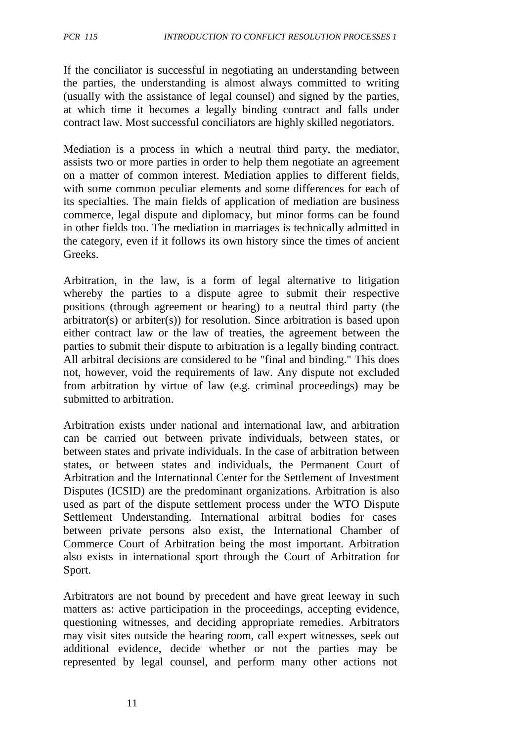If the conciliator is successful in negotiating an understanding between the parties, the understanding is almost always committed to writing (usually with the assistance of legal counsel) and signed by the parties, at which time it becomes a legally binding contract and falls under contract law. Most successful conciliators are highly skilled negotiators.

Mediation is a process in which a neutral third party, the mediator, assists two or more parties in order to help them negotiate an agreement on a matter of common interest. Mediation applies to different fields, with some common peculiar elements and some differences for each of its specialties. The main fields of application of mediation are business commerce, legal dispute and diplomacy, but minor forms can be found in other fields too. The mediation in marriages is technically admitted in the category, even if it follows its own history since the times of ancient Greeks.

Arbitration, in the law, is a form of legal alternative to litigation whereby the parties to a dispute agree to submit their respective positions (through agreement or hearing) to a neutral third party (the arbitrator(s) or arbiter(s)) for resolution. Since arbitration is based upon either contract law or the law of treaties, the agreement between the parties to submit their dispute to arbitration is a legally binding contract. All arbitral decisions are considered to be "final and binding." This does not, however, void the requirements of law. Any dispute not excluded from arbitration by virtue of law (e.g. criminal proceedings) may be submitted to arbitration.

Arbitration exists under national and international law, and arbitration can be carried out between private individuals, between states, or between states and private individuals. In the case of arbitration between states, or between states and individuals, the Permanent Court of Arbitration and the International Center for the Settlement of Investment Disputes (ICSID) are the predominant organizations. Arbitration is also used as part of the dispute settlement process under the WTO Dispute Settlement Understanding. International arbitral bodies for cases between private persons also exist, the International Chamber of Commerce Court of Arbitration being the most important. Arbitration also exists in international sport through the Court of Arbitration for Sport.

Arbitrators are not bound by precedent and have great leeway in such matters as: active participation in the proceedings, accepting evidence, questioning witnesses, and deciding appropriate remedies. Arbitrators may visit sites outside the hearing room, call expert witnesses, seek out additional evidence, decide whether or not the parties may be represented by legal counsel, and perform many other actions not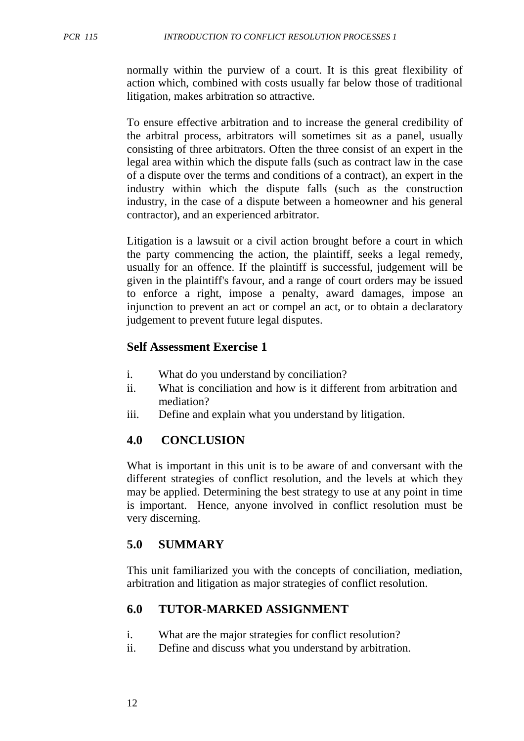normally within the purview of a court. It is this great flexibility of action which, combined with costs usually far below those of traditional litigation, makes arbitration so attractive.

To ensure effective arbitration and to increase the general credibility of the arbitral process, arbitrators will sometimes sit as a panel, usually consisting of three arbitrators. Often the three consist of an expert in the legal area within which the dispute falls (such as contract law in the case of a dispute over the terms and conditions of a contract), an expert in the industry within which the dispute falls (such as the construction industry, in the case of a dispute between a homeowner and his general contractor), and an experienced arbitrator.

Litigation is a lawsuit or a civil action brought before a court in which the party commencing the action, the plaintiff, seeks a legal remedy, usually for an offence. If the plaintiff is successful, judgement will be given in the plaintiff's favour, and a range of court orders may be issued to enforce a right, impose a penalty, award damages, impose an injunction to prevent an act or compel an act, or to obtain a declaratory judgement to prevent future legal disputes.

#### **Self Assessment Exercise 1**

- i. What do you understand by conciliation?
- ii. What is conciliation and how is it different from arbitration and mediation?
- iii. Define and explain what you understand by litigation.

# **4.0 CONCLUSION**

What is important in this unit is to be aware of and conversant with the different strategies of conflict resolution, and the levels at which they may be applied. Determining the best strategy to use at any point in time is important. Hence, anyone involved in conflict resolution must be very discerning.

#### **5.0 SUMMARY**

This unit familiarized you with the concepts of conciliation, mediation, arbitration and litigation as major strategies of conflict resolution.

# **6.0 TUTOR-MARKED ASSIGNMENT**

- i. What are the major strategies for conflict resolution?
- ii. Define and discuss what you understand by arbitration.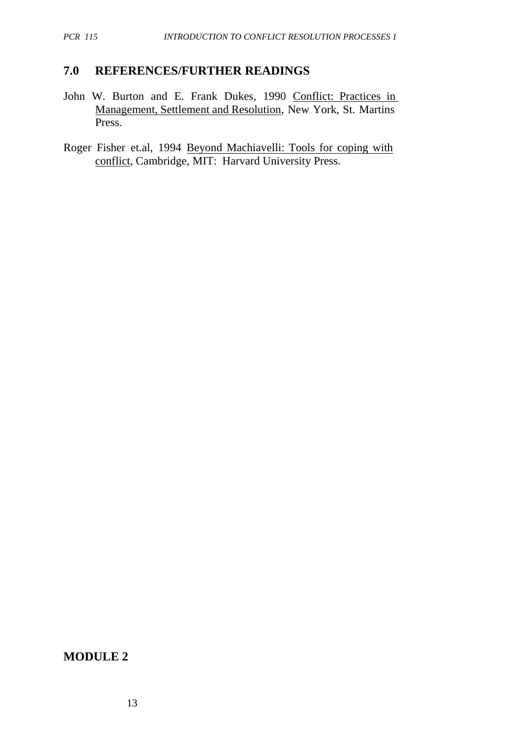#### **7.0 REFERENCES/FURTHER READINGS**

- John W. Burton and E. Frank Dukes, 1990 Conflict: Practices in Management, Settlement and Resolution, New York, St. Martins Press.
- Roger Fisher et.al, 1994 Beyond Machiavelli: Tools for coping with conflict, Cambridge, MIT: Harvard University Press.

# **MODULE 2**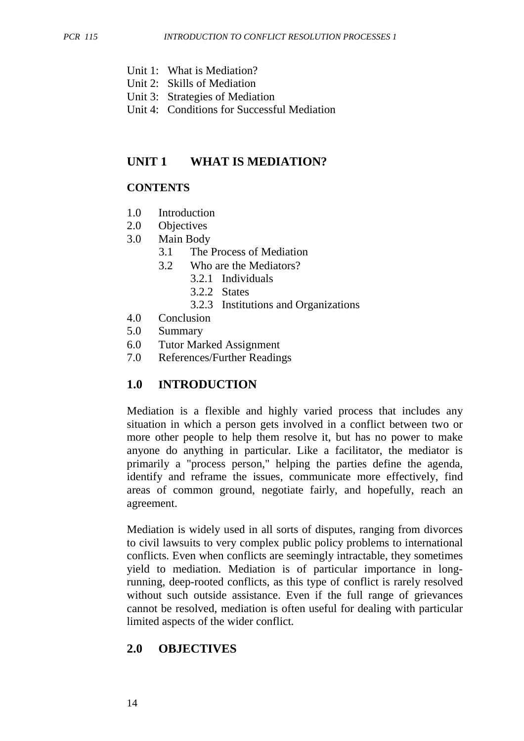- Unit 1: What is Mediation?
- Unit 2: Skills of Mediation
- Unit 3: Strategies of Mediation
- Unit 4: Conditions for Successful Mediation

# **UNIT 1 WHAT IS MEDIATION?**

#### **CONTENTS**

- 1.0 Introduction
- 2.0 Objectives
- 3.0 Main Body
	- 3.1 The Process of Mediation
	- 3.2 Who are the Mediators?
		- 3.2.1 Individuals
		- 3.2.2 States
		- 3.2.3 Institutions and Organizations
- 4.0 Conclusion
- 5.0 Summary
- 6.0 Tutor Marked Assignment
- 7.0 References/Further Readings

# **1.0 INTRODUCTION**

Mediation is a flexible and highly varied process that includes any situation in which a person gets involved in a conflict between two or more other people to help them resolve it, but has no power to make anyone do anything in particular. Like a facilitator, the mediator is primarily a "process person," helping the parties define the agenda, identify and reframe the issues, communicate more effectively, find areas of common ground, negotiate fairly, and hopefully, reach an agreement.

Mediation is widely used in all sorts of disputes, ranging from divorces to civil lawsuits to very complex public policy problems to international conflicts. Even when conflicts are seemingly intractable, they sometimes yield to mediation. Mediation is of particular importance in longrunning, deep-rooted conflicts, as this type of conflict is rarely resolved without such outside assistance. Even if the full range of grievances cannot be resolved, mediation is often useful for dealing with particular limited aspects of the wider conflict.

# **2.0 OBJECTIVES**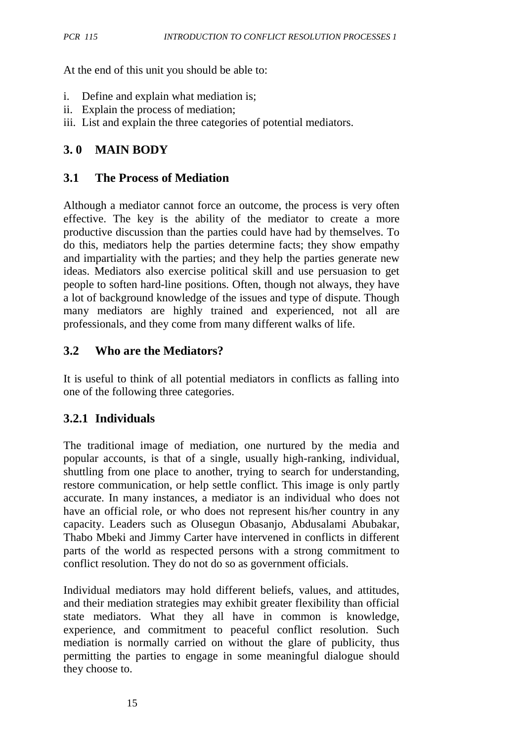At the end of this unit you should be able to:

- i. Define and explain what mediation is;
- ii. Explain the process of mediation;
- iii. List and explain the three categories of potential mediators.

# **3. 0 MAIN BODY**

# **3.1 The Process of Mediation**

Although a mediator cannot force an outcome, the process is very often effective. The key is the ability of the mediator to create a more productive discussion than the parties could have had by themselves. To do this, mediators help the parties determine facts; they show empathy and impartiality with the parties; and they help the parties generate new ideas. Mediators also exercise political skill and use persuasion to get people to soften hard-line positions. Often, though not always, they have a lot of background knowledge of the issues and type of dispute. Though many mediators are highly trained and experienced, not all are professionals, and they come from many different walks of life.

# **3.2 Who are the Mediators?**

It is useful to think of all potential mediators in conflicts as falling into one of the following three categories.

# **3.2.1 Individuals**

The traditional image of mediation, one nurtured by the media and popular accounts, is that of a single, usually high-ranking, individual, shuttling from one place to another, trying to search for understanding, restore communication, or help settle conflict. This image is only partly accurate. In many instances, a mediator is an individual who does not have an official role, or who does not represent his/her country in any capacity. Leaders such as Olusegun Obasanjo, Abdusalami Abubakar, Thabo Mbeki and Jimmy Carter have intervened in conflicts in different parts of the world as respected persons with a strong commitment to conflict resolution. They do not do so as government officials.

Individual mediators may hold different beliefs, values, and attitudes, and their mediation strategies may exhibit greater flexibility than official state mediators. What they all have in common is knowledge, experience, and commitment to peaceful conflict resolution. Such mediation is normally carried on without the glare of publicity, thus permitting the parties to engage in some meaningful dialogue should they choose to.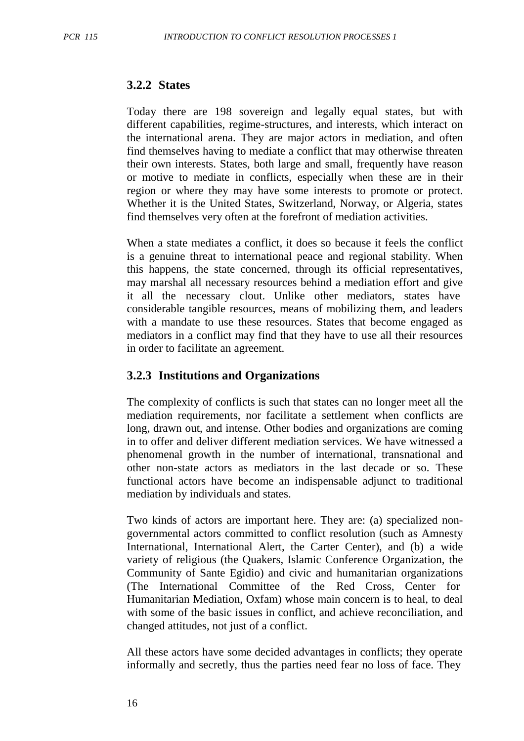#### **3.2.2 States**

Today there are 198 sovereign and legally equal states, but with different capabilities, regime-structures, and interests, which interact on the international arena. They are major actors in mediation, and often find themselves having to mediate a conflict that may otherwise threaten their own interests. States, both large and small, frequently have reason or motive to mediate in conflicts, especially when these are in their region or where they may have some interests to promote or protect. Whether it is the United States, Switzerland, Norway, or Algeria, states find themselves very often at the forefront of mediation activities.

When a state mediates a conflict, it does so because it feels the conflict is a genuine threat to international peace and regional stability. When this happens, the state concerned, through its official representatives, may marshal all necessary resources behind a mediation effort and give it all the necessary clout. Unlike other mediators, states have considerable tangible resources, means of mobilizing them, and leaders with a mandate to use these resources. States that become engaged as mediators in a conflict may find that they have to use all their resources in order to facilitate an agreement.

#### **3.2.3 Institutions and Organizations**

The complexity of conflicts is such that states can no longer meet all the mediation requirements, nor facilitate a settlement when conflicts are long, drawn out, and intense. Other bodies and organizations are coming in to offer and deliver different mediation services. We have witnessed a phenomenal growth in the number of international, transnational and other non-state actors as mediators in the last decade or so. These functional actors have become an indispensable adjunct to traditional mediation by individuals and states.

Two kinds of actors are important here. They are: (a) specialized nongovernmental actors committed to conflict resolution (such as Amnesty International, International Alert, the Carter Center), and (b) a wide variety of religious (the Quakers, Islamic Conference Organization, the Community of Sante Egidio) and civic and humanitarian organizations (The International Committee of the Red Cross, Center for Humanitarian Mediation, Oxfam) whose main concern is to heal, to deal with some of the basic issues in conflict, and achieve reconciliation, and changed attitudes, not just of a conflict.

All these actors have some decided advantages in conflicts; they operate informally and secretly, thus the parties need fear no loss of face. They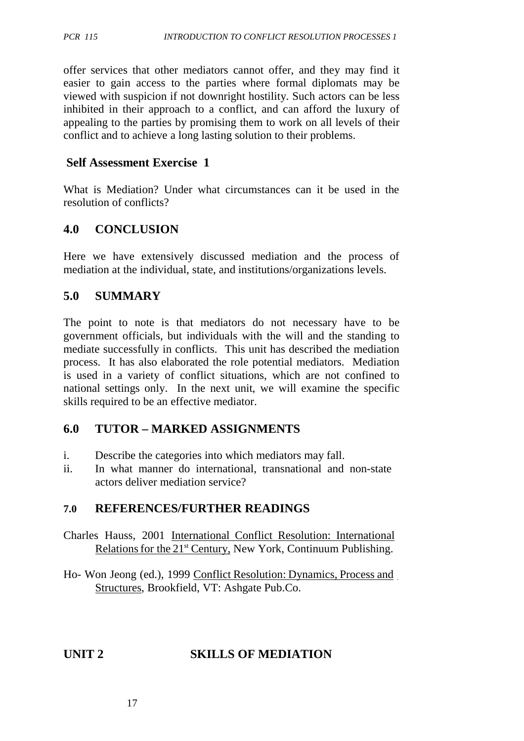offer services that other mediators cannot offer, and they may find it easier to gain access to the parties where formal diplomats may be viewed with suspicion if not downright hostility. Such actors can be less inhibited in their approach to a conflict, and can afford the luxury of appealing to the parties by promising them to work on all levels of their conflict and to achieve a long lasting solution to their problems.

# **Self Assessment Exercise 1**

What is Mediation? Under what circumstances can it be used in the resolution of conflicts?

# **4.0 CONCLUSION**

Here we have extensively discussed mediation and the process of mediation at the individual, state, and institutions/organizations levels.

# **5.0 SUMMARY**

The point to note is that mediators do not necessary have to be government officials, but individuals with the will and the standing to mediate successfully in conflicts. This unit has described the mediation process. It has also elaborated the role potential mediators. Mediation is used in a variety of conflict situations, which are not confined to national settings only. In the next unit, we will examine the specific skills required to be an effective mediator.

# **6.0 TUTOR – MARKED ASSIGNMENTS**

- i. Describe the categories into which mediators may fall.
- ii. In what manner do international, transnational and non-state actors deliver mediation service?

# **7.0 REFERENCES/FURTHER READINGS**

Charles Hauss, 2001 International Conflict Resolution: International Relations for the 21<sup>st</sup> Century, New York, Continuum Publishing.

Ho- Won Jeong (ed.), 1999 Conflict Resolution: Dynamics, Process and Structures, Brookfield, VT: Ashgate Pub.Co.

# **UNIT 2 SKILLS OF MEDIATION**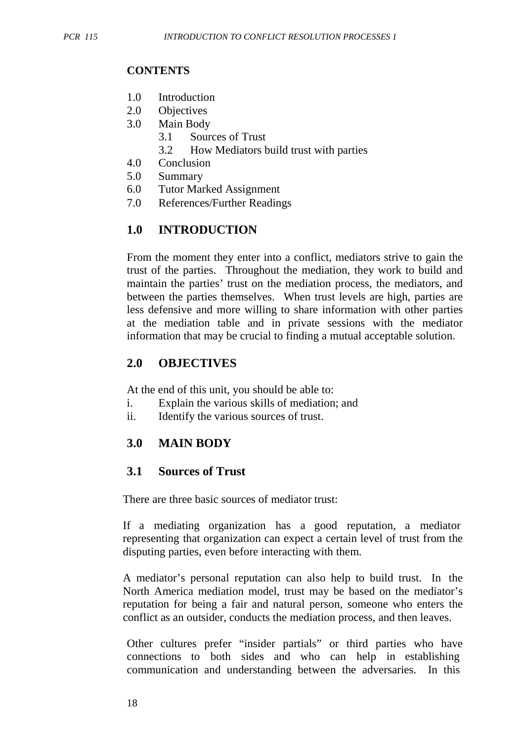#### **CONTENTS**

- 1.0 Introduction
- 2.0 Objectives
- 3.0 Main Body
	- 3.1 Sources of Trust
	- 3.2 How Mediators build trust with parties
- 4.0 Conclusion
- 5.0 Summary
- 6.0 Tutor Marked Assignment
- 7.0 References/Further Readings

# **1.0 INTRODUCTION**

From the moment they enter into a conflict, mediators strive to gain the trust of the parties. Throughout the mediation, they work to build and maintain the parties' trust on the mediation process, the mediators, and between the parties themselves. When trust levels are high, parties are less defensive and more willing to share information with other parties at the mediation table and in private sessions with the mediator information that may be crucial to finding a mutual acceptable solution.

# **2.0 OBJECTIVES**

At the end of this unit, you should be able to:

- i. Explain the various skills of mediation; and
- ii. Identify the various sources of trust.

# **3.0 MAIN BODY**

# **3.1 Sources of Trust**

There are three basic sources of mediator trust:

If a mediating organization has a good reputation, a mediator representing that organization can expect a certain level of trust from the disputing parties, even before interacting with them.

A mediator's personal reputation can also help to build trust. In the North America mediation model, trust may be based on the mediator's reputation for being a fair and natural person, someone who enters the conflict as an outsider, conducts the mediation process, and then leaves.

Other cultures prefer "insider partials" or third parties who have connections to both sides and who can help in establishing communication and understanding between the adversaries. In this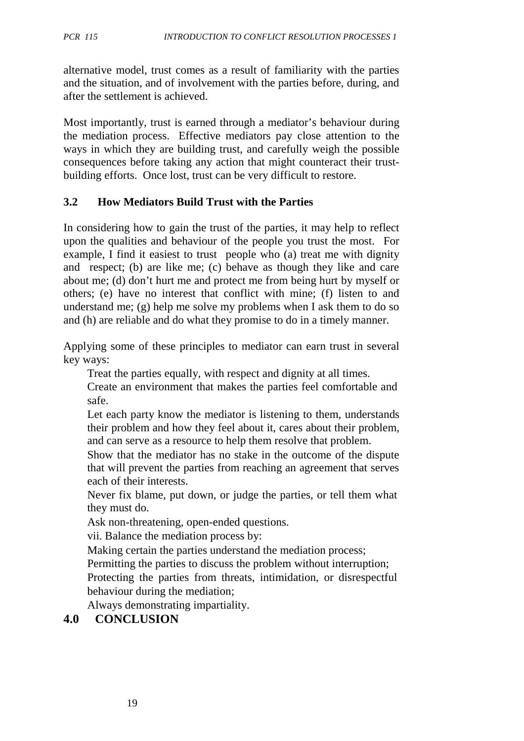alternative model, trust comes as a result of familiarity with the parties and the situation, and of involvement with the parties before, during, and after the settlement is achieved.

Most importantly, trust is earned through a mediator's behaviour during the mediation process. Effective mediators pay close attention to the ways in which they are building trust, and carefully weigh the possible consequences before taking any action that might counteract their trustbuilding efforts. Once lost, trust can be very difficult to restore.

#### **3.2 How Mediators Build Trust with the Parties**

In considering how to gain the trust of the parties, it may help to reflect upon the qualities and behaviour of the people you trust the most. For example, I find it easiest to trust people who (a) treat me with dignity and respect; (b) are like me; (c) behave as though they like and care about me; (d) don't hurt me and protect me from being hurt by myself or others; (e) have no interest that conflict with mine; (f) listen to and understand me;  $(g)$  help me solve my problems when I ask them to do so and (h) are reliable and do what they promise to do in a timely manner.

Applying some of these principles to mediator can earn trust in several key ways:

Treat the parties equally, with respect and dignity at all times.

Create an environment that makes the parties feel comfortable and safe.

Let each party know the mediator is listening to them, understands their problem and how they feel about it, cares about their problem, and can serve as a resource to help them resolve that problem.

Show that the mediator has no stake in the outcome of the dispute that will prevent the parties from reaching an agreement that serves each of their interests.

Never fix blame, put down, or judge the parties, or tell them what they must do.

Ask non-threatening, open-ended questions.

vii. Balance the mediation process by:

Making certain the parties understand the mediation process;

Permitting the parties to discuss the problem without interruption;

Protecting the parties from threats, intimidation, or disrespectful behaviour during the mediation;

Always demonstrating impartiality.

#### **4.0 CONCLUSION**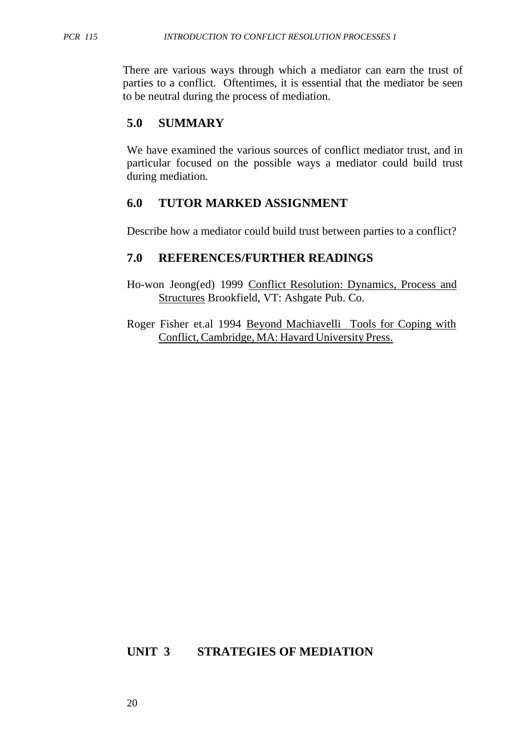There are various ways through which a mediator can earn the trust of parties to a conflict. Oftentimes, it is essential that the mediator be seen to be neutral during the process of mediation.

# **5.0 SUMMARY**

We have examined the various sources of conflict mediator trust, and in particular focused on the possible ways a mediator could build trust during mediation.

# **6.0 TUTOR MARKED ASSIGNMENT**

Describe how a mediator could build trust between parties to a conflict?

# **7.0 REFERENCES/FURTHER READINGS**

Ho-won Jeong(ed) 1999 Conflict Resolution: Dynamics, Process and Structures Brookfield, VT: Ashgate Pub. Co.

Roger Fisher et.al 1994 Beyond Machiavelli Tools for Coping with Conflict, Cambridge, MA: Havard University Press.

# **UNIT 3 STRATEGIES OF MEDIATION**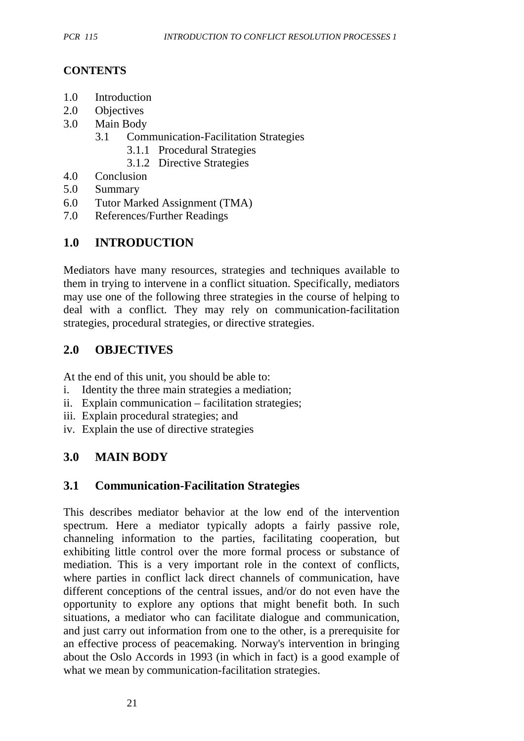#### **CONTENTS**

- 1.0 Introduction
- 2.0 Objectives
- 3.0 Main Body
	- 3.1 Communication-Facilitation Strategies
		- 3.1.1 Procedural Strategies
		- 3.1.2 Directive Strategies
- 4.0 Conclusion
- 5.0 Summary
- 6.0 Tutor Marked Assignment (TMA)
- 7.0 References/Further Readings

## **1.0 INTRODUCTION**

Mediators have many resources, strategies and techniques available to them in trying to intervene in a conflict situation. Specifically, mediators may use one of the following three strategies in the course of helping to deal with a conflict. They may rely on communication-facilitation strategies, procedural strategies, or directive strategies.

#### **2.0 OBJECTIVES**

At the end of this unit, you should be able to:

- i. Identity the three main strategies a mediation;
- ii. Explain communication facilitation strategies;
- iii. Explain procedural strategies; and
- iv. Explain the use of directive strategies

## **3.0 MAIN BODY**

#### **3.1 Communication-Facilitation Strategies**

This describes mediator behavior at the low end of the intervention spectrum. Here a mediator typically adopts a fairly passive role, channeling information to the parties, facilitating cooperation, but exhibiting little control over the more formal process or substance of mediation. This is a very important role in the context of conflicts, where parties in conflict lack direct channels of communication, have different conceptions of the central issues, and/or do not even have the opportunity to explore any options that might benefit both. In such situations, a mediator who can facilitate dialogue and communication, and just carry out information from one to the other, is a prerequisite for an effective process of peacemaking. Norway's intervention in bringing about the Oslo Accords in 1993 (in which in fact) is a good example of what we mean by communication-facilitation strategies.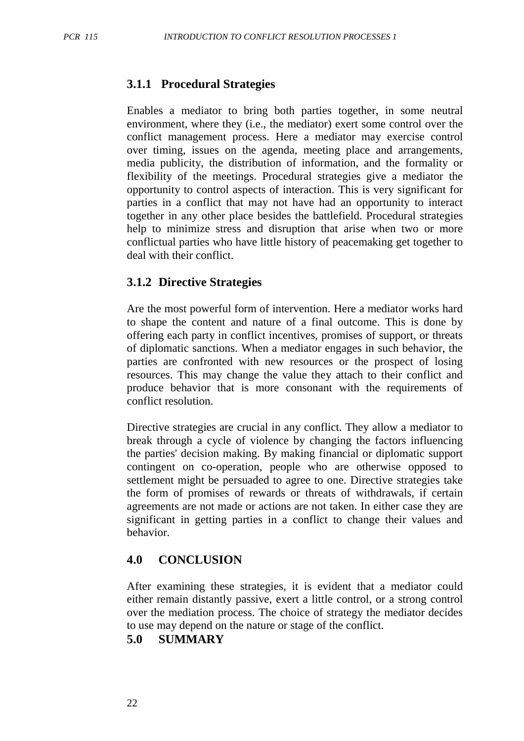#### **3.1.1 Procedural Strategies**

Enables a mediator to bring both parties together, in some neutral environment, where they (i.e., the mediator) exert some control over the conflict management process. Here a mediator may exercise control over timing, issues on the agenda, meeting place and arrangements, media publicity, the distribution of information, and the formality or flexibility of the meetings. Procedural strategies give a mediator the opportunity to control aspects of interaction. This is very significant for parties in a conflict that may not have had an opportunity to interact together in any other place besides the battlefield. Procedural strategies help to minimize stress and disruption that arise when two or more conflictual parties who have little history of peacemaking get together to deal with their conflict.

#### **3.1.2 Directive Strategies**

Are the most powerful form of intervention. Here a mediator works hard to shape the content and nature of a final outcome. This is done by offering each party in conflict incentives, promises of support, or threats of diplomatic sanctions. When a mediator engages in such behavior, the parties are confronted with new resources or the prospect of losing resources. This may change the value they attach to their conflict and produce behavior that is more consonant with the requirements of conflict resolution.

Directive strategies are crucial in any conflict. They allow a mediator to break through a cycle of violence by changing the factors influencing the parties' decision making. By making financial or diplomatic support contingent on co-operation, people who are otherwise opposed to settlement might be persuaded to agree to one. Directive strategies take the form of promises of rewards or threats of withdrawals, if certain agreements are not made or actions are not taken. In either case they are significant in getting parties in a conflict to change their values and behavior.

#### **4.0 CONCLUSION**

After examining these strategies, it is evident that a mediator could either remain distantly passive, exert a little control, or a strong control over the mediation process. The choice of strategy the mediator decides to use may depend on the nature or stage of the conflict.

#### **5.0 SUMMARY**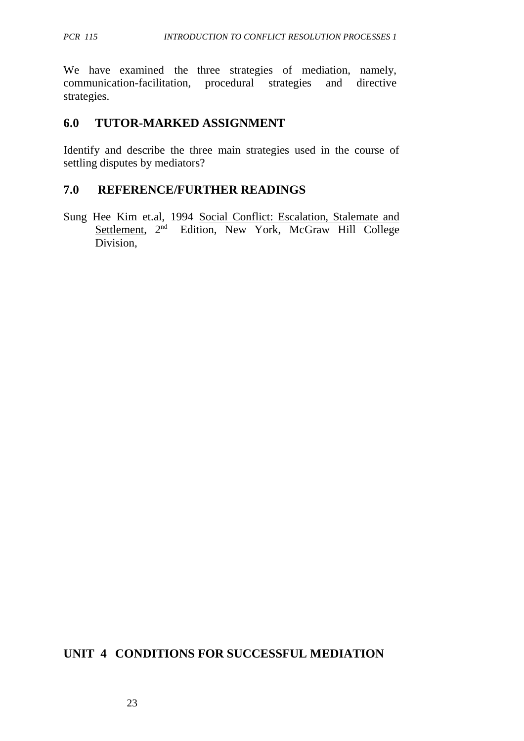We have examined the three strategies of mediation, namely, communication-facilitation, procedural strategies and directive strategies.

#### **6.0 TUTOR-MARKED ASSIGNMENT**

Identify and describe the three main strategies used in the course of settling disputes by mediators?

#### **7.0 REFERENCE/FURTHER READINGS**

Sung Hee Kim et.al, 1994 Social Conflict: Escalation, Stalemate and Settlement, 2<sup>nd</sup> Edition, New York, McGraw Hill College Division,

# **UNIT 4 CONDITIONS FOR SUCCESSFUL MEDIATION**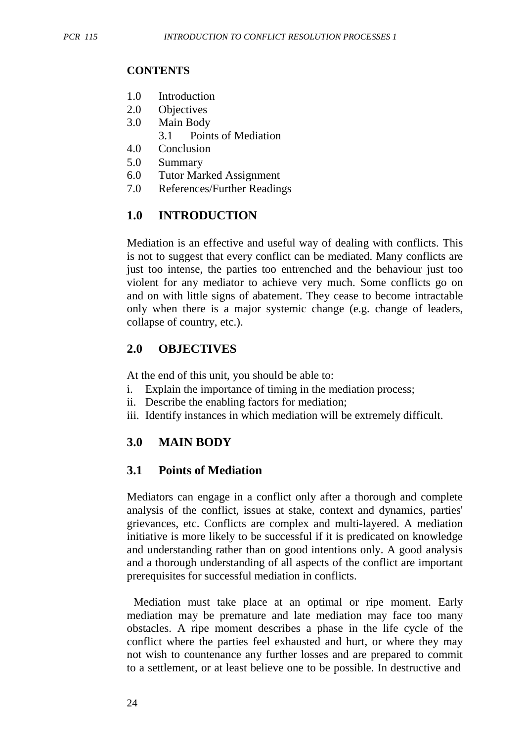#### **CONTENTS**

- 1.0 Introduction
- 2.0 Objectives
- 3.0 Main Body
	- 3.1 Points of Mediation
- 4.0 Conclusion
- 5.0 Summary
- 6.0 Tutor Marked Assignment
- 7.0 References/Further Readings

# **1.0 INTRODUCTION**

Mediation is an effective and useful way of dealing with conflicts. This is not to suggest that every conflict can be mediated. Many conflicts are just too intense, the parties too entrenched and the behaviour just too violent for any mediator to achieve very much. Some conflicts go on and on with little signs of abatement. They cease to become intractable only when there is a major systemic change (e.g. change of leaders, collapse of country, etc.).

# **2.0 OBJECTIVES**

At the end of this unit, you should be able to:

- i. Explain the importance of timing in the mediation process;
- ii. Describe the enabling factors for mediation;
- iii. Identify instances in which mediation will be extremely difficult.

# **3.0 MAIN BODY**

# **3.1 Points of Mediation**

Mediators can engage in a conflict only after a thorough and complete analysis of the conflict, issues at stake, context and dynamics, parties' grievances, etc. Conflicts are complex and multi-layered. A mediation initiative is more likely to be successful if it is predicated on knowledge and understanding rather than on good intentions only. A good analysis and a thorough understanding of all aspects of the conflict are important prerequisites for successful mediation in conflicts.

Mediation must take place at an optimal or ripe moment. Early mediation may be premature and late mediation may face too many obstacles. A ripe moment describes a phase in the life cycle of the conflict where the parties feel exhausted and hurt, or where they may not wish to countenance any further losses and are prepared to commit to a settlement, or at least believe one to be possible. In destructive and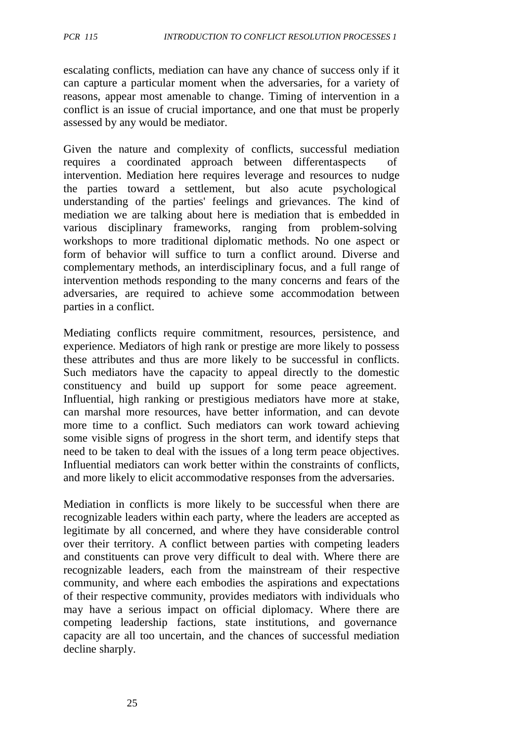escalating conflicts, mediation can have any chance of success only if it can capture a particular moment when the adversaries, for a variety of reasons, appear most amenable to change. Timing of intervention in a conflict is an issue of crucial importance, and one that must be properly assessed by any would be mediator.

Given the nature and complexity of conflicts, successful mediation requires a coordinated approach between different aspects of intervention. Mediation here requires leverage and resources to nudge the parties toward a settlement, but also acute psychological understanding of the parties' feelings and grievances. The kind of mediation we are talking about here is mediation that is embedded in various disciplinary frameworks, ranging from problem-solving workshops to more traditional diplomatic methods. No one aspect or form of behavior will suffice to turn a conflict around. Diverse and complementary methods, an interdisciplinary focus, and a full range of intervention methods responding to the many concerns and fears of the adversaries, are required to achieve some accommodation between parties in a conflict.

Mediating conflicts require commitment, resources, persistence, and experience. Mediators of high rank or prestige are more likely to possess these attributes and thus are more likely to be successful in conflicts. Such mediators have the capacity to appeal directly to the domestic constituency and build up support for some peace agreement. Influential, high ranking or prestigious mediators have more at stake, can marshal more resources, have better information, and can devote more time to a conflict. Such mediators can work toward achieving some visible signs of progress in the short term, and identify steps that need to be taken to deal with the issues of a long term peace objectives. Influential mediators can work better within the constraints of conflicts, and more likely to elicit accommodative responses from the adversaries.

Mediation in conflicts is more likely to be successful when there are recognizable leaders within each party, where the leaders are accepted as legitimate by all concerned, and where they have considerable control over their territory. A conflict between parties with competing leaders and constituents can prove very difficult to deal with. Where there are recognizable leaders, each from the mainstream of their respective community, and where each embodies the aspirations and expectations of their respective community, provides mediators with individuals who may have a serious impact on official diplomacy. Where there are competing leadership factions, state institutions, and governance capacity are all too uncertain, and the chances of successful mediation decline sharply.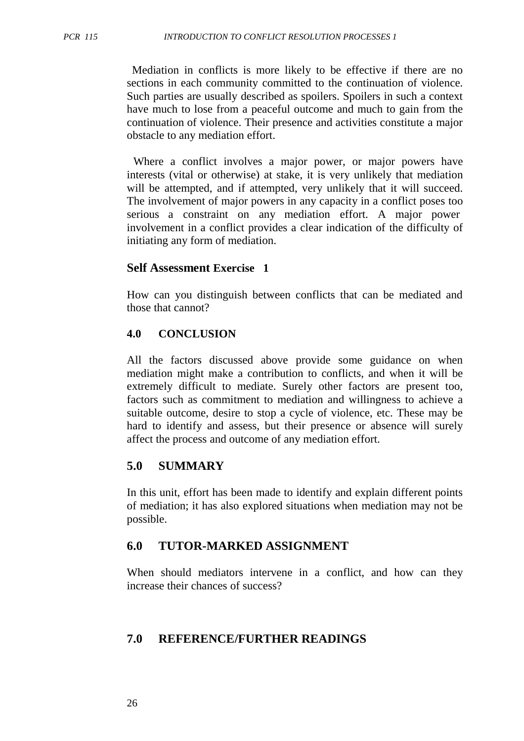Mediation in conflicts is more likely to be effective if there are no sections in each community committed to the continuation of violence. Such parties are usually described as spoilers. Spoilers in such a context have much to lose from a peaceful outcome and much to gain from the continuation of violence. Their presence and activities constitute a major obstacle to any mediation effort.

Where a conflict involves a major power, or major powers have interests (vital or otherwise) at stake, it is very unlikely that mediation will be attempted, and if attempted, very unlikely that it will succeed. The involvement of major powers in any capacity in a conflict poses too serious a constraint on any mediation effort. A major power involvement in a conflict provides a clear indication of the difficulty of initiating any form of mediation.

#### **Self Assessment Exercise 1**

How can you distinguish between conflicts that can be mediated and those that cannot?

#### **4.0 CONCLUSION**

All the factors discussed above provide some guidance on when mediation might make a contribution to conflicts, and when it will be extremely difficult to mediate. Surely other factors are present too, factors such as commitment to mediation and willingness to achieve a suitable outcome, desire to stop a cycle of violence, etc. These may be hard to identify and assess, but their presence or absence will surely affect the process and outcome of any mediation effort.

## **5.0 SUMMARY**

In this unit, effort has been made to identify and explain different points of mediation; it has also explored situations when mediation may not be possible.

## **6.0 TUTOR-MARKED ASSIGNMENT**

When should mediators intervene in a conflict, and how can they increase their chances of success?

## **7.0 REFERENCE/FURTHER READINGS**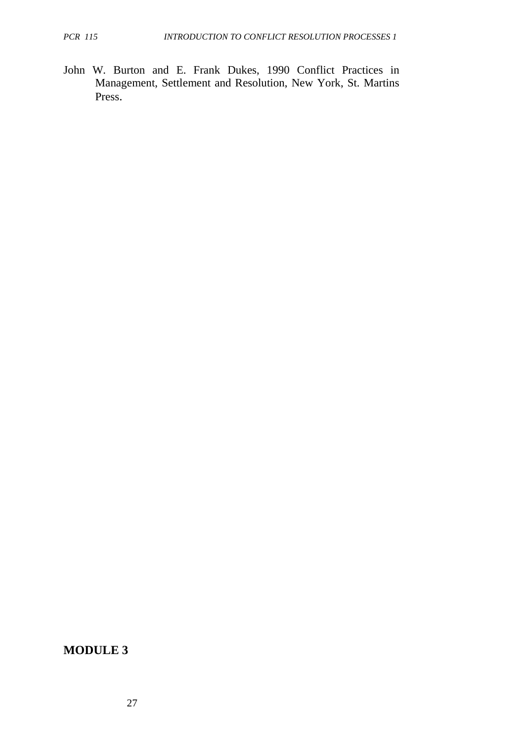John W. Burton and E. Frank Dukes, 1990 Conflict Practices in Management, Settlement and Resolution, New York, St. Martins Press.

# **MODULE 3**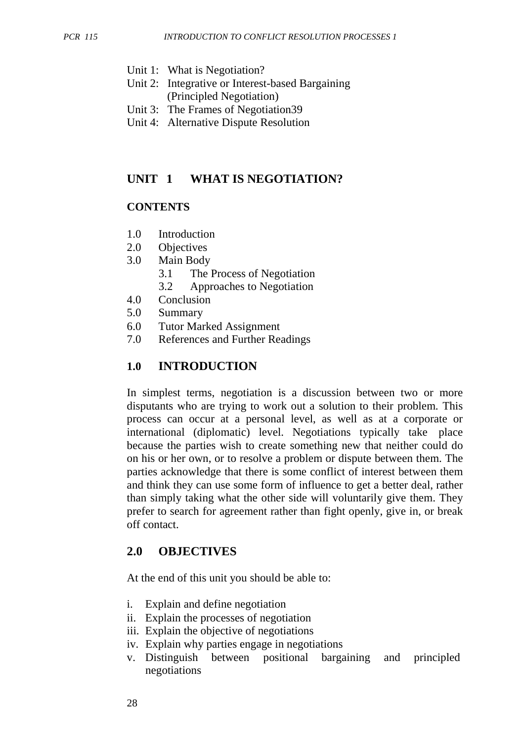- Unit 1: What is Negotiation?
- Unit 2: Integrative or Interest-based Bargaining (Principled Negotiation)
- Unit 3: The Frames of Negotiation39
- Unit 4: Alternative Dispute Resolution

# **UNIT 1 WHAT IS NEGOTIATION?**

#### **CONTENTS**

- 1.0 Introduction
- 2.0 Objectives
- 3.0 Main Body
	- 3.1 The Process of Negotiation
	- 3.2 Approaches to Negotiation
- 4.0 Conclusion
- 5.0 Summary
- 6.0 Tutor Marked Assignment
- 7.0 References and Further Readings

# **1.0 INTRODUCTION**

In simplest terms, negotiation is a discussion between two or more disputants who are trying to work out a solution to their problem. This process can occur at a personal level, as well as at a corporate or international (diplomatic) level. Negotiations typically take place because the parties wish to create something new that neither could do on his or her own, or to resolve a problem or dispute between them. The parties acknowledge that there is some conflict of interest between them and think they can use some form of influence to get a better deal, rather than simply taking what the other side will voluntarily give them. They prefer to search for agreement rather than fight openly, give in, or break off contact.

## **2.0 OBJECTIVES**

At the end of this unit you should be able to:

- i. Explain and define negotiation
- ii. Explain the processes of negotiation
- iii. Explain the objective of negotiations
- iv. Explain why parties engage in negotiations
- v. Distinguish between positional bargaining and principled negotiations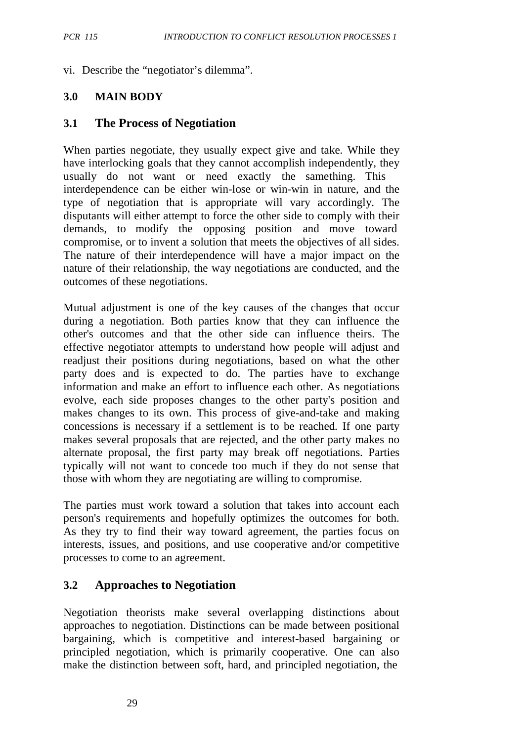vi. Describe the "negotiator's dilemma".

#### **3.0 MAIN BODY**

#### **3.1 The Process of Negotiation**

When parties negotiate, they usually expect give and take. While they have interlocking goals that they cannot accomplish independently, they usually do not want or need exactly the samething. This interdependence can be either win-lose or win-win in nature, and the type of negotiation that is appropriate will vary accordingly. The disputants will either attempt to force the other side to comply with their demands, to modify the opposing position and move toward compromise, or to invent a solution that meets the objectives of all sides. The nature of their interdependence will have a major impact on the nature of their relationship, the way negotiations are conducted, and the outcomes of these negotiations.

Mutual adjustment is one of the key causes of the changes that occur during a negotiation. Both parties know that they can influence the other's outcomes and that the other side can influence theirs. The effective negotiator attempts to understand how people will adjust and readjust their positions during negotiations, based on what the other party does and is expected to do. The parties have to exchange information and make an effort to influence each other. As negotiations evolve, each side proposes changes to the other party's position and makes changes to its own. This process of give-and-take and making concessions is necessary if a settlement is to be reached. If one party makes several proposals that are rejected, and the other party makes no alternate proposal, the first party may break off negotiations. Parties typically will not want to concede too much if they do not sense that those with whom they are negotiating are willing to compromise.

The parties must work toward a solution that takes into account each person's requirements and hopefully optimizes the outcomes for both. As they try to find their way toward agreement, the parties focus on interests, issues, and positions, and use cooperative and/or competitive processes to come to an agreement.

## **3.2 Approaches to Negotiation**

Negotiation theorists make several overlapping distinctions about approaches to negotiation. Distinctions can be made between positional bargaining, which is competitive and interest-based bargaining or principled negotiation, which is primarily cooperative. One can also make the distinction between soft, hard, and principled negotiation, the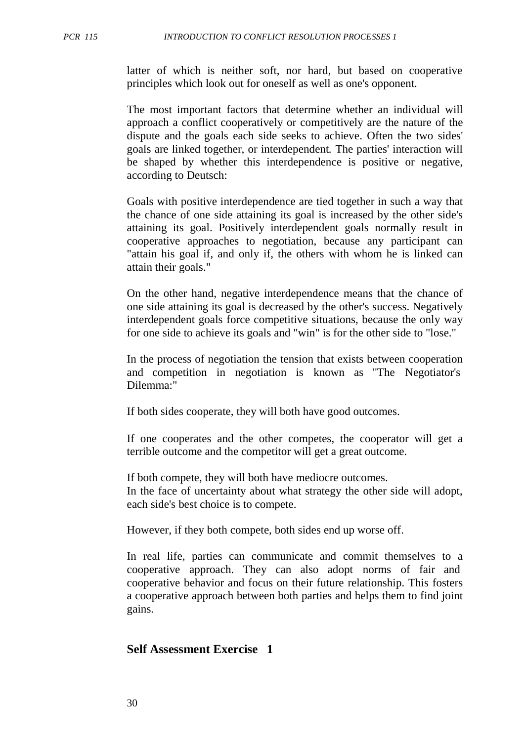latter of which is neither soft, nor hard, but based on cooperative principles which look out for oneself as well as one's opponent.

The most important factors that determine whether an individual will approach a conflict cooperatively or competitively are the nature of the dispute and the goals each side seeks to achieve. Often the two sides' goals are linked together, or interdependent*.* The parties' interaction will be shaped by whether this interdependence is positive or negative, according to Deutsch:

Goals with positive interdependence are tied together in such a way that the chance of one side attaining its goal is increased by the other side's attaining its goal. Positively interdependent goals normally result in cooperative approaches to negotiation, because any participant can "attain his goal if, and only if, the others with whom he is linked can attain their goals."

On the other hand, negative interdependence means that the chance of one side attaining its goal is decreased by the other's success. Negatively interdependent goals force competitive situations, because the only way for one side to achieve its goals and "win" is for the other side to "lose."

In the process of negotiation the tension that exists between cooperation and competition in negotiation is known as "The Negotiator's Dilemma:"

If both sides cooperate, they will both have good outcomes.

If one cooperates and the other competes, the cooperator will get a terrible outcome and the competitor will get a great outcome.

If both compete, they will both have mediocre outcomes.

In the face of uncertainty about what strategy the other side will adopt, each side's best choice is to compete.

However, if they both compete, both sides end up worse off.

In real life, parties can communicate and commit themselves to a cooperative approach. They can also adopt norms of fair and cooperative behavior and focus on their future relationship. This fosters a cooperative approach between both parties and helps them to find joint gains.

#### **Self Assessment Exercise 1**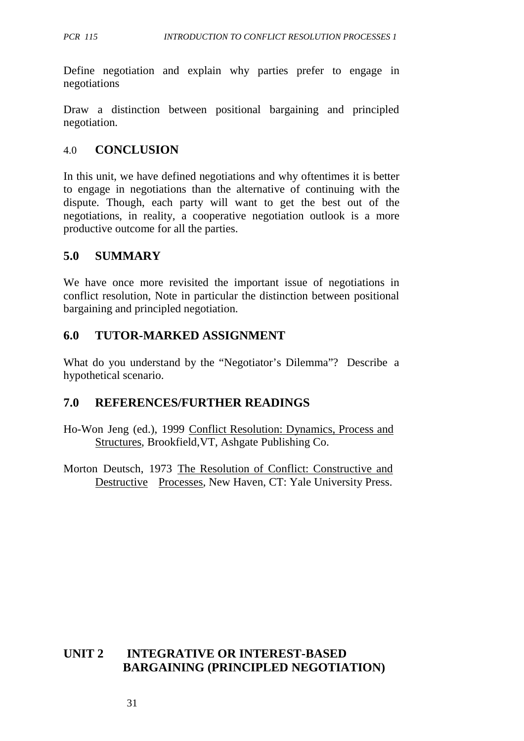Define negotiation and explain why parties prefer to engage in negotiations

Draw a distinction between positional bargaining and principled negotiation.

#### 4.0 **CONCLUSION**

In this unit, we have defined negotiations and why oftentimes it is better to engage in negotiations than the alternative of continuing with the dispute. Though, each party will want to get the best out of the negotiations, in reality, a cooperative negotiation outlook is a more productive outcome for all the parties.

## **5.0 SUMMARY**

We have once more revisited the important issue of negotiations in conflict resolution, Note in particular the distinction between positional bargaining and principled negotiation.

## **6.0 TUTOR-MARKED ASSIGNMENT**

What do you understand by the "Negotiator's Dilemma"? Describe a hypothetical scenario.

#### **7.0 REFERENCES/FURTHER READINGS**

- Ho-Won Jeng (ed.), 1999 Conflict Resolution: Dynamics, Process and Structures, Brookfield,VT, Ashgate Publishing Co.
- Morton Deutsch, 1973 The Resolution of Conflict: Constructive and Destructive Processes, New Haven, CT: Yale University Press.

#### **UNIT 2 INTEGRATIVE OR INTEREST-BASED BARGAINING (PRINCIPLED NEGOTIATION)**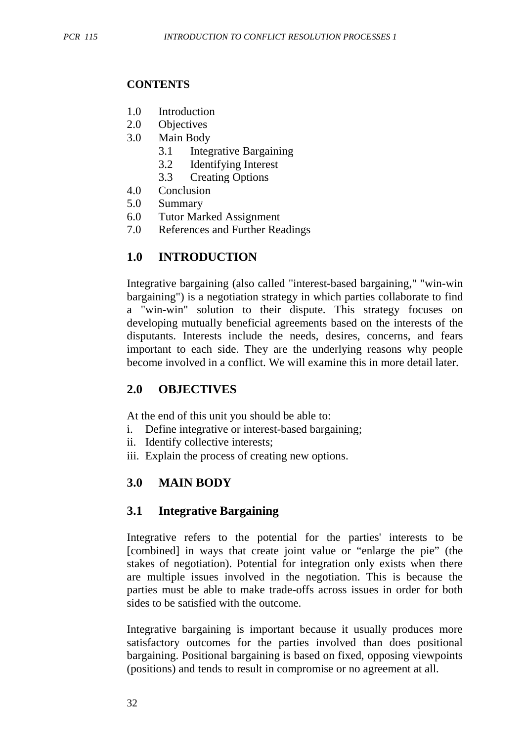#### **CONTENTS**

- 1.0 Introduction
- 2.0 Objectives
- 3.0 Main Body
	- 3.1 Integrative Bargaining
	- 3.2 Identifying Interest
	- 3.3 Creating Options
- 4.0 Conclusion
- 5.0 Summary
- 6.0 Tutor Marked Assignment
- 7.0 References and Further Readings

# **1.0 INTRODUCTION**

Integrative bargaining (also called "interest-based bargaining," "win-win bargaining") is a negotiation strategy in which parties collaborate to find a "win-win" solution to their dispute. This strategy focuses on developing mutually beneficial agreements based on the interests of the disputants. Interests include the needs, desires, concerns, and fears important to each side. They are the underlying reasons why people become involved in a conflict. We will examine this in more detail later.

# **2.0 OBJECTIVES**

At the end of this unit you should be able to:

- i. Define integrative or interest-based bargaining;
- ii. Identify collective interests;
- iii. Explain the process of creating new options.

# **3.0 MAIN BODY**

# **3.1 Integrative Bargaining**

Integrative refers to the potential for the parties' interests to be [combined] in ways that create joint value or "enlarge the pie" (the stakes of negotiation). Potential for integration only exists when there are multiple issues involved in the negotiation. This is because the parties must be able to make trade-offs across issues in order for both sides to be satisfied with the outcome.

Integrative bargaining is important because it usually produces more satisfactory outcomes for the parties involved than does positional bargaining. Positional bargaining is based on fixed, opposing viewpoints (positions) and tends to result in compromise or no agreement at all.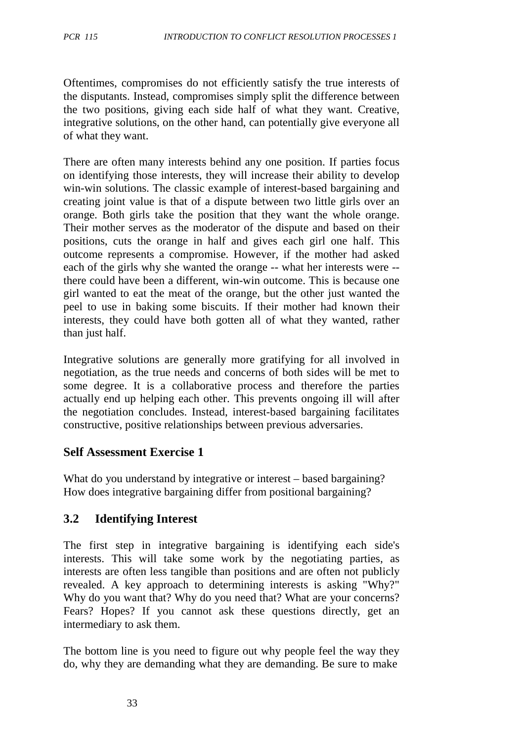Oftentimes, compromises do not efficiently satisfy the true interests of the disputants. Instead, compromises simply split the difference between the two positions, giving each side half of what they want. Creative, integrative solutions, on the other hand, can potentially give everyone all of what they want.

There are often many interests behind any one position. If parties focus on identifying those interests, they will increase their ability to develop win-win solutions. The classic example of interest-based bargaining and creating joint value is that of a dispute between two little girls over an orange. Both girls take the position that they want the whole orange. Their mother serves as the moderator of the dispute and based on their positions, cuts the orange in half and gives each girl one half. This outcome represents a compromise. However, if the mother had asked each of the girls why she wanted the orange -- what her interests were - there could have been a different, win-win outcome. This is because one girl wanted to eat the meat of the orange, but the other just wanted the peel to use in baking some biscuits. If their mother had known their interests, they could have both gotten all of what they wanted, rather than just half.

Integrative solutions are generally more gratifying for all involved in negotiation, as the true needs and concerns of both sides will be met to some degree. It is a collaborative process and therefore the parties actually end up helping each other. This prevents ongoing ill will after the negotiation concludes. Instead, interest-based bargaining facilitates constructive, positive relationships between previous adversaries.

#### **Self Assessment Exercise 1**

What do you understand by integrative or interest – based bargaining? How does integrative bargaining differ from positional bargaining?

# **3.2 Identifying Interest**

The first step in integrative bargaining is identifying each side's interests. This will take some work by the negotiating parties, as interests are often less tangible than positions and are often not publicly revealed. A key approach to determining interests is asking "Why?" Why do you want that? Why do you need that? What are your concerns? Fears? Hopes? If you cannot ask these questions directly, get an intermediary to ask them.

The bottom line is you need to figure out why people feel the way they do, why they are demanding what they are demanding. Be sure to make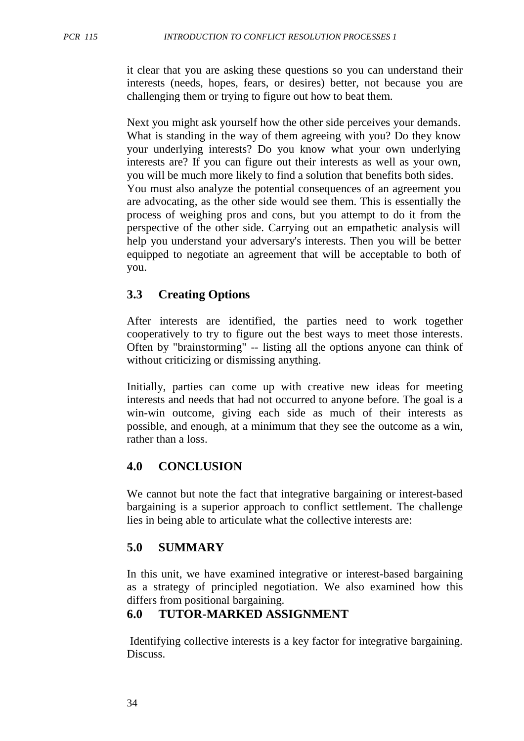it clear that you are asking these questions so you can understand their interests (needs, hopes, fears, or desires) better, not because you are challenging them or trying to figure out how to beat them.

Next you might ask yourself how the other side perceives your demands. What is standing in the way of them agreeing with you? Do they know your underlying interests? Do you know what your own underlying interests are? If you can figure out their interests as well as your own, you will be much more likely to find a solution that benefits both sides. You must also analyze the potential consequences of an agreement you are advocating, as the other side would see them. This is essentially the process of weighing pros and cons, but you attempt to do it from the perspective of the other side. Carrying out an empathetic analysis will help you understand your adversary's interests. Then you will be better equipped to negotiate an agreement that will be acceptable to both of you.

## **3.3 Creating Options**

After interests are identified, the parties need to work together cooperatively to try to figure out the best ways to meet those interests. Often by "brainstorming" -- listing all the options anyone can think of without criticizing or dismissing anything.

Initially, parties can come up with creative new ideas for meeting interests and needs that had not occurred to anyone before. The goal is a win-win outcome, giving each side as much of their interests as possible, and enough, at a minimum that they see the outcome as a win, rather than a loss.

#### **4.0 CONCLUSION**

We cannot but note the fact that integrative bargaining or interest-based bargaining is a superior approach to conflict settlement. The challenge lies in being able to articulate what the collective interests are:

## **5.0 SUMMARY**

In this unit, we have examined integrative or interest-based bargaining as a strategy of principled negotiation. We also examined how this differs from positional bargaining.

## **6.0 TUTOR-MARKED ASSIGNMENT**

Identifying collective interests is a key factor for integrative bargaining. Discuss.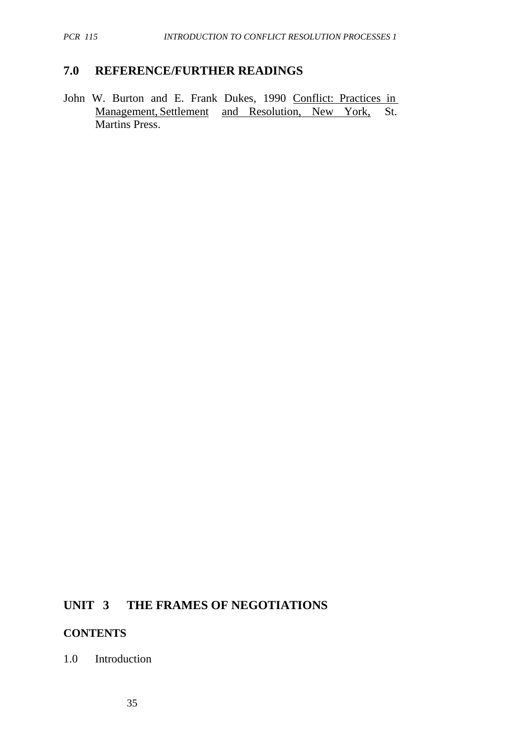#### *PCR 115 INTRODUCTION TO CONFLICT RESOLUTION PROCESSES 1*

#### **7.0 REFERENCE/FURTHER READINGS**

John W. Burton and E. Frank Dukes, 1990 Conflict: Practices in Management, Settlement and Resolution, New York, St. Martins Press.

#### **UNIT 3 THE FRAMES OF NEGOTIATIONS**

#### **CONTENTS**

#### 1.0 Introduction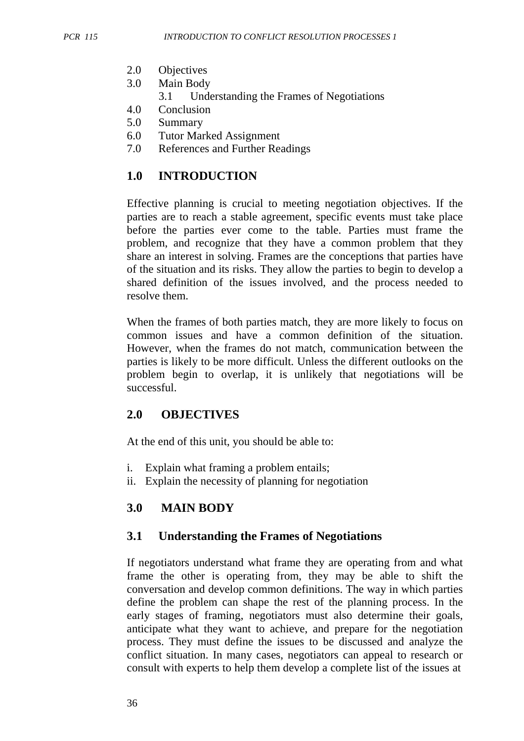- 2.0 Objectives
- 3.0 Main Body
	- 3.1 Understanding the Frames of Negotiations
- 4.0 Conclusion
- 5.0 Summary
- 6.0 Tutor Marked Assignment
- 7.0 References and Further Readings

# **1.0 INTRODUCTION**

Effective planning is crucial to meeting negotiation objectives. If the parties are to reach a stable agreement, specific events must take place before the parties ever come to the table. Parties must frame the problem, and recognize that they have a common problem that they share an interest in solving. Frames are the conceptions that parties have of the situation and its risks. They allow the parties to begin to develop a shared definition of the issues involved, and the process needed to resolve them.

When the frames of both parties match, they are more likely to focus on common issues and have a common definition of the situation. However, when the frames do not match, communication between the parties is likely to be more difficult. Unless the different outlooks on the problem begin to overlap, it is unlikely that negotiations will be successful.

# **2.0 OBJECTIVES**

At the end of this unit, you should be able to:

- i. Explain what framing a problem entails;
- ii. Explain the necessity of planning for negotiation

# **3.0 MAIN BODY**

## **3.1 Understanding the Frames of Negotiations**

If negotiators understand what frame they are operating from and what frame the other is operating from, they may be able to shift the conversation and develop common definitions. The way in which parties define the problem can shape the rest of the planning process. In the early stages of framing, negotiators must also determine their goals, anticipate what they want to achieve, and prepare for the negotiation process. They must define the issues to be discussed and analyze the conflict situation. In many cases, negotiators can appeal to research or consult with experts to help them develop a complete list of the issues at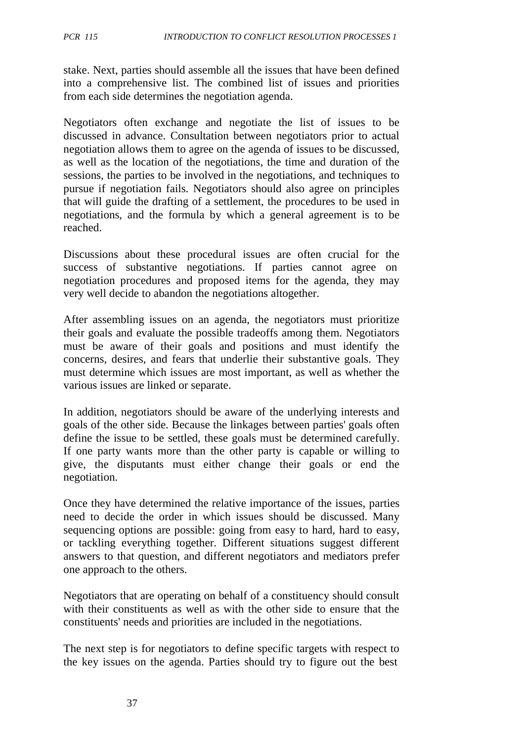stake. Next, parties should assemble all the issues that have been defined into a comprehensive list. The combined list of issues and priorities from each side determines the negotiation agenda.

Negotiators often exchange and negotiate the list of issues to be discussed in advance. Consultation between negotiators prior to actual negotiation allows them to agree on the agenda of issues to be discussed, as well as the location of the negotiations, the time and duration of the sessions, the parties to be involved in the negotiations, and techniques to pursue if negotiation fails. Negotiators should also agree on principles that will guide the drafting of a settlement, the procedures to be used in negotiations, and the formula by which a general agreement is to be reached.

Discussions about these procedural issues are often crucial for the success of substantive negotiations. If parties cannot agree on negotiation procedures and proposed items for the agenda, they may very well decide to abandon the negotiations altogether.

After assembling issues on an agenda, the negotiators must prioritize their goals and evaluate the possible tradeoffs among them. Negotiators must be aware of their goals and positions and must identify the concerns, desires, and fears that underlie their substantive goals. They must determine which issues are most important, as well as whether the various issues are linked or separate.

In addition, negotiators should be aware of the underlying interests and goals of the other side. Because the linkages between parties' goals often define the issue to be settled, these goals must be determined carefully. If one party wants more than the other party is capable or willing to give, the disputants must either change their goals or end the negotiation.

Once they have determined the relative importance of the issues, parties need to decide the order in which issues should be discussed. Many sequencing options are possible: going from easy to hard, hard to easy, or tackling everything together. Different situations suggest different answers to that question, and different negotiators and mediators prefer one approach to the others.

Negotiators that are operating on behalf of a constituency should consult with their constituents as well as with the other side to ensure that the constituents' needs and priorities are included in the negotiations.

The next step is for negotiators to define specific targets with respect to the key issues on the agenda. Parties should try to figure out the best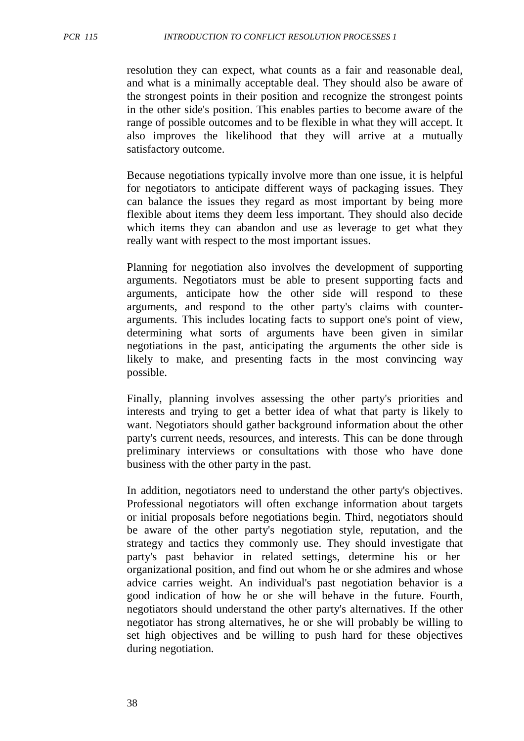resolution they can expect, what counts as a fair and reasonable deal, and what is a minimally acceptable deal. They should also be aware of the strongest points in their position and recognize the strongest points in the other side's position. This enables parties to become aware of the range of possible outcomes and to be flexible in what they will accept. It also improves the likelihood that they will arrive at a mutually satisfactory outcome.

Because negotiations typically involve more than one issue, it is helpful for negotiators to anticipate different ways of packaging issues. They can balance the issues they regard as most important by being more flexible about items they deem less important. They should also decide which items they can abandon and use as leverage to get what they really want with respect to the most important issues.

Planning for negotiation also involves the development of supporting arguments. Negotiators must be able to present supporting facts and arguments, anticipate how the other side will respond to these arguments, and respond to the other party's claims with counterarguments. This includes locating facts to support one's point of view, determining what sorts of arguments have been given in similar negotiations in the past, anticipating the arguments the other side is likely to make, and presenting facts in the most convincing way possible.

Finally, planning involves assessing the other party's priorities and interests and trying to get a better idea of what that party is likely to want. Negotiators should gather background information about the other party's current needs, resources, and interests. This can be done through preliminary interviews or consultations with those who have done business with the other party in the past.

In addition, negotiators need to understand the other party's objectives. Professional negotiators will often exchange information about targets or initial proposals before negotiations begin. Third, negotiators should be aware of the other party's negotiation style, reputation, and the strategy and tactics they commonly use. They should investigate that party's past behavior in related settings, determine his or her organizational position, and find out whom he or she admires and whose advice carries weight. An individual's past negotiation behavior is a good indication of how he or she will behave in the future. Fourth, negotiators should understand the other party's alternatives. If the other negotiator has strong alternatives, he or she will probably be willing to set high objectives and be willing to push hard for these objectives during negotiation.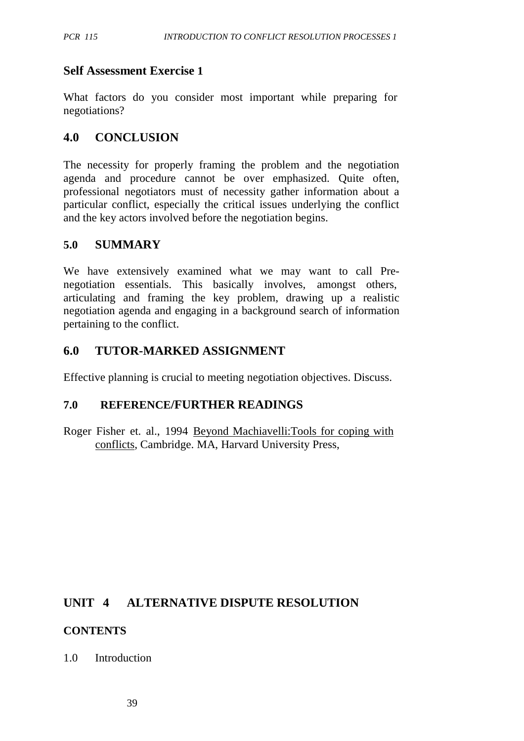#### **Self Assessment Exercise 1**

What factors do you consider most important while preparing for negotiations?

#### **4.0 CONCLUSION**

The necessity for properly framing the problem and the negotiation agenda and procedure cannot be over emphasized. Quite often, professional negotiators must of necessity gather information about a particular conflict, especially the critical issues underlying the conflict and the key actors involved before the negotiation begins.

#### **5.0 SUMMARY**

We have extensively examined what we may want to call Prenegotiation essentials. This basically involves, amongst others, articulating and framing the key problem, drawing up a realistic negotiation agenda and engaging in a background search of information pertaining to the conflict.

## **6.0 TUTOR-MARKED ASSIGNMENT**

Effective planning is crucial to meeting negotiation objectives. Discuss.

#### **7.0 REFERENCE/FURTHER READINGS**

Roger Fisher et. al., 1994 Beyond Machiavelli:Tools for coping with conflicts, Cambridge. MA, Harvard University Press,

## **UNIT 4 ALTERNATIVE DISPUTE RESOLUTION**

#### **CONTENTS**

#### 1.0 Introduction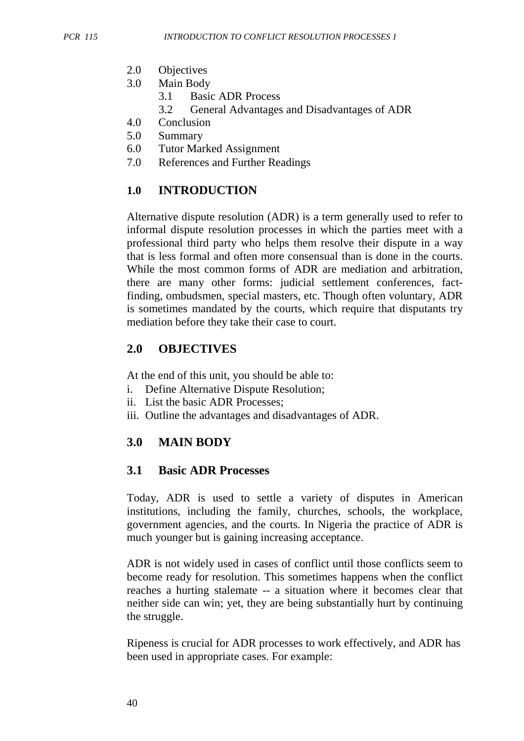- 2.0 Objectives
- 3.0 Main Body
	- 3.1 Basic ADR Process
	- 3.2 General Advantages and Disadvantages of ADR
- 4.0 Conclusion
- 5.0 Summary
- 6.0 Tutor Marked Assignment
- 7.0 References and Further Readings

# **1.0 INTRODUCTION**

Alternative dispute resolution (ADR) is a term generally used to refer to informal dispute resolution processes in which the parties meet with a professional third party who helps them resolve their dispute in a way that is less formal and often more consensual than is done in the courts. While the most common forms of ADR are mediation and arbitration, there are many other forms: judicial settlement conferences, factfinding, ombudsmen, special masters, etc. Though often voluntary, ADR is sometimes mandated by the courts, which require that disputants try mediation before they take their case to court.

# **2.0 OBJECTIVES**

At the end of this unit, you should be able to:

- i. Define Alternative Dispute Resolution;
- ii. List the basic ADR Processes;
- iii. Outline the advantages and disadvantages of ADR.

# **3.0 MAIN BODY**

# **3.1 Basic ADR Processes**

Today, ADR is used to settle a variety of disputes in American institutions, including the family, churches, schools, the workplace, government agencies, and the courts. In Nigeria the practice of ADR is much younger but is gaining increasing acceptance.

ADR is not widely used in cases of conflict until those conflicts seem to become ready for resolution. This sometimes happens when the conflict reaches a hurting stalemate -- a situation where it becomes clear that neither side can win; yet, they are being substantially hurt by continuing the struggle.

Ripeness is crucial for ADR processes to work effectively, and ADR has been used in appropriate cases. For example: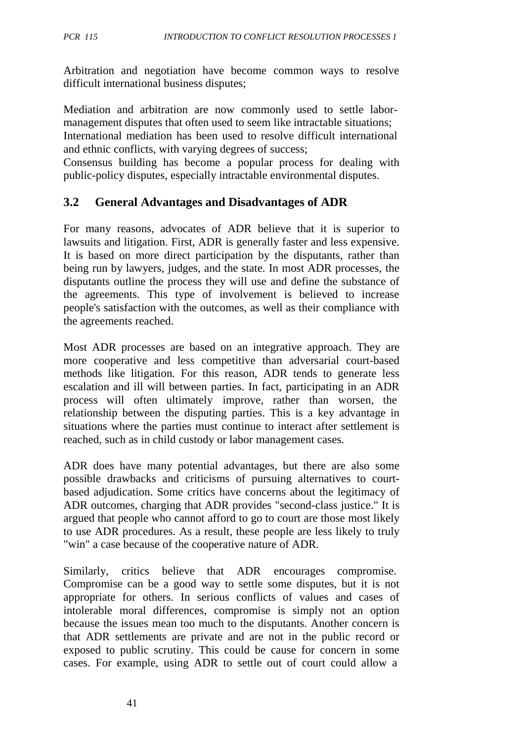Arbitration and negotiation have become common ways to resolve difficult international business disputes;

Mediation and arbitration are now commonly used to settle labormanagement disputes that often used to seem like intractable situations; International mediation has been used to resolve difficult international and ethnic conflicts, with varying degrees of success;

Consensus building has become a popular process for dealing with public-policy disputes, especially intractable environmental disputes.

## **3.2 General Advantages and Disadvantages of ADR**

For many reasons, advocates of ADR believe that it is superior to lawsuits and litigation. First, ADR is generally faster and less expensive. It is based on more direct participation by the disputants, rather than being run by lawyers, judges, and the state. In most ADR processes, the disputants outline the process they will use and define the substance of the agreements. This type of involvement is believed to increase people's satisfaction with the outcomes, as well as their compliance with the agreements reached.

Most ADR processes are based on an integrative approach. They are more cooperative and less competitive than adversarial court-based methods like litigation. For this reason, ADR tends to generate less escalation and ill will between parties. In fact, participating in an ADR process will often ultimately improve, rather than worsen, the relationship between the disputing parties. This is a key advantage in situations where the parties must continue to interact after settlement is reached, such as in child custody or labor management cases.

ADR does have many potential advantages, but there are also some possible drawbacks and criticisms of pursuing alternatives to courtbased adjudication. Some critics have concerns about the legitimacy of ADR outcomes, charging that ADR provides "second-class justice." It is argued that people who cannot afford to go to court are those most likely to use ADR procedures. As a result, these people are less likely to truly "win" a case because of the cooperative nature of ADR.

Similarly, critics believe that ADR encourages compromise. Compromise can be a good way to settle some disputes, but it is not appropriate for others. In serious conflicts of values and cases of intolerable moral differences, compromise is simply not an option because the issues mean too much to the disputants. Another concern is that ADR settlements are private and are not in the public record or exposed to public scrutiny. This could be cause for concern in some cases. For example, using ADR to settle out of court could allow a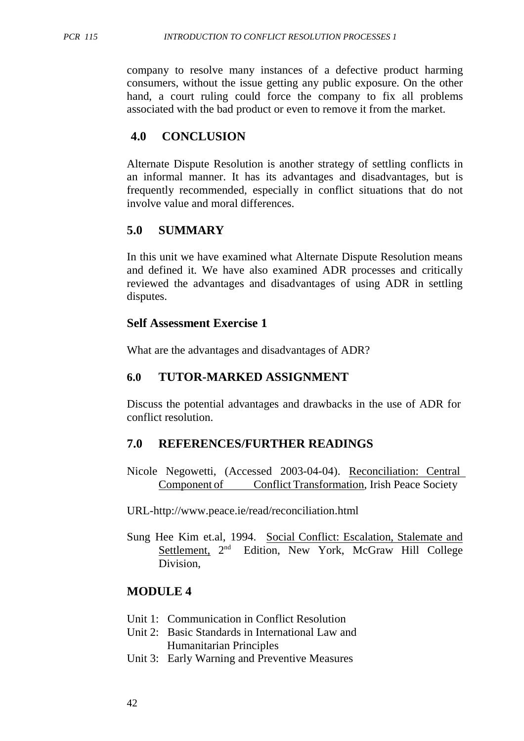company to resolve many instances of a defective product harming consumers, without the issue getting any public exposure. On the other hand, a court ruling could force the company to fix all problems associated with the bad product or even to remove it from the market.

## **4.0 CONCLUSION**

Alternate Dispute Resolution is another strategy of settling conflicts in an informal manner. It has its advantages and disadvantages, but is frequently recommended, especially in conflict situations that do not involve value and moral differences.

# **5.0 SUMMARY**

In this unit we have examined what Alternate Dispute Resolution means and defined it. We have also examined ADR processes and critically reviewed the advantages and disadvantages of using ADR in settling disputes.

#### **Self Assessment Exercise 1**

What are the advantages and disadvantages of ADR?

#### **6.0 TUTOR-MARKED ASSIGNMENT**

Discuss the potential advantages and drawbacks in the use of ADR for conflict resolution.

## **7.0 REFERENCES/FURTHER READINGS**

- Nicole Negowetti, (Accessed 2003-04-04). Reconciliation: Central Component of Conflict Transformation, Irish Peace Society
- URL-http://www.peace.ie/read/reconciliation.html
- Sung Hee Kim et.al, 1994. Social Conflict: Escalation, Stalemate and Settlement, 2<sup>nd</sup> Edition, New York, McGraw Hill College Division,

## **MODULE 4**

- Unit 1: Communication in Conflict Resolution
- Unit 2: Basic Standards in International Law and Humanitarian Principles
- Unit 3: Early Warning and Preventive Measures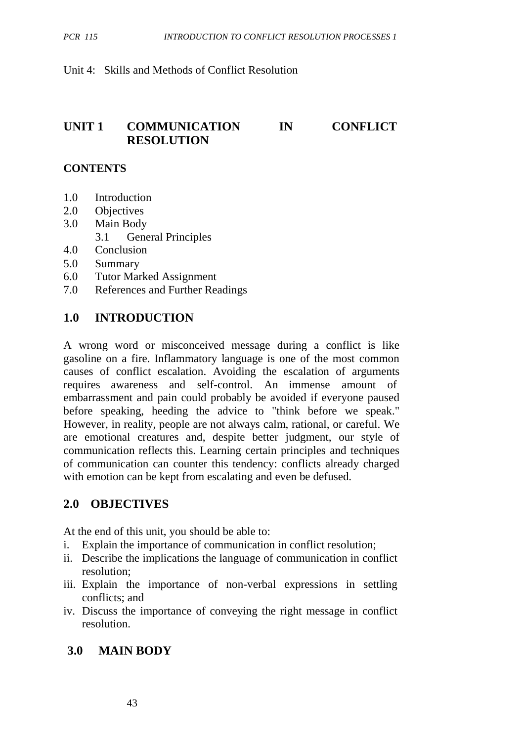#### Unit 4: Skills and Methods of Conflict Resolution

## **UNIT 1 COMMUNICATION IN CONFLICT RESOLUTION**

#### **CONTENTS**

- 1.0 Introduction
- 2.0 Objectives
- 3.0 Main Body
	- 3.1 General Principles
- 4.0 Conclusion
- 5.0 Summary
- 6.0 Tutor Marked Assignment
- 7.0 References and Further Readings

#### **1.0 INTRODUCTION**

A wrong word or misconceived message during a conflict is like gasoline on a fire. Inflammatory language is one of the most common causes of conflict escalation. Avoiding the escalation of arguments requires awareness and self-control. An immense amount of embarrassment and pain could probably be avoided if everyone paused before speaking, heeding the advice to "think before we speak." However, in reality, people are not always calm, rational, or careful. We are emotional creatures and, despite better judgment, our style of communication reflects this. Learning certain principles and techniques of communication can counter this tendency: conflicts already charged with emotion can be kept from escalating and even be defused.

#### **2.0 OBJECTIVES**

At the end of this unit, you should be able to:

- i. Explain the importance of communication in conflict resolution;
- ii. Describe the implications the language of communication in conflict resolution;
- iii. Explain the importance of non-verbal expressions in settling conflicts; and
- iv. Discuss the importance of conveying the right message in conflict resolution.

#### **3.0 MAIN BODY**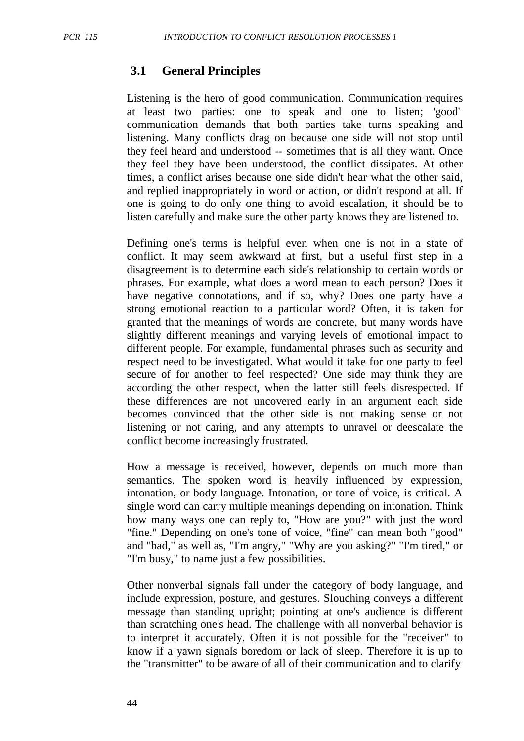#### **3.1 General Principles**

Listening is the hero of good communication. Communication requires at least two parties: one to speak and one to listen; 'good' communication demands that both parties take turns speaking and listening. Many conflicts drag on because one side will not stop until they feel heard and understood -- sometimes that is all they want. Once they feel they have been understood, the conflict dissipates. At other times, a conflict arises because one side didn't hear what the other said, and replied inappropriately in word or action, or didn't respond at all. If one is going to do only one thing to avoid escalation, it should be to listen carefully and make sure the other party knows they are listened to.

Defining one's terms is helpful even when one is not in a state of conflict. It may seem awkward at first, but a useful first step in a disagreement is to determine each side's relationship to certain words or phrases. For example, what does a word mean to each person? Does it have negative connotations, and if so, why? Does one party have a strong emotional reaction to a particular word? Often, it is taken for granted that the meanings of words are concrete, but many words have slightly different meanings and varying levels of emotional impact to different people. For example, fundamental phrases such as security and respect need to be investigated. What would it take for one party to feel secure of for another to feel respected? One side may think they are according the other respect, when the latter still feels disrespected. If these differences are not uncovered early in an argument each side becomes convinced that the other side is not making sense or not listening or not caring, and any attempts to unravel or deescalate the conflict become increasingly frustrated.

How a message is received, however, depends on much more than semantics. The spoken word is heavily influenced by expression, intonation, or body language. Intonation, or tone of voice, is critical. A single word can carry multiple meanings depending on intonation. Think how many ways one can reply to, "How are you?" with just the word "fine." Depending on one's tone of voice, "fine" can mean both "good" and "bad," as well as, "I'm angry," "Why are you asking?" "I'm tired," or "I'm busy," to name just a few possibilities.

Other nonverbal signals fall under the category of body language, and include expression, posture, and gestures. Slouching conveys a different message than standing upright; pointing at one's audience is different than scratching one's head. The challenge with all nonverbal behavior is to interpret it accurately. Often it is not possible for the "receiver" to know if a yawn signals boredom or lack of sleep. Therefore it is up to the "transmitter" to be aware of all of their communication and to clarify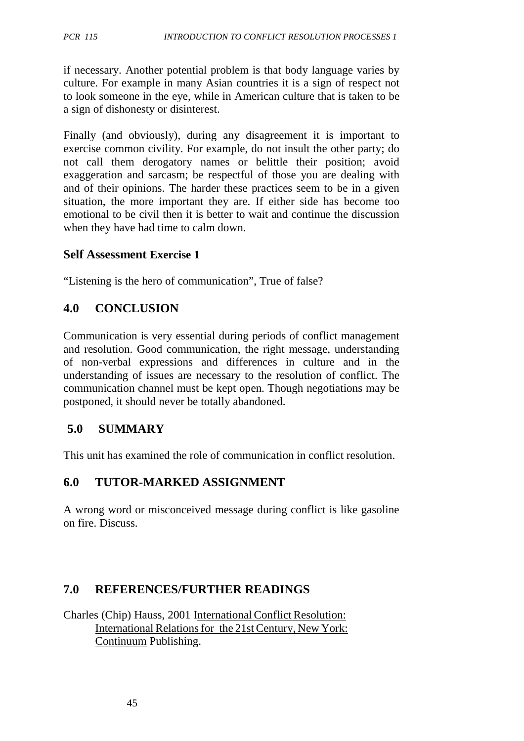if necessary. Another potential problem is that body language varies by culture. For example in many Asian countries it is a sign of respect not to look someone in the eye, while in American culture that is taken to be a sign of dishonesty or disinterest.

Finally (and obviously), during any disagreement it is important to exercise common civility. For example, do not insult the other party; do not call them derogatory names or belittle their position; avoid exaggeration and sarcasm; be respectful of those you are dealing with and of their opinions. The harder these practices seem to be in a given situation, the more important they are. If either side has become too emotional to be civil then it is better to wait and continue the discussion when they have had time to calm down.

#### **Self Assessment Exercise 1**

"Listening is the hero of communication", True of false?

# **4.0 CONCLUSION**

Communication is very essential during periods of conflict management and resolution. Good communication, the right message, understanding of non-verbal expressions and differences in culture and in the understanding of issues are necessary to the resolution of conflict. The communication channel must be kept open. Though negotiations may be postponed, it should never be totally abandoned.

## **5.0 SUMMARY**

This unit has examined the role of communication in conflict resolution.

## **6.0 TUTOR-MARKED ASSIGNMENT**

A wrong word or misconceived message during conflict is like gasoline on fire. Discuss.

## **7.0 REFERENCES/FURTHER READINGS**

Charles (Chip) Hauss, 2001 International Conflict Resolution: International Relations for the 21st Century, New York: Continuum Publishing.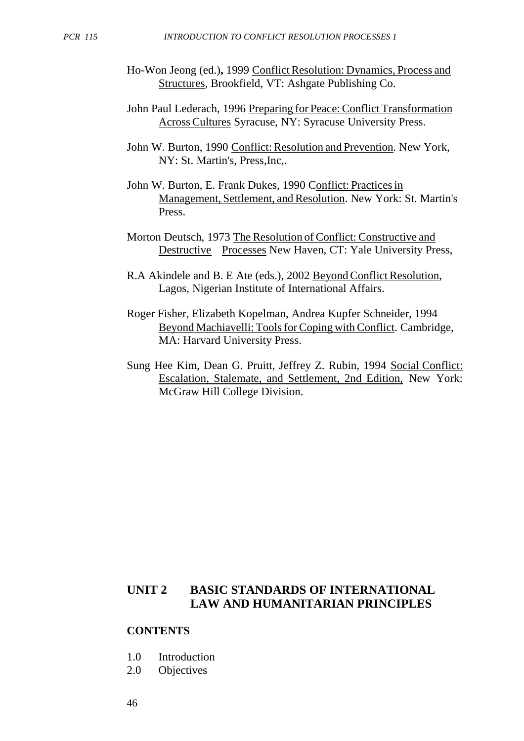- Ho-Won Jeong (ed.)**,** 1999 Conflict Resolution: Dynamics, Process and Structures, Brookfield, VT: Ashgate Publishing Co.
- John Paul Lederach, 1996 Preparing for Peace: Conflict Transformation Across Cultures Syracuse, NY: Syracuse University Press.
- John W. Burton, 1990 Conflict: Resolution and Prevention. New York, NY: St. Martin's, Press,Inc,.
- John W. Burton, E. Frank Dukes, 1990 Conflict: Practices in Management, Settlement, and Resolution. New York: St. Martin's Press.
- Morton Deutsch, 1973 The Resolution of Conflict: Constructive and Destructive Processes New Haven, CT: Yale University Press,
- R.A Akindele and B. E Ate (eds.), 2002 Beyond Conflict Resolution, Lagos, Nigerian Institute of International Affairs.
- Roger Fisher, Elizabeth Kopelman, Andrea Kupfer Schneider, 1994 Beyond Machiavelli: Tools for Coping with Conflict. Cambridge, MA: Harvard University Press.
- Sung Hee Kim, Dean G. Pruitt, Jeffrey Z. Rubin, 1994 Social Conflict: Escalation, Stalemate, and Settlement, 2nd Edition, New York: McGraw Hill College Division.

## **UNIT 2 BASIC STANDARDS OF INTERNATIONAL LAW AND HUMANITARIAN PRINCIPLES**

#### **CONTENTS**

- 1.0 Introduction
- 2.0 Objectives
- 46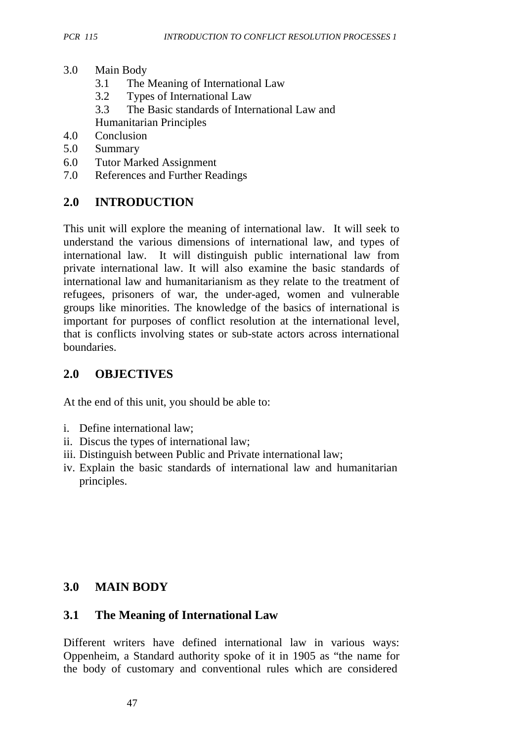#### 3.0 Main Body

- 3.1 The Meaning of International Law
- 3.2 Types of International Law
- 3.3 The Basic standards of International Law and
- Humanitarian Principles
- 4.0 Conclusion
- 5.0 Summary
- 6.0 Tutor Marked Assignment
- 7.0 References and Further Readings

# **2.0 INTRODUCTION**

This unit will explore the meaning of international law. It will seek to understand the various dimensions of international law, and types of international law. It will distinguish public international law from private international law. It will also examine the basic standards of international law and humanitarianism as they relate to the treatment of refugees, prisoners of war, the under-aged, women and vulnerable groups like minorities. The knowledge of the basics of international is important for purposes of conflict resolution at the international level, that is conflicts involving states or sub-state actors across international boundaries.

## **2.0 OBJECTIVES**

At the end of this unit, you should be able to:

- i. Define international law;
- ii. Discus the types of international law;
- iii. Distinguish between Public and Private international law;
- iv. Explain the basic standards of international law and humanitarian principles.

## **3.0 MAIN BODY**

## **3.1 The Meaning of International Law**

Different writers have defined international law in various ways: Oppenheim, a Standard authority spoke of it in 1905 as "the name for the body of customary and conventional rules which are considered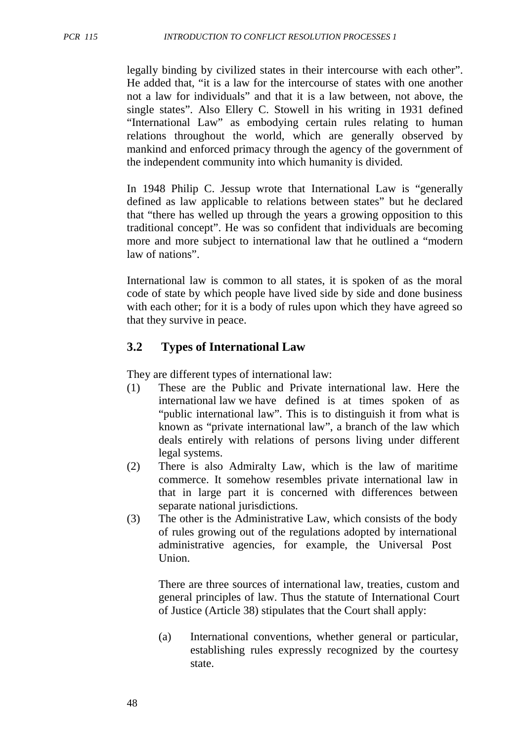legally binding by civilized states in their intercourse with each other". He added that, "it is a law for the intercourse of states with one another not a law for individuals" and that it is a law between, not above, the single states". Also Ellery C. Stowell in his writing in 1931 defined "International Law" as embodying certain rules relating to human relations throughout the world, which are generally observed by mankind and enforced primacy through the agency of the government of the independent community into which humanity is divided.

In 1948 Philip C. Jessup wrote that International Law is "generally defined as law applicable to relations between states" but he declared that "there has welled up through the years a growing opposition to this traditional concept". He was so confident that individuals are becoming more and more subject to international law that he outlined a "modern law of nations".

International law is common to all states, it is spoken of as the moral code of state by which people have lived side by side and done business with each other; for it is a body of rules upon which they have agreed so that they survive in peace.

# **3.2 Types of International Law**

They are different types of international law:

- (1) These are the Public and Private international law. Here the international law we have defined is at times spoken of as "public international law". This is to distinguish it from what is known as "private international law", a branch of the law which deals entirely with relations of persons living under different legal systems.
- (2) There is also Admiralty Law, which is the law of maritime commerce. It somehow resembles private international law in that in large part it is concerned with differences between separate national jurisdictions.
- (3) The other is the Administrative Law, which consists of the body of rules growing out of the regulations adopted by international administrative agencies, for example, the Universal Post Union.

There are three sources of international law, treaties, custom and general principles of law. Thus the statute of International Court of Justice (Article 38) stipulates that the Court shall apply:

(a) International conventions, whether general or particular, establishing rules expressly recognized by the courtesy state.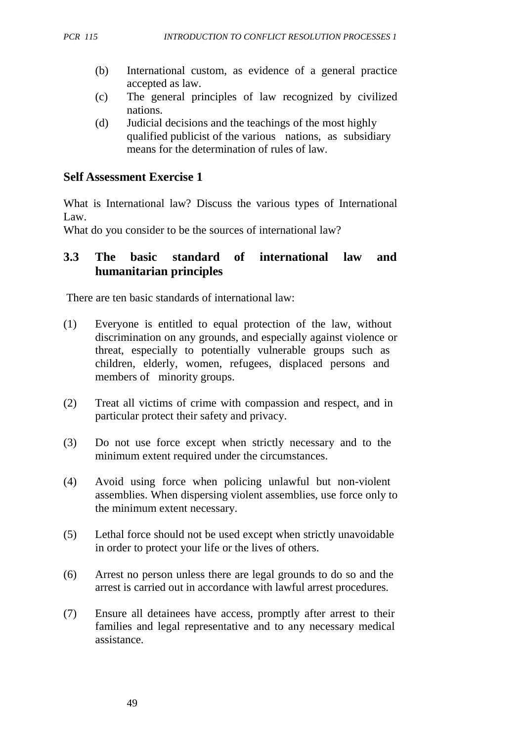- (b) International custom, as evidence of a general practice accepted as law.
- (c) The general principles of law recognized by civilized nations.
- (d) Judicial decisions and the teachings of the most highly qualified publicist of the various nations, as subsidiary means for the determination of rules of law.

#### **Self Assessment Exercise 1**

What is International law? Discuss the various types of International Law.

What do you consider to be the sources of international law?

#### **3.3 The basic standard of international law and humanitarian principles**

There are ten basic standards of international law:

- (1) Everyone is entitled to equal protection of the law, without discrimination on any grounds, and especially against violence or threat, especially to potentially vulnerable groups such as children, elderly, women, refugees, displaced persons and members of minority groups.
- (2) Treat all victims of crime with compassion and respect, and in particular protect their safety and privacy.
- (3) Do not use force except when strictly necessary and to the minimum extent required under the circumstances.
- (4) Avoid using force when policing unlawful but non-violent assemblies. When dispersing violent assemblies, use force only to the minimum extent necessary.
- (5) Lethal force should not be used except when strictly unavoidable in order to protect your life or the lives of others.
- (6) Arrest no person unless there are legal grounds to do so and the arrest is carried out in accordance with lawful arrest procedures.
- (7) Ensure all detainees have access, promptly after arrest to their families and legal representative and to any necessary medical assistance.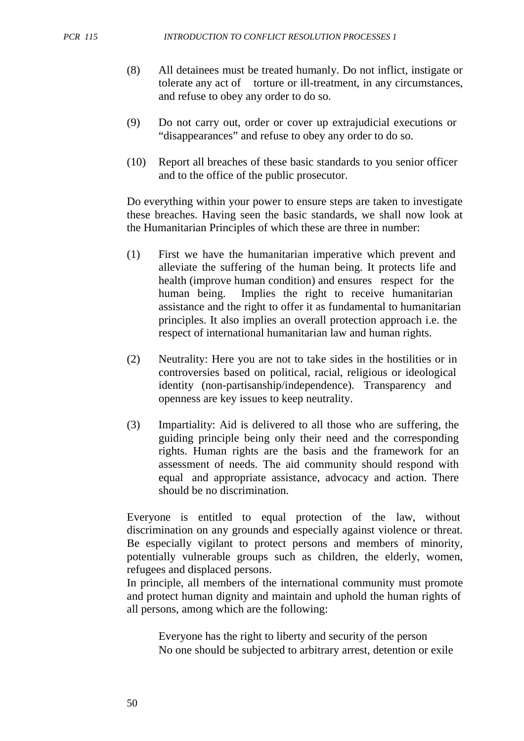- (8) All detainees must be treated humanly. Do not inflict, instigate or tolerate any act of torture or ill-treatment, in any circumstances, and refuse to obey any order to do so.
- (9) Do not carry out, order or cover up extrajudicial executions or "disappearances" and refuse to obey any order to do so.
- (10) Report all breaches of these basic standards to you senior officer and to the office of the public prosecutor.

Do everything within your power to ensure steps are taken to investigate these breaches. Having seen the basic standards, we shall now look at the Humanitarian Principles of which these are three in number:

- (1) First we have the humanitarian imperative which prevent and alleviate the suffering of the human being. It protects life and health (improve human condition) and ensures respect for the human being. Implies the right to receive humanitarian assistance and the right to offer it as fundamental to humanitarian principles. It also implies an overall protection approach i.e. the respect of international humanitarian law and human rights.
- (2) Neutrality: Here you are not to take sides in the hostilities or in controversies based on political, racial, religious or ideological identity (non-partisanship/independence). Transparency and openness are key issues to keep neutrality.
- (3) Impartiality: Aid is delivered to all those who are suffering, the guiding principle being only their need and the corresponding rights. Human rights are the basis and the framework for an assessment of needs. The aid community should respond with equal and appropriate assistance, advocacy and action. There should be no discrimination.

Everyone is entitled to equal protection of the law, without discrimination on any grounds and especially against violence or threat. Be especially vigilant to protect persons and members of minority, potentially vulnerable groups such as children, the elderly, women, refugees and displaced persons.

In principle, all members of the international community must promote and protect human dignity and maintain and uphold the human rights of all persons, among which are the following:

Everyone has the right to liberty and security of the person No one should be subjected to arbitrary arrest, detention or exile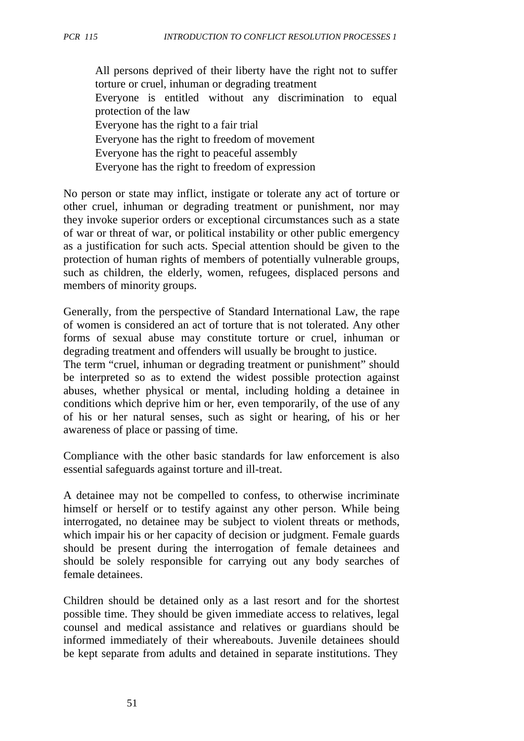All persons deprived of their liberty have the right not to suffer torture or cruel, inhuman or degrading treatment Everyone is entitled without any discrimination to equal protection of the law Everyone has the right to a fair trial Everyone has the right to freedom of movement Everyone has the right to peaceful assembly Everyone has the right to freedom of expression

No person or state may inflict, instigate or tolerate any act of torture or other cruel, inhuman or degrading treatment or punishment, nor may they invoke superior orders or exceptional circumstances such as a state of war or threat of war, or political instability or other public emergency as a justification for such acts. Special attention should be given to the protection of human rights of members of potentially vulnerable groups, such as children, the elderly, women, refugees, displaced persons and members of minority groups.

Generally, from the perspective of Standard International Law, the rape of women is considered an act of torture that is not tolerated. Any other forms of sexual abuse may constitute torture or cruel, inhuman or degrading treatment and offenders will usually be brought to justice.

The term "cruel, inhuman or degrading treatment or punishment" should be interpreted so as to extend the widest possible protection against abuses, whether physical or mental, including holding a detainee in conditions which deprive him or her, even temporarily, of the use of any of his or her natural senses, such as sight or hearing, of his or her awareness of place or passing of time.

Compliance with the other basic standards for law enforcement is also essential safeguards against torture and ill-treat.

A detainee may not be compelled to confess, to otherwise incriminate himself or herself or to testify against any other person. While being interrogated, no detainee may be subject to violent threats or methods, which impair his or her capacity of decision or judgment. Female guards should be present during the interrogation of female detainees and should be solely responsible for carrying out any body searches of female detainees.

Children should be detained only as a last resort and for the shortest possible time. They should be given immediate access to relatives, legal counsel and medical assistance and relatives or guardians should be informed immediately of their whereabouts. Juvenile detainees should be kept separate from adults and detained in separate institutions. They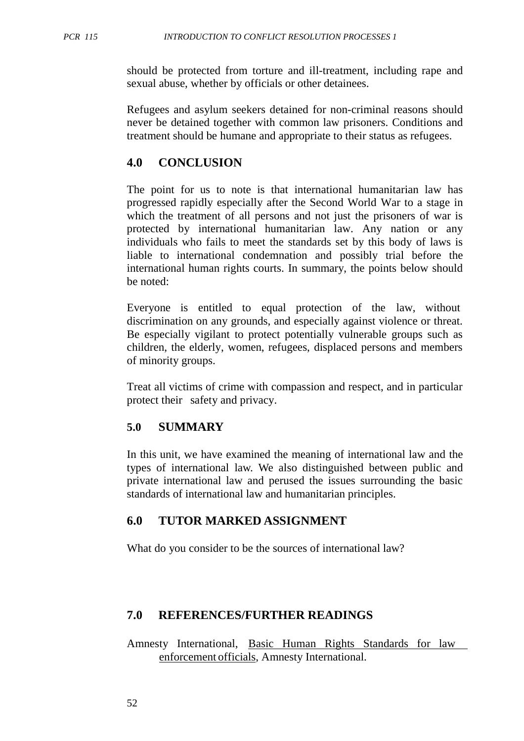should be protected from torture and ill-treatment, including rape and sexual abuse, whether by officials or other detainees.

Refugees and asylum seekers detained for non-criminal reasons should never be detained together with common law prisoners. Conditions and treatment should be humane and appropriate to their status as refugees.

## **4.0 CONCLUSION**

The point for us to note is that international humanitarian law has progressed rapidly especially after the Second World War to a stage in which the treatment of all persons and not just the prisoners of war is protected by international humanitarian law. Any nation or any individuals who fails to meet the standards set by this body of laws is liable to international condemnation and possibly trial before the international human rights courts. In summary, the points below should be noted:

Everyone is entitled to equal protection of the law, without discrimination on any grounds, and especially against violence or threat. Be especially vigilant to protect potentially vulnerable groups such as children, the elderly, women, refugees, displaced persons and members of minority groups.

Treat all victims of crime with compassion and respect, and in particular protect their safety and privacy.

## **5.0 SUMMARY**

In this unit, we have examined the meaning of international law and the types of international law. We also distinguished between public and private international law and perused the issues surrounding the basic standards of international law and humanitarian principles.

## **6.0 TUTOR MARKED ASSIGNMENT**

What do you consider to be the sources of international law?

## **7.0 REFERENCES/FURTHER READINGS**

Amnesty International, Basic Human Rights Standards for law enforcement officials, Amnesty International.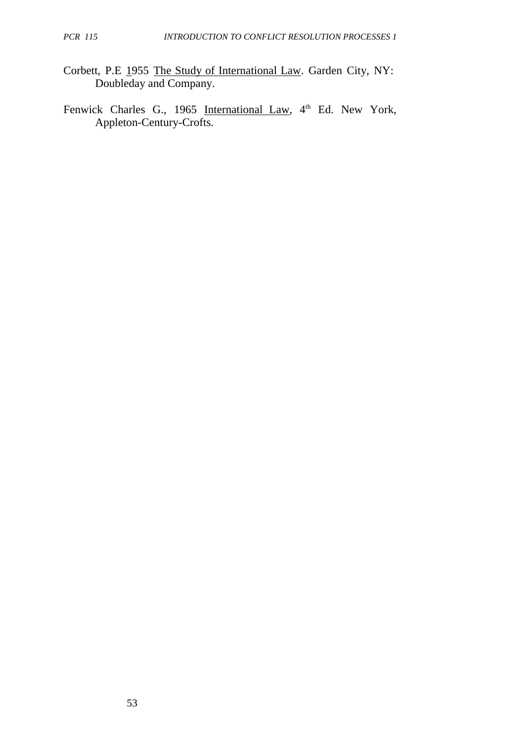- Corbett, P.E 1955 The Study of International Law. Garden City, NY: Doubleday and Company.
- Fenwick Charles G., 1965 International Law, 4<sup>th</sup> Ed. New York, Appleton-Century-Crofts.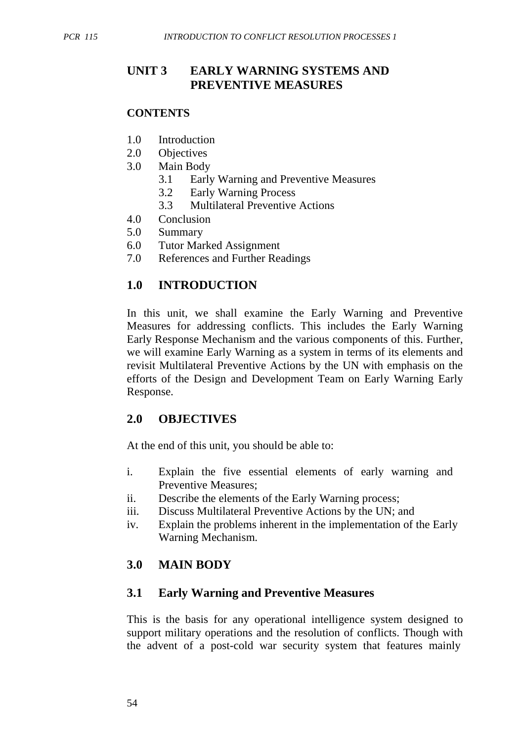## **UNIT 3 EARLY WARNING SYSTEMS AND PREVENTIVE MEASURES**

#### **CONTENTS**

- 1.0 Introduction
- 2.0 Objectives
- 3.0 Main Body
	- 3.1 Early Warning and Preventive Measures
	- 3.2 Early Warning Process
	- 3.3 Multilateral Preventive Actions
- 4.0 Conclusion
- 5.0 Summary
- 6.0 Tutor Marked Assignment
- 7.0 References and Further Readings

#### **1.0 INTRODUCTION**

In this unit, we shall examine the Early Warning and Preventive Measures for addressing conflicts. This includes the Early Warning Early Response Mechanism and the various components of this. Further, we will examine Early Warning as a system in terms of its elements and revisit Multilateral Preventive Actions by the UN with emphasis on the efforts of the Design and Development Team on Early Warning Early Response.

#### **2.0 OBJECTIVES**

At the end of this unit, you should be able to:

- i. Explain the five essential elements of early warning and Preventive Measures;
- ii. Describe the elements of the Early Warning process;
- iii. Discuss Multilateral Preventive Actions by the UN; and
- iv. Explain the problems inherent in the implementation of the Early Warning Mechanism.

## **3.0 MAIN BODY**

#### **3.1 Early Warning and Preventive Measures**

This is the basis for any operational intelligence system designed to support military operations and the resolution of conflicts. Though with the advent of a post-cold war security system that features mainly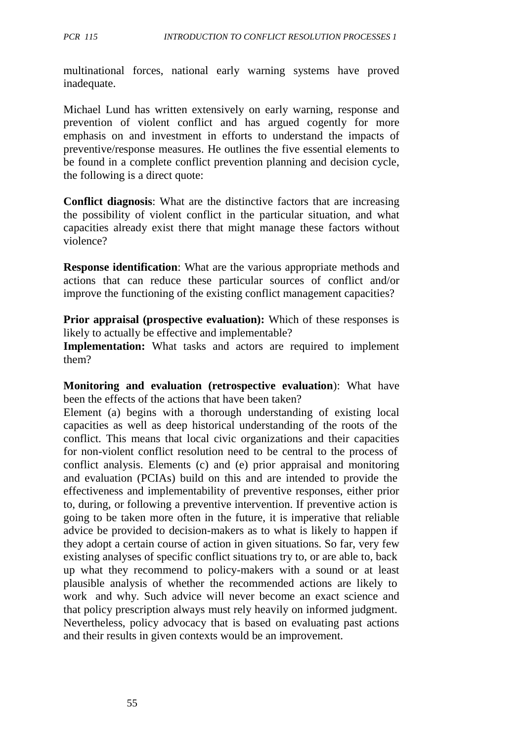multinational forces, national early warning systems have proved inadequate.

Michael Lund has written extensively on early warning, response and prevention of violent conflict and has argued cogently for more emphasis on and investment in efforts to understand the impacts of preventive/response measures. He outlines the five essential elements to be found in a complete conflict prevention planning and decision cycle, the following is a direct quote:

**Conflict diagnosis**: What are the distinctive factors that are increasing the possibility of violent conflict in the particular situation, and what capacities already exist there that might manage these factors without violence?

**Response identification**: What are the various appropriate methods and actions that can reduce these particular sources of conflict and/or improve the functioning of the existing conflict management capacities?

**Prior appraisal (prospective evaluation):** Which of these responses is likely to actually be effective and implementable?

**Implementation:** What tasks and actors are required to implement them?

**Monitoring and evaluation (retrospective evaluation**): What have been the effects of the actions that have been taken?

Element (a) begins with a thorough understanding of existing local capacities as well as deep historical understanding of the roots of the conflict. This means that local civic organizations and their capacities for non-violent conflict resolution need to be central to the process of conflict analysis. Elements (c) and (e) prior appraisal and monitoring and evaluation (PCIAs) build on this and are intended to provide the effectiveness and implementability of preventive responses, either prior to, during, or following a preventive intervention. If preventive action is going to be taken more often in the future, it is imperative that reliable advice be provided to decision-makers as to what is likely to happen if they adopt a certain course of action in given situations. So far, very few existing analyses of specific conflict situations try to, or are able to, back up what they recommend to policy-makers with a sound or at least plausible analysis of whether the recommended actions are likely to work and why. Such advice will never become an exact science and that policy prescription always must rely heavily on informed judgment. Nevertheless, policy advocacy that is based on evaluating past actions and their results in given contexts would be an improvement.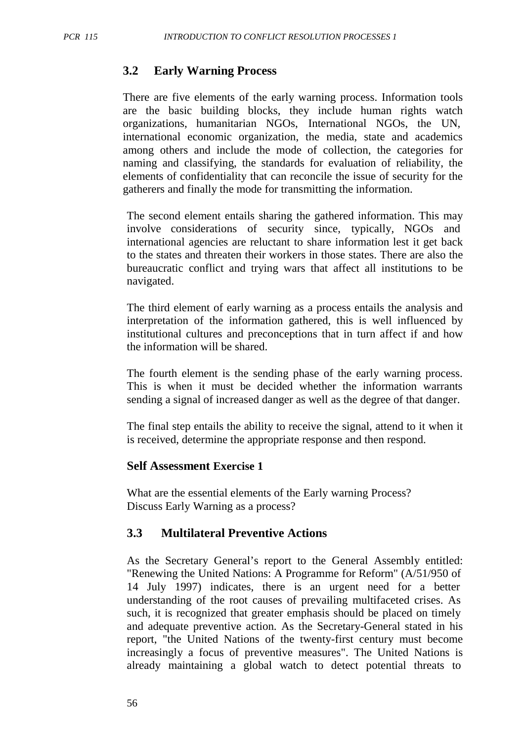# **3.2 Early Warning Process**

There are five elements of the early warning process. Information tools are the basic building blocks, they include human rights watch organizations, humanitarian NGOs, International NGOs, the UN, international economic organization, the media, state and academics among others and include the mode of collection, the categories for naming and classifying, the standards for evaluation of reliability, the elements of confidentiality that can reconcile the issue of security for the gatherers and finally the mode for transmitting the information.

The second element entails sharing the gathered information. This may involve considerations of security since, typically, NGOs and international agencies are reluctant to share information lest it get back to the states and threaten their workers in those states. There are also the bureaucratic conflict and trying wars that affect all institutions to be navigated.

The third element of early warning as a process entails the analysis and interpretation of the information gathered, this is well influenced by institutional cultures and preconceptions that in turn affect if and how the information will be shared.

The fourth element is the sending phase of the early warning process. This is when it must be decided whether the information warrants sending a signal of increased danger as well as the degree of that danger.

The final step entails the ability to receive the signal, attend to it when it is received, determine the appropriate response and then respond.

#### **Self Assessment Exercise 1**

What are the essential elements of the Early warning Process? Discuss Early Warning as a process?

## **3.3 Multilateral Preventive Actions**

As the Secretary General's report to the General Assembly entitled: "Renewing the United Nations: A Programme for Reform" (A/51/950 of 14 July 1997) indicates, there is an urgent need for a better understanding of the root causes of prevailing multifaceted crises. As such, it is recognized that greater emphasis should be placed on timely and adequate preventive action. As the Secretary-General stated in his report, "the United Nations of the twenty-first century must become increasingly a focus of preventive measures". The United Nations is already maintaining a global watch to detect potential threats to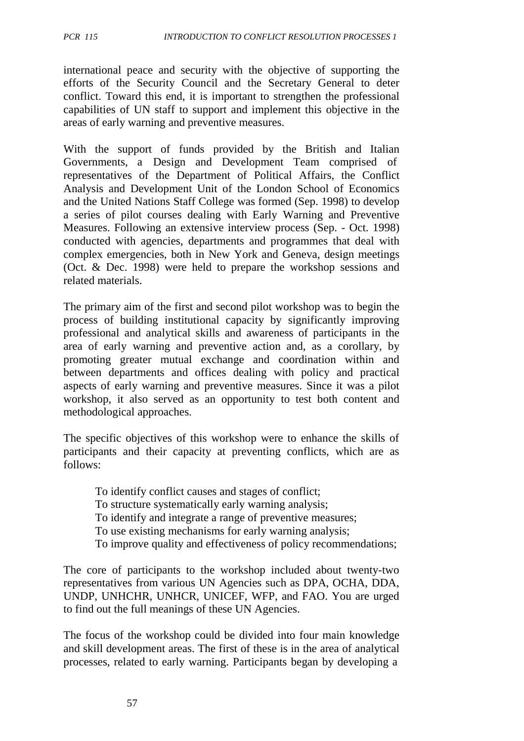international peace and security with the objective of supporting the efforts of the Security Council and the Secretary General to deter conflict. Toward this end, it is important to strengthen the professional capabilities of UN staff to support and implement this objective in the areas of early warning and preventive measures.

With the support of funds provided by the British and Italian Governments, a Design and Development Team comprised of representatives of the Department of Political Affairs, the Conflict Analysis and Development Unit of the London School of Economics and the United Nations Staff College was formed (Sep. 1998) to develop a series of pilot courses dealing with Early Warning and Preventive Measures. Following an extensive interview process (Sep. - Oct. 1998) conducted with agencies, departments and programmes that deal with complex emergencies, both in New York and Geneva, design meetings (Oct. & Dec. 1998) were held to prepare the workshop sessions and related materials.

The primary aim of the first and second pilot workshop was to begin the process of building institutional capacity by significantly improving professional and analytical skills and awareness of participants in the area of early warning and preventive action and, as a corollary, by promoting greater mutual exchange and coordination within and between departments and offices dealing with policy and practical aspects of early warning and preventive measures. Since it was a pilot workshop, it also served as an opportunity to test both content and methodological approaches.

The specific objectives of this workshop were to enhance the skills of participants and their capacity at preventing conflicts, which are as follows:

To identify conflict causes and stages of conflict; To structure systematically early warning analysis;

- To identify and integrate a range of preventive measures;
- To use existing mechanisms for early warning analysis;
- To improve quality and effectiveness of policy recommendations;

The core of participants to the workshop included about twenty-two representatives from various UN Agencies such as DPA, OCHA, DDA, UNDP, UNHCHR, UNHCR, UNICEF, WFP, and FAO. You are urged to find out the full meanings of these UN Agencies.

The focus of the workshop could be divided into four main knowledge and skill development areas. The first of these is in the area of analytical processes, related to early warning. Participants began by developing a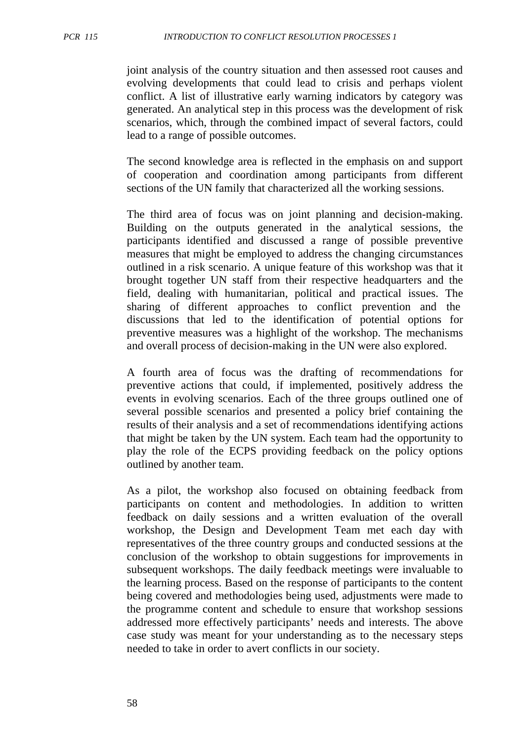joint analysis of the country situation and then assessed root causes and evolving developments that could lead to crisis and perhaps violent conflict. A list of illustrative early warning indicators by category was generated. An analytical step in this process was the development of risk scenarios, which, through the combined impact of several factors, could lead to a range of possible outcomes.

The second knowledge area is reflected in the emphasis on and support of cooperation and coordination among participants from different sections of the UN family that characterized all the working sessions.

The third area of focus was on joint planning and decision-making. Building on the outputs generated in the analytical sessions, the participants identified and discussed a range of possible preventive measures that might be employed to address the changing circumstances outlined in a risk scenario. A unique feature of this workshop was that it brought together UN staff from their respective headquarters and the field, dealing with humanitarian, political and practical issues. The sharing of different approaches to conflict prevention and the discussions that led to the identification of potential options for preventive measures was a highlight of the workshop. The mechanisms and overall process of decision-making in the UN were also explored.

A fourth area of focus was the drafting of recommendations for preventive actions that could, if implemented, positively address the events in evolving scenarios. Each of the three groups outlined one of several possible scenarios and presented a policy brief containing the results of their analysis and a set of recommendations identifying actions that might be taken by the UN system. Each team had the opportunity to play the role of the ECPS providing feedback on the policy options outlined by another team.

As a pilot, the workshop also focused on obtaining feedback from participants on content and methodologies. In addition to written feedback on daily sessions and a written evaluation of the overall workshop, the Design and Development Team met each day with representatives of the three country groups and conducted sessions at the conclusion of the workshop to obtain suggestions for improvements in subsequent workshops. The daily feedback meetings were invaluable to the learning process. Based on the response of participants to the content being covered and methodologies being used, adjustments were made to the programme content and schedule to ensure that workshop sessions addressed more effectively participants' needs and interests. The above case study was meant for your understanding as to the necessary steps needed to take in order to avert conflicts in our society.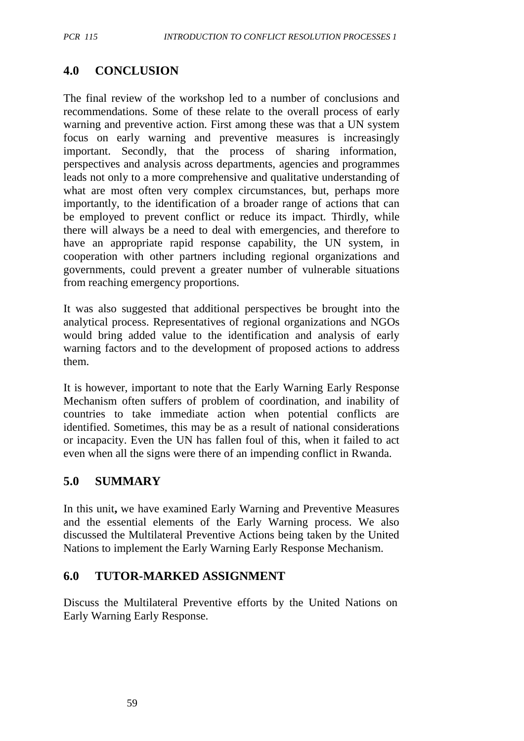# **4.0 CONCLUSION**

The final review of the workshop led to a number of conclusions and recommendations. Some of these relate to the overall process of early warning and preventive action. First among these was that a UN system focus on early warning and preventive measures is increasingly important. Secondly, that the process of sharing information, perspectives and analysis across departments, agencies and programmes leads not only to a more comprehensive and qualitative understanding of what are most often very complex circumstances, but, perhaps more importantly, to the identification of a broader range of actions that can be employed to prevent conflict or reduce its impact. Thirdly, while there will always be a need to deal with emergencies, and therefore to have an appropriate rapid response capability, the UN system, in cooperation with other partners including regional organizations and governments, could prevent a greater number of vulnerable situations from reaching emergency proportions.

It was also suggested that additional perspectives be brought into the analytical process. Representatives of regional organizations and NGOs would bring added value to the identification and analysis of early warning factors and to the development of proposed actions to address them.

It is however, important to note that the Early Warning Early Response Mechanism often suffers of problem of coordination, and inability of countries to take immediate action when potential conflicts are identified. Sometimes, this may be as a result of national considerations or incapacity. Even the UN has fallen foul of this, when it failed to act even when all the signs were there of an impending conflict in Rwanda.

## **5.0 SUMMARY**

In this unit**,** we have examined Early Warning and Preventive Measures and the essential elements of the Early Warning process. We also discussed the Multilateral Preventive Actions being taken by the United Nations to implement the Early Warning Early Response Mechanism.

#### **6.0 TUTOR-MARKED ASSIGNMENT**

Discuss the Multilateral Preventive efforts by the United Nations on Early Warning Early Response.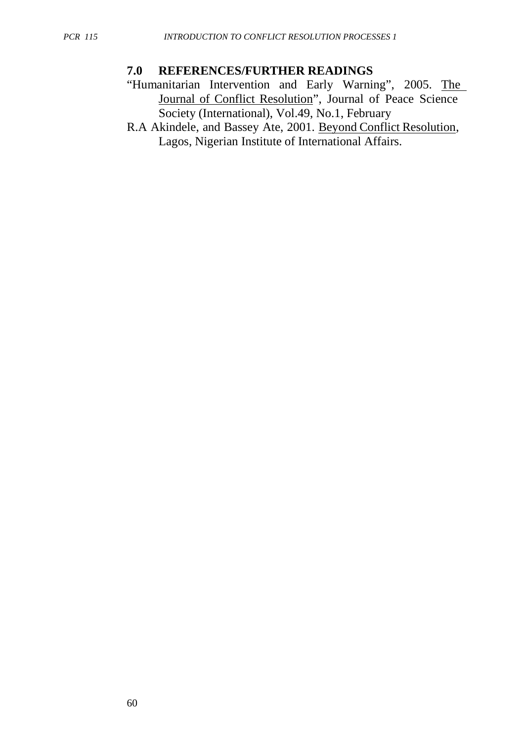#### **7.0 REFERENCES/FURTHER READINGS**

- "Humanitarian Intervention and Early Warning", 2005. The Journal of Conflict Resolution", Journal of Peace Science Society (International), Vol.49, No.1, February
- R.A Akindele, and Bassey Ate, 2001. Beyond Conflict Resolution, Lagos, Nigerian Institute of International Affairs.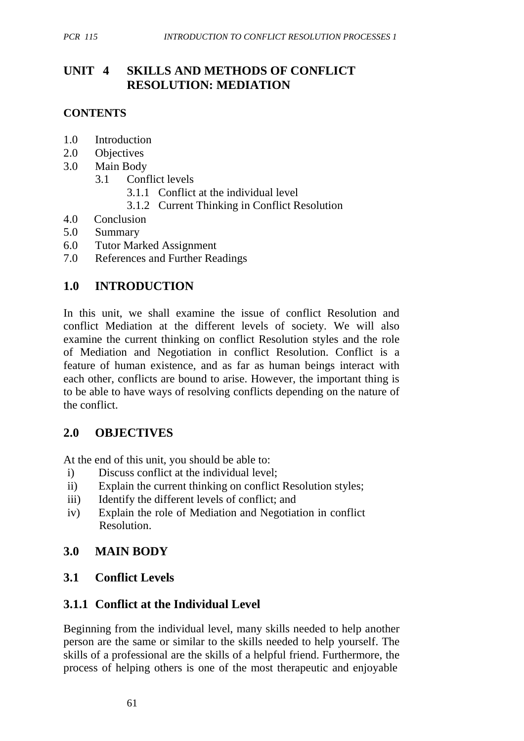# **UNIT 4 SKILLS AND METHODS OF CONFLICT RESOLUTION: MEDIATION**

#### **CONTENTS**

- 1.0 Introduction
- 2.0 Objectives
- 3.0 Main Body
	- 3.1 Conflict levels
		- 3.1.1 Conflict at the individual level
		- 3.1.2 Current Thinking in Conflict Resolution
- 4.0 Conclusion
- 5.0 Summary
- 6.0 Tutor Marked Assignment
- 7.0 References and Further Readings

# **1.0 INTRODUCTION**

In this unit, we shall examine the issue of conflict Resolution and conflict Mediation at the different levels of society. We will also examine the current thinking on conflict Resolution styles and the role of Mediation and Negotiation in conflict Resolution. Conflict is a feature of human existence, and as far as human beings interact with each other, conflicts are bound to arise. However, the important thing is to be able to have ways of resolving conflicts depending on the nature of the conflict.

## **2.0 OBJECTIVES**

At the end of this unit, you should be able to:

- i) Discuss conflict at the individual level;
- ii) Explain the current thinking on conflict Resolution styles;
- iii) Identify the different levels of conflict; and
- iv) Explain the role of Mediation and Negotiation in conflict Resolution.

## **3.0 MAIN BODY**

## **3.1 Conflict Levels**

# **3.1.1 Conflict at the Individual Level**

Beginning from the individual level, many skills needed to help another person are the same or similar to the skills needed to help yourself. The skills of a professional are the skills of a helpful friend. Furthermore, the process of helping others is one of the most therapeutic and enjoyable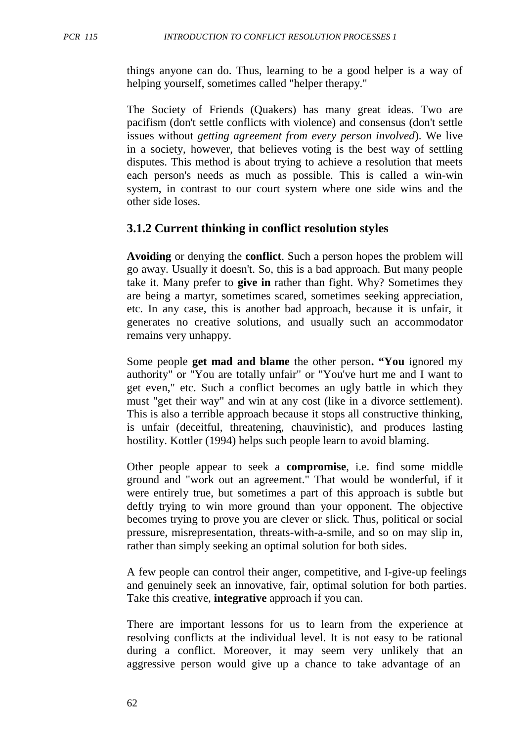things anyone can do. Thus, learning to be a good helper is a way of helping yourself, sometimes called "helper therapy."

The Society of Friends (Quakers) has many great ideas. Two are pacifism (don't settle conflicts with violence) and consensus (don't settle issues without *getting agreement from every person involved*). We live in a society, however, that believes voting is the best way of settling disputes. This method is about trying to achieve a resolution that meets each person's needs as much as possible. This is called a win-win system, in contrast to our court system where one side wins and the other side loses.

#### **3.1.2 Current thinking in conflict resolution styles**

**Avoiding** or denying the **conflict**. Such a person hopes the problem will go away. Usually it doesn't. So, this is a bad approach. But many people take it. Many prefer to **give in** rather than fight. Why? Sometimes they are being a martyr, sometimes scared, sometimes seeking appreciation, etc. In any case, this is another bad approach, because it is unfair, it generates no creative solutions, and usually such an accommodator remains very unhappy.

Some people **get mad and blame** the other person**. "You** ignored my authority" or "You are totally unfair" or "You've hurt me and I want to get even," etc. Such a conflict becomes an ugly battle in which they must "get their way" and win at any cost (like in a divorce settlement). This is also a terrible approach because it stops all constructive thinking, is unfair (deceitful, threatening, chauvinistic), and produces lasting hostility. Kottler (1994) helps such people learn to avoid blaming.

Other people appear to seek a **compromise**, i.e. find some middle ground and "work out an agreement." That would be wonderful, if it were entirely true, but sometimes a part of this approach is subtle but deftly trying to win more ground than your opponent. The objective becomes trying to prove you are clever or slick. Thus, political or social pressure, misrepresentation, threats-with-a-smile, and so on may slip in, rather than simply seeking an optimal solution for both sides.

A few people can control their anger, competitive, and I-give-up feelings and genuinely seek an innovative, fair, optimal solution for both parties. Take this creative, **integrative** approach if you can.

There are important lessons for us to learn from the experience at resolving conflicts at the individual level. It is not easy to be rational during a conflict. Moreover, it may seem very unlikely that an aggressive person would give up a chance to take advantage of an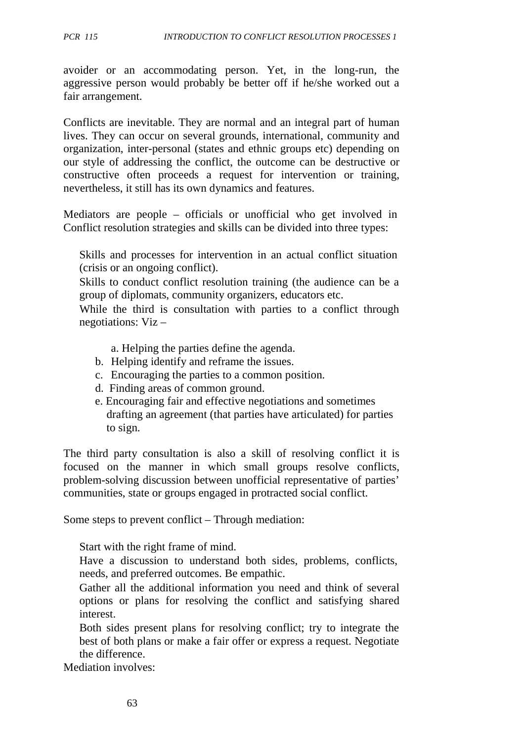avoider or an accommodating person. Yet, in the long-run, the aggressive person would probably be better off if he/she worked out a fair arrangement.

Conflicts are inevitable. They are normal and an integral part of human lives. They can occur on several grounds, international, community and organization, inter-personal (states and ethnic groups etc) depending on our style of addressing the conflict, the outcome can be destructive or constructive often proceeds a request for intervention or training, nevertheless, it still has its own dynamics and features.

Mediators are people – officials or unofficial who get involved in Conflict resolution strategies and skills can be divided into three types:

Skills and processes for intervention in an actual conflict situation (crisis or an ongoing conflict).

Skills to conduct conflict resolution training (the audience can be a group of diplomats, community organizers, educators etc.

While the third is consultation with parties to a conflict through negotiations: Viz –

a. Helping the parties define the agenda.

- b. Helping identify and reframe the issues.
- c. Encouraging the parties to a common position.
- d. Finding areas of common ground.
- e. Encouraging fair and effective negotiations and sometimes drafting an agreement (that parties have articulated) for parties to sign.

The third party consultation is also a skill of resolving conflict it is focused on the manner in which small groups resolve conflicts, problem-solving discussion between unofficial representative of parties' communities, state or groups engaged in protracted social conflict.

Some steps to prevent conflict – Through mediation:

Start with the right frame of mind.

Have a discussion to understand both sides, problems, conflicts, needs, and preferred outcomes. Be empathic.

Gather all the additional information you need and think of several options or plans for resolving the conflict and satisfying shared interest.

Both sides present plans for resolving conflict; try to integrate the best of both plans or make a fair offer or express a request. Negotiate the difference.

Mediation involves: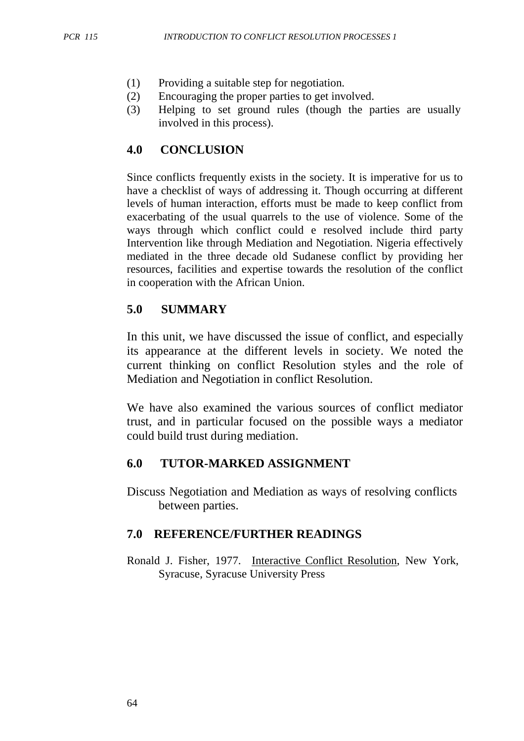- (1) Providing a suitable step for negotiation.
- (2) Encouraging the proper parties to get involved.
- (3) Helping to set ground rules (though the parties are usually involved in this process).

# **4.0 CONCLUSION**

Since conflicts frequently exists in the society. It is imperative for us to have a checklist of ways of addressing it. Though occurring at different levels of human interaction, efforts must be made to keep conflict from exacerbating of the usual quarrels to the use of violence. Some of the ways through which conflict could e resolved include third party Intervention like through Mediation and Negotiation. Nigeria effectively mediated in the three decade old Sudanese conflict by providing her resources, facilities and expertise towards the resolution of the conflict in cooperation with the African Union.

# **5.0 SUMMARY**

In this unit, we have discussed the issue of conflict, and especially its appearance at the different levels in society. We noted the current thinking on conflict Resolution styles and the role of Mediation and Negotiation in conflict Resolution.

We have also examined the various sources of conflict mediator trust, and in particular focused on the possible ways a mediator could build trust during mediation.

## **6.0 TUTOR-MARKED ASSIGNMENT**

Discuss Negotiation and Mediation as ways of resolving conflicts between parties.

## **7.0 REFERENCE/FURTHER READINGS**

Ronald J. Fisher, 1977. Interactive Conflict Resolution, New York, Syracuse, Syracuse University Press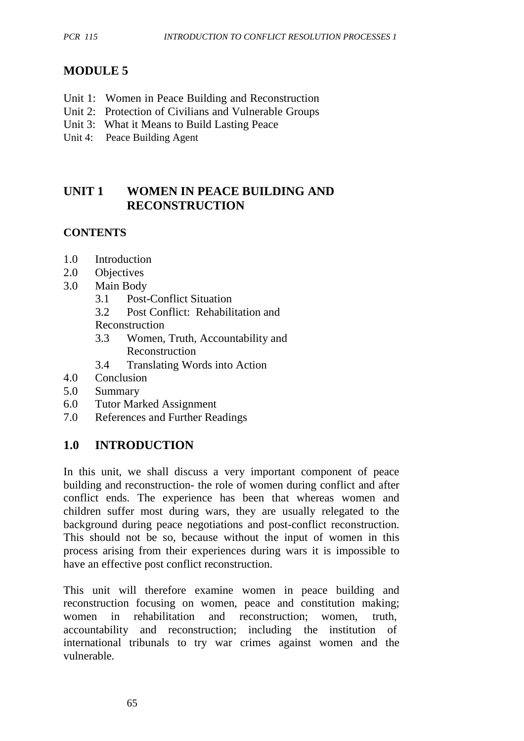# **MODULE 5**

- Unit 1: Women in Peace Building and Reconstruction
- Unit 2: Protection of Civilians and Vulnerable Groups
- Unit 3: What it Means to Build Lasting Peace
- Unit 4: Peace Building Agent

# **UNIT 1 WOMEN IN PEACE BUILDING AND RECONSTRUCTION**

## **CONTENTS**

- 1.0 Introduction
- 2.0 Objectives
- 3.0 Main Body
	- 3.1 Post-Conflict Situation
	- 3.2 Post Conflict: Rehabilitation and
	- Reconstruction
	- 3.3 Women, Truth, Accountability and Reconstruction
	- 3.4 Translating Words into Action
- 4.0 Conclusion
- 5.0 Summary
- 6.0 Tutor Marked Assignment
- 7.0 References and Further Readings

# **1.0 INTRODUCTION**

In this unit, we shall discuss a very important component of peace building and reconstruction- the role of women during conflict and after conflict ends. The experience has been that whereas women and children suffer most during wars, they are usually relegated to the background during peace negotiations and post-conflict reconstruction. This should not be so, because without the input of women in this process arising from their experiences during wars it is impossible to have an effective post conflict reconstruction.

This unit will therefore examine women in peace building and reconstruction focusing on women, peace and constitution making; women in rehabilitation and reconstruction; women, truth, accountability and reconstruction; including the institution of international tribunals to try war crimes against women and the vulnerable.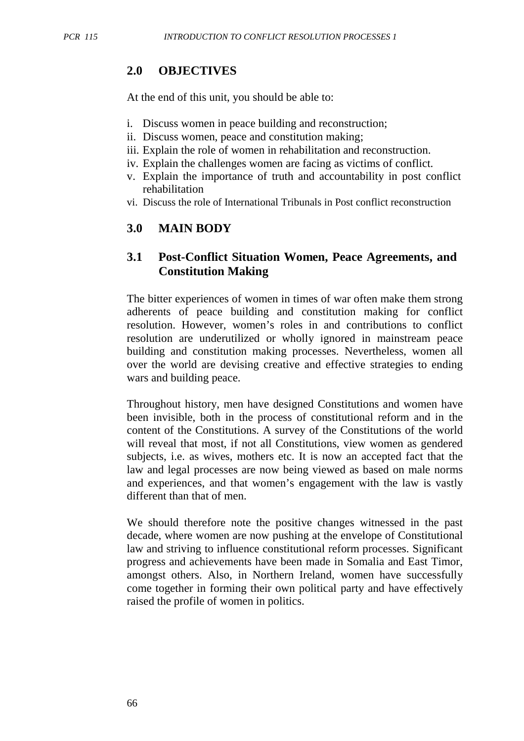# **2.0 OBJECTIVES**

At the end of this unit, you should be able to:

- i. Discuss women in peace building and reconstruction;
- ii. Discuss women, peace and constitution making;
- iii. Explain the role of women in rehabilitation and reconstruction.
- iv. Explain the challenges women are facing as victims of conflict.
- v. Explain the importance of truth and accountability in post conflict rehabilitation
- vi. Discuss the role of International Tribunals in Post conflict reconstruction

# **3.0 MAIN BODY**

# **3.1 Post-Conflict Situation Women, Peace Agreements, and Constitution Making**

The bitter experiences of women in times of war often make them strong adherents of peace building and constitution making for conflict resolution. However, women's roles in and contributions to conflict resolution are underutilized or wholly ignored in mainstream peace building and constitution making processes. Nevertheless, women all over the world are devising creative and effective strategies to ending wars and building peace.

Throughout history, men have designed Constitutions and women have been invisible, both in the process of constitutional reform and in the content of the Constitutions. A survey of the Constitutions of the world will reveal that most, if not all Constitutions, view women as gendered subjects, i.e. as wives, mothers etc. It is now an accepted fact that the law and legal processes are now being viewed as based on male norms and experiences, and that women's engagement with the law is vastly different than that of men.

We should therefore note the positive changes witnessed in the past decade, where women are now pushing at the envelope of Constitutional law and striving to influence constitutional reform processes. Significant progress and achievements have been made in Somalia and East Timor, amongst others. Also, in Northern Ireland, women have successfully come together in forming their own political party and have effectively raised the profile of women in politics.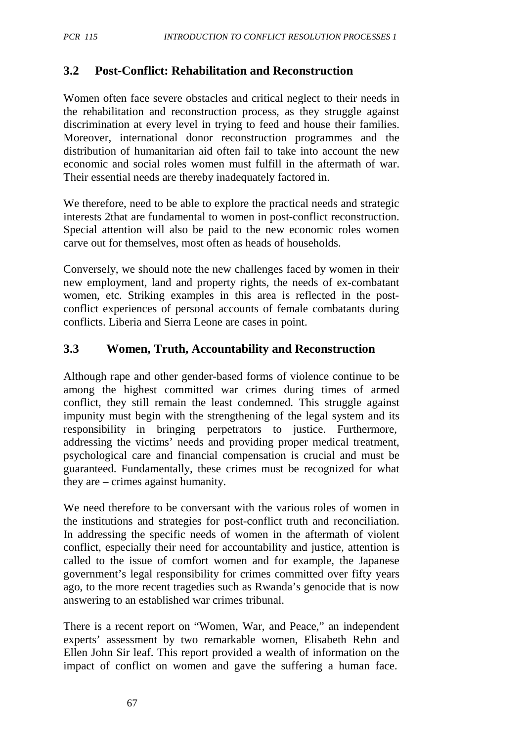#### **3.2 Post-Conflict: Rehabilitation and Reconstruction**

Women often face severe obstacles and critical neglect to their needs in the rehabilitation and reconstruction process, as they struggle against discrimination at every level in trying to feed and house their families. Moreover, international donor reconstruction programmes and the distribution of humanitarian aid often fail to take into account the new economic and social roles women must fulfill in the aftermath of war. Their essential needs are thereby inadequately factored in.

We therefore, need to be able to explore the practical needs and strategic interests 2that are fundamental to women in post-conflict reconstruction. Special attention will also be paid to the new economic roles women carve out for themselves, most often as heads of households.

Conversely, we should note the new challenges faced by women in their new employment, land and property rights, the needs of ex-combatant women, etc. Striking examples in this area is reflected in the postconflict experiences of personal accounts of female combatants during conflicts. Liberia and Sierra Leone are cases in point.

#### **3.3 Women, Truth, Accountability and Reconstruction**

Although rape and other gender-based forms of violence continue to be among the highest committed war crimes during times of armed conflict, they still remain the least condemned. This struggle against impunity must begin with the strengthening of the legal system and its responsibility in bringing perpetrators to justice. Furthermore, addressing the victims' needs and providing proper medical treatment, psychological care and financial compensation is crucial and must be guaranteed. Fundamentally, these crimes must be recognized for what they are – crimes against humanity.

We need therefore to be conversant with the various roles of women in the institutions and strategies for post-conflict truth and reconciliation. In addressing the specific needs of women in the aftermath of violent conflict, especially their need for accountability and justice, attention is called to the issue of comfort women and for example, the Japanese government's legal responsibility for crimes committed over fifty years ago, to the more recent tragedies such as Rwanda's genocide that is now answering to an established war crimes tribunal.

There is a recent report on "Women, War, and Peace," an independent experts' assessment by two remarkable women, Elisabeth Rehn and Ellen John Sir leaf. This report provided a wealth of information on the impact of conflict on women and gave the suffering a human face.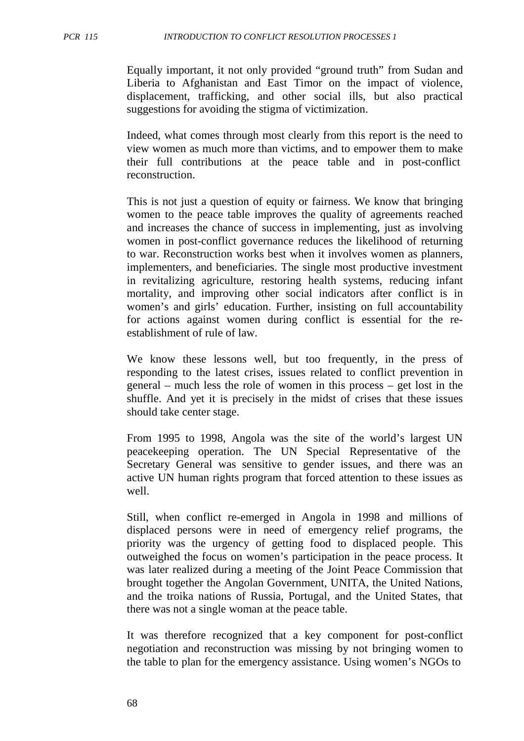Equally important, it not only provided "ground truth" from Sudan and Liberia to Afghanistan and East Timor on the impact of violence, displacement, trafficking, and other social ills, but also practical suggestions for avoiding the stigma of victimization.

Indeed, what comes through most clearly from this report is the need to view women as much more than victims, and to empower them to make their full contributions at the peace table and in post-conflict reconstruction.

This is not just a question of equity or fairness. We know that bringing women to the peace table improves the quality of agreements reached and increases the chance of success in implementing, just as involving women in post-conflict governance reduces the likelihood of returning to war. Reconstruction works best when it involves women as planners, implementers, and beneficiaries. The single most productive investment in revitalizing agriculture, restoring health systems, reducing infant mortality, and improving other social indicators after conflict is in women's and girls' education. Further, insisting on full accountability for actions against women during conflict is essential for the reestablishment of rule of law.

We know these lessons well, but too frequently, in the press of responding to the latest crises, issues related to conflict prevention in general – much less the role of women in this process – get lost in the shuffle. And yet it is precisely in the midst of crises that these issues should take center stage.

From 1995 to 1998, Angola was the site of the world's largest UN peacekeeping operation. The UN Special Representative of the Secretary General was sensitive to gender issues, and there was an active UN human rights program that forced attention to these issues as well.

Still, when conflict re-emerged in Angola in 1998 and millions of displaced persons were in need of emergency relief programs, the priority was the urgency of getting food to displaced people. This outweighed the focus on women's participation in the peace process. It was later realized during a meeting of the Joint Peace Commission that brought together the Angolan Government, UNITA, the United Nations, and the troika nations of Russia, Portugal, and the United States, that there was not a single woman at the peace table.

It was therefore recognized that a key component for post-conflict negotiation and reconstruction was missing by not bringing women to the table to plan for the emergency assistance. Using women's NGOs to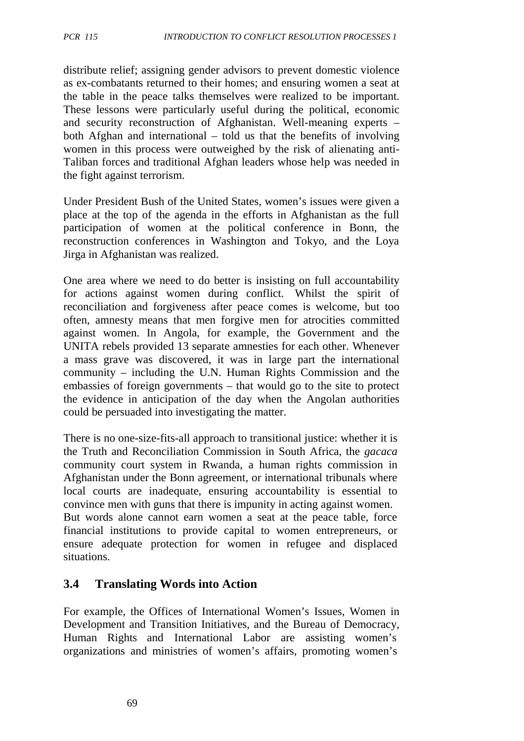distribute relief; assigning gender advisors to prevent domestic violence as ex-combatants returned to their homes; and ensuring women a seat at the table in the peace talks themselves were realized to be important. These lessons were particularly useful during the political, economic and security reconstruction of Afghanistan. Well-meaning experts – both Afghan and international – told us that the benefits of involving women in this process were outweighed by the risk of alienating anti-Taliban forces and traditional Afghan leaders whose help was needed in the fight against terrorism.

Under President Bush of the United States, women's issues were given a place at the top of the agenda in the efforts in Afghanistan as the full participation of women at the political conference in Bonn, the reconstruction conferences in Washington and Tokyo, and the Loya Jirga in Afghanistan was realized.

One area where we need to do better is insisting on full accountability for actions against women during conflict. Whilst the spirit of reconciliation and forgiveness after peace comes is welcome, but too often, amnesty means that men forgive men for atrocities committed against women. In Angola, for example, the Government and the UNITA rebels provided 13 separate amnesties for each other. Whenever a mass grave was discovered, it was in large part the international community – including the U.N. Human Rights Commission and the embassies of foreign governments – that would go to the site to protect the evidence in anticipation of the day when the Angolan authorities could be persuaded into investigating the matter.

There is no one-size-fits-all approach to transitional justice: whether it is the Truth and Reconciliation Commission in South Africa, the *gacaca*  community court system in Rwanda, a human rights commission in Afghanistan under the Bonn agreement, or international tribunals where local courts are inadequate, ensuring accountability is essential to convince men with guns that there is impunity in acting against women. But words alone cannot earn women a seat at the peace table, force financial institutions to provide capital to women entrepreneurs, or ensure adequate protection for women in refugee and displaced situations.

## **3.4 Translating Words into Action**

For example, the Offices of International Women's Issues, Women in Development and Transition Initiatives, and the Bureau of Democracy, Human Rights and International Labor are assisting women's organizations and ministries of women's affairs, promoting women's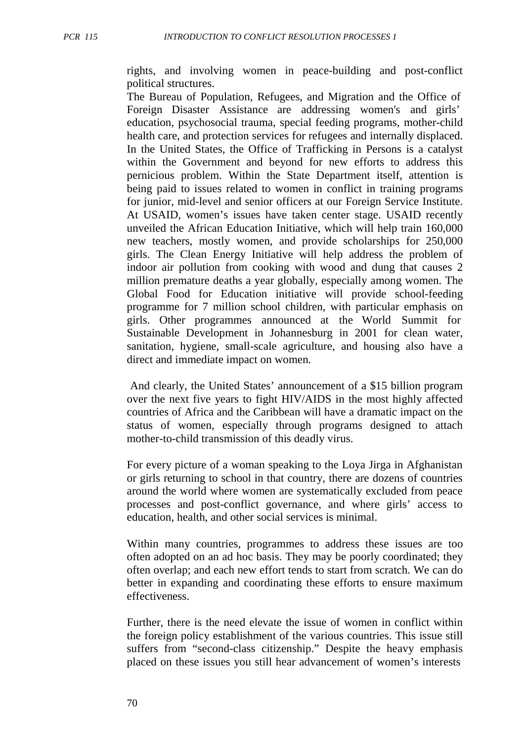rights, and involving women in peace-building and post-conflict political structures.

The Bureau of Population, Refugees, and Migration and the Office of Foreign Disaster Assistance are addressing women's and girls' education, psychosocial trauma, special feeding programs, mother-child health care, and protection services for refugees and internally displaced. In the United States, the Office of Trafficking in Persons is a catalyst within the Government and beyond for new efforts to address this pernicious problem. Within the State Department itself, attention is being paid to issues related to women in conflict in training programs for junior, mid-level and senior officers at our Foreign Service Institute. At USAID, women's issues have taken center stage. USAID recently unveiled the African Education Initiative, which will help train 160,000 new teachers, mostly women, and provide scholarships for 250,000 girls. The Clean Energy Initiative will help address the problem of indoor air pollution from cooking with wood and dung that causes 2 million premature deaths a year globally, especially among women. The Global Food for Education initiative will provide school-feeding programme for 7 million school children, with particular emphasis on girls. Other programmes announced at the World Summit for Sustainable Development in Johannesburg in 2001 for clean water, sanitation, hygiene, small-scale agriculture, and housing also have a direct and immediate impact on women.

And clearly, the United States' announcement of a \$15 billion program over the next five years to fight HIV/AIDS in the most highly affected countries of Africa and the Caribbean will have a dramatic impact on the status of women, especially through programs designed to attach mother-to-child transmission of this deadly virus.

For every picture of a woman speaking to the Loya Jirga in Afghanistan or girls returning to school in that country, there are dozens of countries around the world where women are systematically excluded from peace processes and post-conflict governance, and where girls' access to education, health, and other social services is minimal.

Within many countries, programmes to address these issues are too often adopted on an ad hoc basis. They may be poorly coordinated; they often overlap; and each new effort tends to start from scratch. We can do better in expanding and coordinating these efforts to ensure maximum effectiveness.

Further, there is the need elevate the issue of women in conflict within the foreign policy establishment of the various countries. This issue still suffers from "second-class citizenship." Despite the heavy emphasis placed on these issues you still hear advancement of women's interests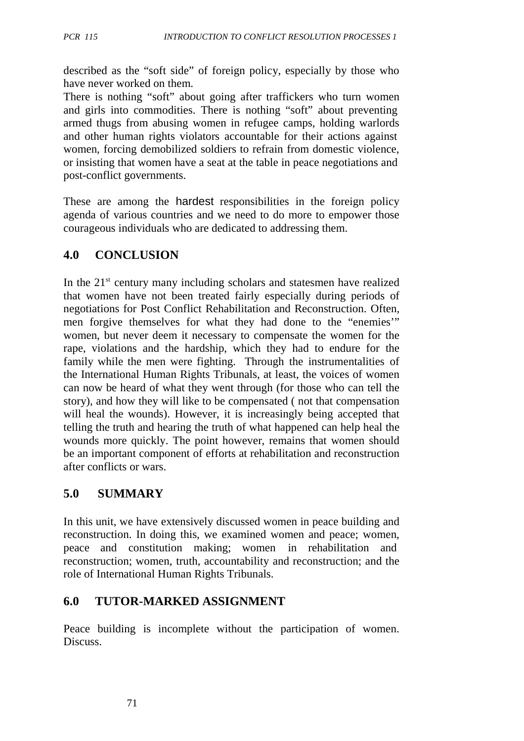described as the "soft side" of foreign policy, especially by those who have never worked on them.

There is nothing "soft" about going after traffickers who turn women and girls into commodities. There is nothing "soft" about preventing armed thugs from abusing women in refugee camps, holding warlords and other human rights violators accountable for their actions against women, forcing demobilized soldiers to refrain from domestic violence, or insisting that women have a seat at the table in peace negotiations and post-conflict governments.

These are among the hardest responsibilities in the foreign policy agenda of various countries and we need to do more to empower those courageous individuals who are dedicated to addressing them.

## **4.0 CONCLUSION**

In the  $21<sup>st</sup>$  century many including scholars and statesmen have realized that women have not been treated fairly especially during periods of negotiations for Post Conflict Rehabilitation and Reconstruction. Often, men forgive themselves for what they had done to the "enemies'" women, but never deem it necessary to compensate the women for the rape, violations and the hardship, which they had to endure for the family while the men were fighting. Through the instrumentalities of the International Human Rights Tribunals, at least, the voices of women can now be heard of what they went through (for those who can tell the story), and how they will like to be compensated ( not that compensation will heal the wounds). However, it is increasingly being accepted that telling the truth and hearing the truth of what happened can help heal the wounds more quickly. The point however, remains that women should be an important component of efforts at rehabilitation and reconstruction after conflicts or wars.

## **5.0 SUMMARY**

In this unit, we have extensively discussed women in peace building and reconstruction. In doing this, we examined women and peace; women, peace and constitution making; women in rehabilitation and reconstruction; women, truth, accountability and reconstruction; and the role of International Human Rights Tribunals.

## **6.0 TUTOR-MARKED ASSIGNMENT**

Peace building is incomplete without the participation of women. Discuss.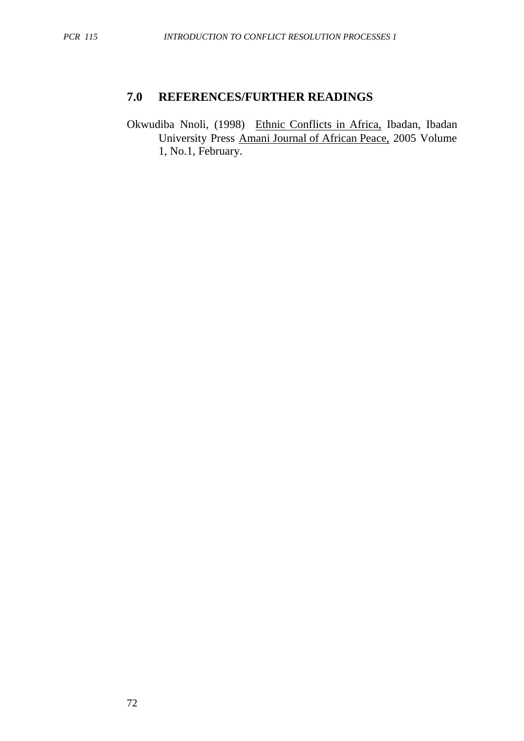# **7.0 REFERENCES/FURTHER READINGS**

Okwudiba Nnoli, (1998) Ethnic Conflicts in Africa, Ibadan, Ibadan University Press Amani Journal of African Peace, 2005 Volume 1, No.1, February.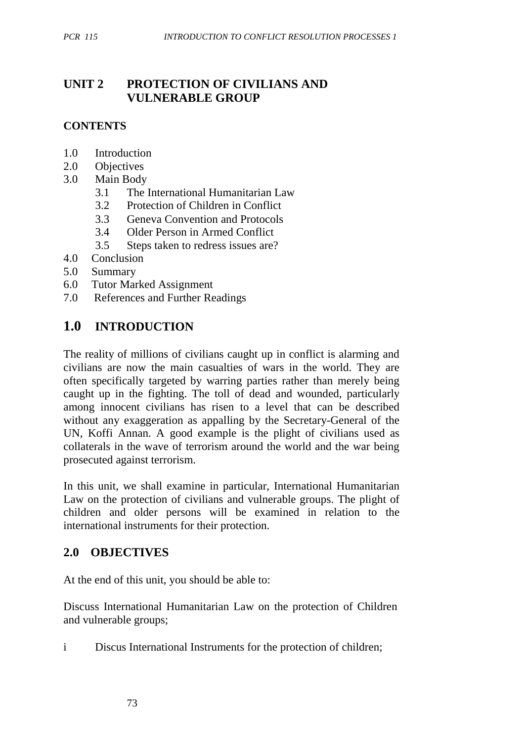# **UNIT 2 PROTECTION OF CIVILIANS AND VULNERABLE GROUP**

#### **CONTENTS**

- 1.0 Introduction
- 2.0 Objectives
- 3.0 Main Body
	- 3.1 The International Humanitarian Law
	- 3.2 Protection of Children in Conflict
	- 3.3 Geneva Convention and Protocols
	- 3.4 Older Person in Armed Conflict
	- 3.5 Steps taken to redress issues are?
- 4.0 Conclusion
- 5.0 Summary
- 6.0 Tutor Marked Assignment
- 7.0 References and Further Readings

# **1.0 INTRODUCTION**

The reality of millions of civilians caught up in conflict is alarming and civilians are now the main casualties of wars in the world. They are often specifically targeted by warring parties rather than merely being caught up in the fighting. The toll of dead and wounded, particularly among innocent civilians has risen to a level that can be described without any exaggeration as appalling by the Secretary-General of the UN, Koffi Annan. A good example is the plight of civilians used as collaterals in the wave of terrorism around the world and the war being prosecuted against terrorism.

In this unit, we shall examine in particular, International Humanitarian Law on the protection of civilians and vulnerable groups. The plight of children and older persons will be examined in relation to the international instruments for their protection.

## **2.0 OBJECTIVES**

At the end of this unit, you should be able to:

Discuss International Humanitarian Law on the protection of Children and vulnerable groups;

i Discus International Instruments for the protection of children;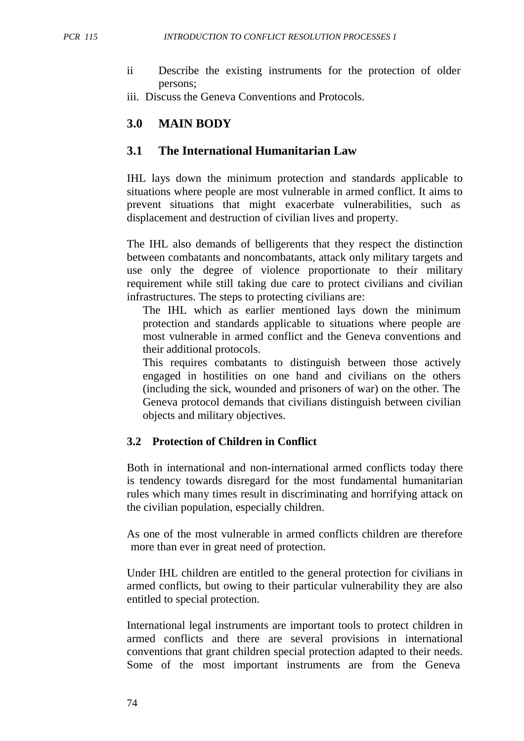- ii Describe the existing instruments for the protection of older persons;
- iii. Discuss the Geneva Conventions and Protocols.

## **3.0 MAIN BODY**

#### **3.1 The International Humanitarian Law**

IHL lays down the minimum protection and standards applicable to situations where people are most vulnerable in armed conflict. It aims to prevent situations that might exacerbate vulnerabilities, such as displacement and destruction of civilian lives and property.

The IHL also demands of belligerents that they respect the distinction between combatants and noncombatants, attack only military targets and use only the degree of violence proportionate to their military requirement while still taking due care to protect civilians and civilian infrastructures. The steps to protecting civilians are:

The IHL which as earlier mentioned lays down the minimum protection and standards applicable to situations where people are most vulnerable in armed conflict and the Geneva conventions and their additional protocols.

This requires combatants to distinguish between those actively engaged in hostilities on one hand and civilians on the others (including the sick, wounded and prisoners of war) on the other. The Geneva protocol demands that civilians distinguish between civilian objects and military objectives.

#### **3.2 Protection of Children in Conflict**

Both in international and non-international armed conflicts today there is tendency towards disregard for the most fundamental humanitarian rules which many times result in discriminating and horrifying attack on the civilian population, especially children.

As one of the most vulnerable in armed conflicts children are therefore more than ever in great need of protection.

Under IHL children are entitled to the general protection for civilians in armed conflicts, but owing to their particular vulnerability they are also entitled to special protection.

International legal instruments are important tools to protect children in armed conflicts and there are several provisions in international conventions that grant children special protection adapted to their needs. Some of the most important instruments are from the Geneva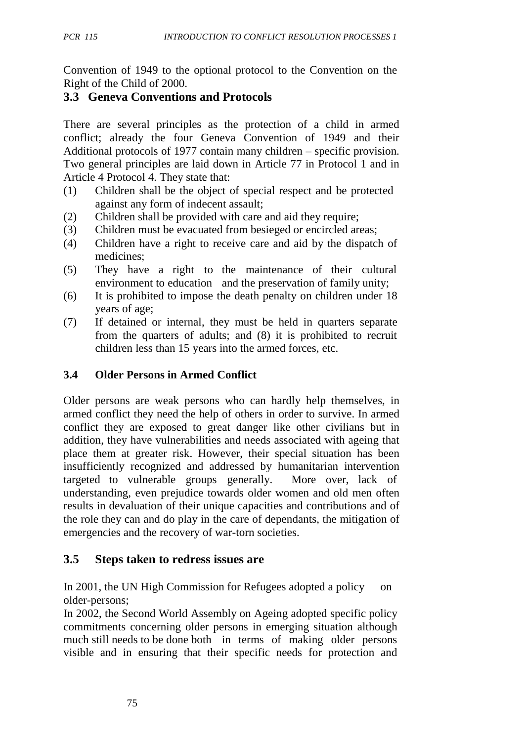Convention of 1949 to the optional protocol to the Convention on the Right of the Child of 2000.

# **3.3 Geneva Conventions and Protocols**

There are several principles as the protection of a child in armed conflict; already the four Geneva Convention of 1949 and their Additional protocols of 1977 contain many children – specific provision. Two general principles are laid down in Article 77 in Protocol 1 and in Article 4 Protocol 4. They state that:

- (1) Children shall be the object of special respect and be protected against any form of indecent assault;
- (2) Children shall be provided with care and aid they require;
- (3) Children must be evacuated from besieged or encircled areas;
- (4) Children have a right to receive care and aid by the dispatch of medicines;
- (5) They have a right to the maintenance of their cultural environment to education and the preservation of family unity;
- (6) It is prohibited to impose the death penalty on children under 18 years of age;
- (7) If detained or internal, they must be held in quarters separate from the quarters of adults; and (8) it is prohibited to recruit children less than 15 years into the armed forces, etc.

## **3.4 Older Persons in Armed Conflict**

Older persons are weak persons who can hardly help themselves, in armed conflict they need the help of others in order to survive. In armed conflict they are exposed to great danger like other civilians but in addition, they have vulnerabilities and needs associated with ageing that place them at greater risk. However, their special situation has been insufficiently recognized and addressed by humanitarian intervention targeted to vulnerable groups generally. More over, lack of understanding, even prejudice towards older women and old men often results in devaluation of their unique capacities and contributions and of the role they can and do play in the care of dependants, the mitigation of emergencies and the recovery of war-torn societies.

#### **3.5 Steps taken to redress issues are**

In 2001, the UN High Commission for Refugees adopted a policy on older-persons;

In 2002, the Second World Assembly on Ageing adopted specific policy commitments concerning older persons in emerging situation although much still needs to be done both in terms of making older persons visible and in ensuring that their specific needs for protection and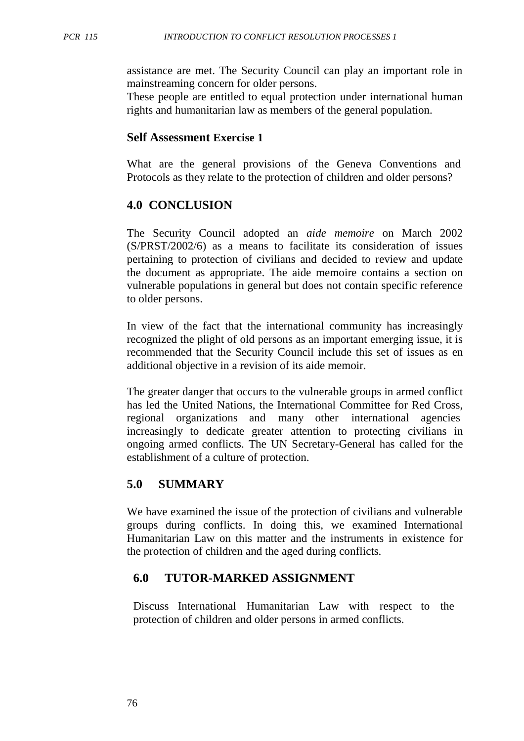assistance are met. The Security Council can play an important role in mainstreaming concern for older persons.

These people are entitled to equal protection under international human rights and humanitarian law as members of the general population.

#### **Self Assessment Exercise 1**

What are the general provisions of the Geneva Conventions and Protocols as they relate to the protection of children and older persons?

## **4.0 CONCLUSION**

The Security Council adopted an *aide memoire* on March 2002 (S/PRST/2002/6) as a means to facilitate its consideration of issues pertaining to protection of civilians and decided to review and update the document as appropriate. The aide memoire contains a section on vulnerable populations in general but does not contain specific reference to older persons.

In view of the fact that the international community has increasingly recognized the plight of old persons as an important emerging issue, it is recommended that the Security Council include this set of issues as en additional objective in a revision of its aide memoir.

The greater danger that occurs to the vulnerable groups in armed conflict has led the United Nations, the International Committee for Red Cross, regional organizations and many other international agencies increasingly to dedicate greater attention to protecting civilians in ongoing armed conflicts. The UN Secretary-General has called for the establishment of a culture of protection.

## **5.0 SUMMARY**

We have examined the issue of the protection of civilians and vulnerable groups during conflicts. In doing this, we examined International Humanitarian Law on this matter and the instruments in existence for the protection of children and the aged during conflicts.

## **6.0 TUTOR-MARKED ASSIGNMENT**

Discuss International Humanitarian Law with respect to the protection of children and older persons in armed conflicts.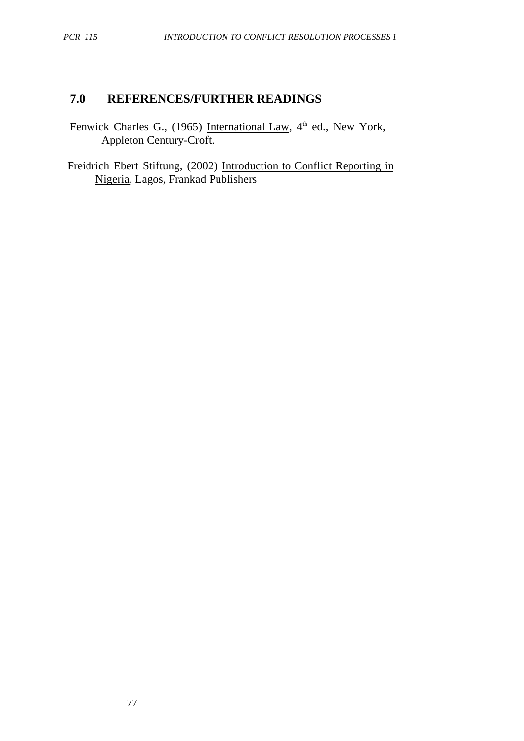## **7.0 REFERENCES/FURTHER READINGS**

- Fenwick Charles G., (1965) International Law, 4<sup>th</sup> ed., New York, Appleton Century-Croft.
- Freidrich Ebert Stiftung, (2002) Introduction to Conflict Reporting in Nigeria, Lagos, Frankad Publishers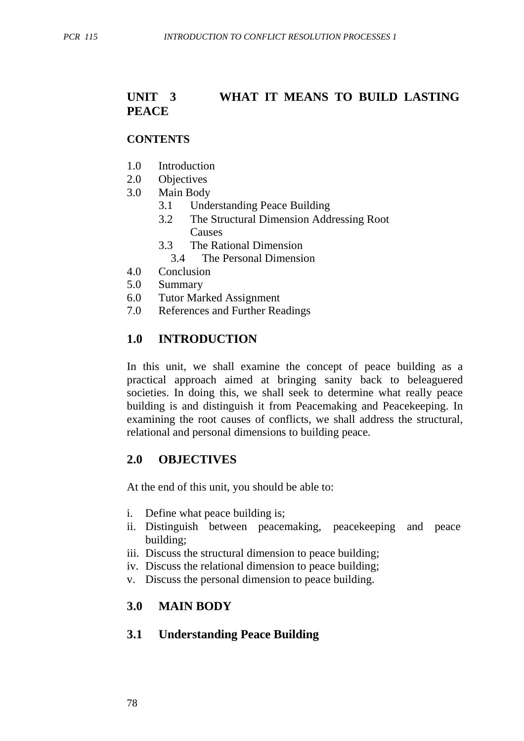# **UNIT 3 WHAT IT MEANS TO BUILD LASTING PEACE**

#### **CONTENTS**

- 1.0 Introduction
- 2.0 Objectives
- 3.0 Main Body
	- 3.1 Understanding Peace Building
	- 3.2 The Structural Dimension Addressing Root **Causes**
	- 3.3 The Rational Dimension
		- 3.4 The Personal Dimension
- 4.0 Conclusion
- 5.0 Summary
- 6.0 Tutor Marked Assignment
- 7.0 References and Further Readings

## **1.0 INTRODUCTION**

In this unit, we shall examine the concept of peace building as a practical approach aimed at bringing sanity back to beleaguered societies. In doing this, we shall seek to determine what really peace building is and distinguish it from Peacemaking and Peacekeeping. In examining the root causes of conflicts, we shall address the structural, relational and personal dimensions to building peace.

## **2.0 OBJECTIVES**

At the end of this unit, you should be able to:

- i. Define what peace building is;
- ii. Distinguish between peacemaking, peacekeeping and peace building;
- iii. Discuss the structural dimension to peace building;
- iv. Discuss the relational dimension to peace building;
- v. Discuss the personal dimension to peace building.

#### **3.0 MAIN BODY**

#### **3.1 Understanding Peace Building**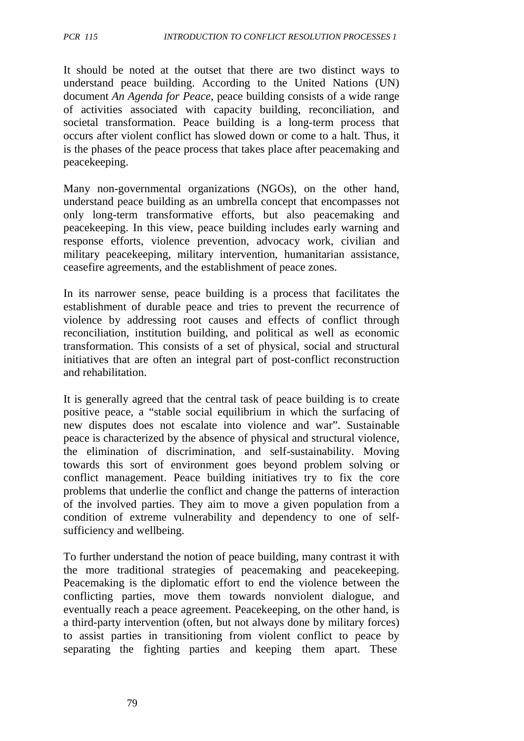It should be noted at the outset that there are two distinct ways to understand peace building. According to the United Nations (UN) document *An Agenda for Peace*, peace building consists of a wide range of activities associated with capacity building, reconciliation, and societal transformation. Peace building is a long-term process that occurs after violent conflict has slowed down or come to a halt. Thus, it is the phases of the peace process that takes place after peacemaking and peacekeeping.

Many non-governmental organizations (NGOs), on the other hand, understand peace building as an umbrella concept that encompasses not only long-term transformative efforts, but also peacemaking and peacekeeping. In this view, peace building includes early warning and response efforts, violence prevention, advocacy work, civilian and military peacekeeping, military intervention, humanitarian assistance, ceasefire agreements, and the establishment of peace zones.

In its narrower sense, peace building is a process that facilitates the establishment of durable peace and tries to prevent the recurrence of violence by addressing root causes and effects of conflict through reconciliation, institution building, and political as well as economic transformation. This consists of a set of physical, social and structural initiatives that are often an integral part of post-conflict reconstruction and rehabilitation.

It is generally agreed that the central task of peace building is to create positive peace, a "stable social equilibrium in which the surfacing of new disputes does not escalate into violence and war". Sustainable peace is characterized by the absence of physical and structural violence, the elimination of discrimination, and self-sustainability. Moving towards this sort of environment goes beyond problem solving or conflict management. Peace building initiatives try to fix the core problems that underlie the conflict and change the patterns of interaction of the involved parties. They aim to move a given population from a condition of extreme vulnerability and dependency to one of selfsufficiency and wellbeing.

To further understand the notion of peace building, many contrast it with the more traditional strategies of peacemaking and peacekeeping. Peacemaking is the diplomatic effort to end the violence between the conflicting parties, move them towards nonviolent dialogue, and eventually reach a peace agreement. Peacekeeping, on the other hand, is a third-party intervention (often, but not always done by military forces) to assist parties in transitioning from violent conflict to peace by separating the fighting parties and keeping them apart. These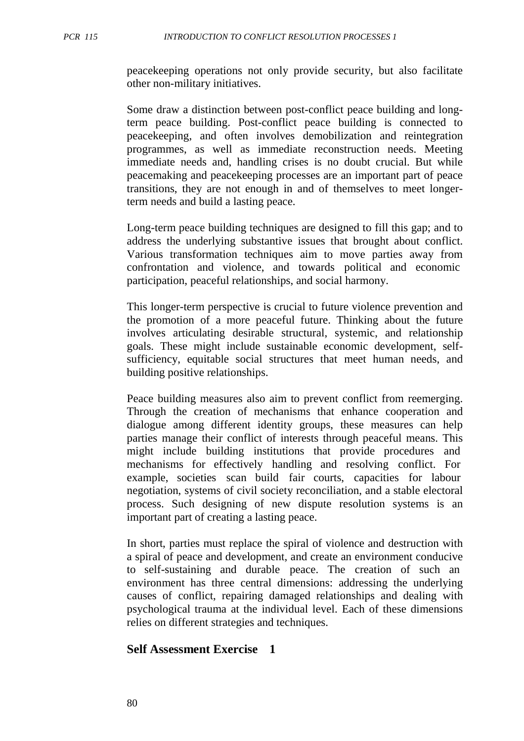peacekeeping operations not only provide security, but also facilitate other non-military initiatives.

Some draw a distinction between post-conflict peace building and longterm peace building. Post-conflict peace building is connected to peacekeeping, and often involves demobilization and reintegration programmes, as well as immediate reconstruction needs. Meeting immediate needs and, handling crises is no doubt crucial. But while peacemaking and peacekeeping processes are an important part of peace transitions, they are not enough in and of themselves to meet longerterm needs and build a lasting peace.

Long-term peace building techniques are designed to fill this gap; and to address the underlying substantive issues that brought about conflict. Various transformation techniques aim to move parties away from confrontation and violence, and towards political and economic participation, peaceful relationships, and social harmony.

This longer-term perspective is crucial to future violence prevention and the promotion of a more peaceful future. Thinking about the future involves articulating desirable structural, systemic, and relationship goals. These might include sustainable economic development, selfsufficiency, equitable social structures that meet human needs, and building positive relationships.

Peace building measures also aim to prevent conflict from reemerging. Through the creation of mechanisms that enhance cooperation and dialogue among different identity groups, these measures can help parties manage their conflict of interests through peaceful means. This might include building institutions that provide procedures and mechanisms for effectively handling and resolving conflict. For example, societies scan build fair courts, capacities for labour negotiation, systems of civil society reconciliation, and a stable electoral process. Such designing of new dispute resolution systems is an important part of creating a lasting peace.

In short, parties must replace the spiral of violence and destruction with a spiral of peace and development, and create an environment conducive to self-sustaining and durable peace. The creation of such an environment has three central dimensions: addressing the underlying causes of conflict, repairing damaged relationships and dealing with psychological trauma at the individual level. Each of these dimensions relies on different strategies and techniques.

#### **Self Assessment Exercise 1**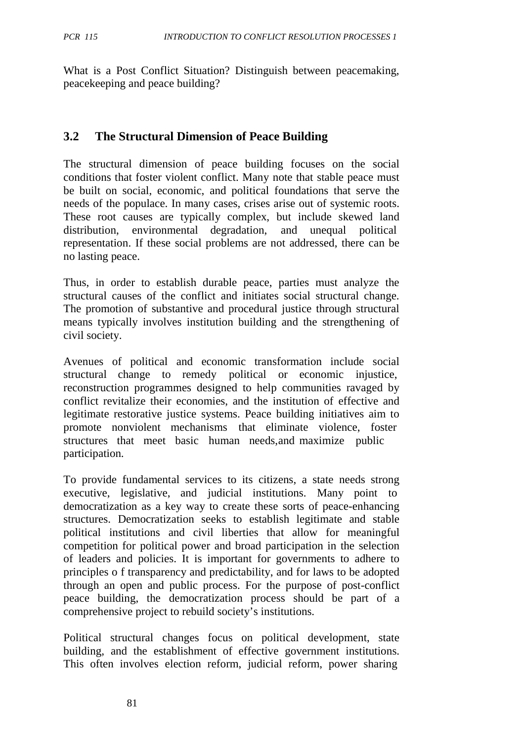What is a Post Conflict Situation? Distinguish between peacemaking, peacekeeping and peace building?

#### **3.2 The Structural Dimension of Peace Building**

The structural dimension of peace building focuses on the social conditions that foster violent conflict. Many note that stable peace must be built on social, economic, and political foundations that serve the needs of the populace. In many cases, crises arise out of systemic roots. These root causes are typically complex, but include skewed land distribution, environmental degradation, and unequal political representation. If these social problems are not addressed, there can be no lasting peace.

Thus, in order to establish durable peace, parties must analyze the structural causes of the conflict and initiates social structural change. The promotion of substantive and procedural justice through structural means typically involves institution building and the strengthening of civil society.

Avenues of political and economic transformation include social structural change to remedy political or economic injustice, reconstruction programmes designed to help communities ravaged by conflict revitalize their economies, and the institution of effective and legitimate restorative justice systems. Peace building initiatives aim to promote nonviolent mechanisms that eliminate violence, foster structures that meet basic human needs, and maximize public participation.

To provide fundamental services to its citizens, a state needs strong executive, legislative, and judicial institutions. Many point to democratization as a key way to create these sorts of peace-enhancing structures. Democratization seeks to establish legitimate and stable political institutions and civil liberties that allow for meaningful competition for political power and broad participation in the selection of leaders and policies. It is important for governments to adhere to principles o f transparency and predictability, and for laws to be adopted through an open and public process. For the purpose of post-conflict peace building, the democratization process should be part of a comprehensive project to rebuild society's institutions.

Political structural changes focus on political development, state building, and the establishment of effective government institutions. This often involves election reform, judicial reform, power sharing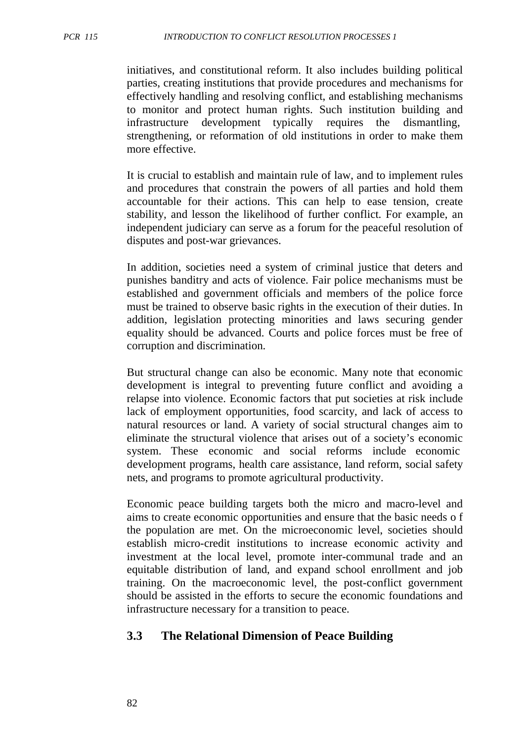initiatives, and constitutional reform. It also includes building political parties, creating institutions that provide procedures and mechanisms for effectively handling and resolving conflict, and establishing mechanisms to monitor and protect human rights. Such institution building and infrastructure development typically requires the dismantling, strengthening, or reformation of old institutions in order to make them more effective.

It is crucial to establish and maintain rule of law, and to implement rules and procedures that constrain the powers of all parties and hold them accountable for their actions. This can help to ease tension, create stability, and lesson the likelihood of further conflict. For example, an independent judiciary can serve as a forum for the peaceful resolution of disputes and post-war grievances.

In addition, societies need a system of criminal justice that deters and punishes banditry and acts of violence. Fair police mechanisms must be established and government officials and members of the police force must be trained to observe basic rights in the execution of their duties. In addition, legislation protecting minorities and laws securing gender equality should be advanced. Courts and police forces must be free of corruption and discrimination.

But structural change can also be economic. Many note that economic development is integral to preventing future conflict and avoiding a relapse into violence. Economic factors that put societies at risk include lack of employment opportunities, food scarcity, and lack of access to natural resources or land. A variety of social structural changes aim to eliminate the structural violence that arises out of a society's economic system. These economic and social reforms include economic development programs, health care assistance, land reform, social safety nets, and programs to promote agricultural productivity.

Economic peace building targets both the micro and macro-level and aims to create economic opportunities and ensure that the basic needs o f the population are met. On the microeconomic level, societies should establish micro-credit institutions to increase economic activity and investment at the local level, promote inter-communal trade and an equitable distribution of land, and expand school enrollment and job training. On the macroeconomic level, the post-conflict government should be assisted in the efforts to secure the economic foundations and infrastructure necessary for a transition to peace.

# **3.3 The Relational Dimension of Peace Building**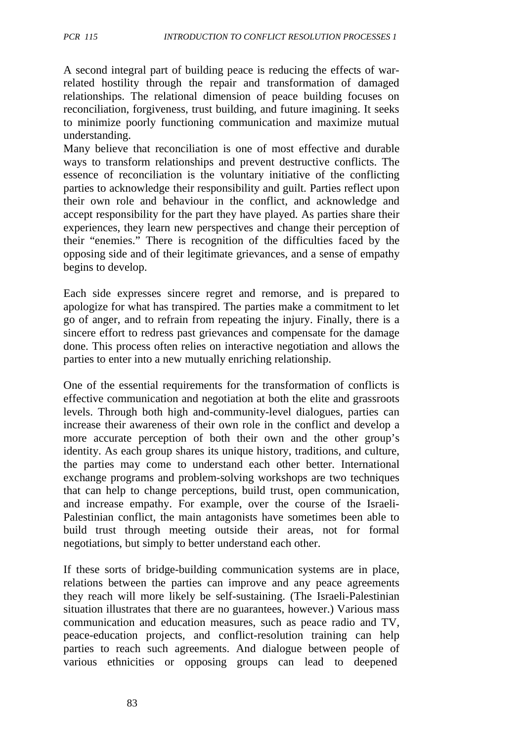A second integral part of building peace is reducing the effects of warrelated hostility through the repair and transformation of damaged relationships. The relational dimension of peace building focuses on reconciliation, forgiveness, trust building, and future imagining. It seeks to minimize poorly functioning communication and maximize mutual understanding.

Many believe that reconciliation is one of most effective and durable ways to transform relationships and prevent destructive conflicts. The essence of reconciliation is the voluntary initiative of the conflicting parties to acknowledge their responsibility and guilt. Parties reflect upon their own role and behaviour in the conflict, and acknowledge and accept responsibility for the part they have played. As parties share their experiences, they learn new perspectives and change their perception of their "enemies." There is recognition of the difficulties faced by the opposing side and of their legitimate grievances, and a sense of empathy begins to develop.

Each side expresses sincere regret and remorse, and is prepared to apologize for what has transpired. The parties make a commitment to let go of anger, and to refrain from repeating the injury. Finally, there is a sincere effort to redress past grievances and compensate for the damage done. This process often relies on interactive negotiation and allows the parties to enter into a new mutually enriching relationship.

One of the essential requirements for the transformation of conflicts is effective communication and negotiation at both the elite and grassroots levels. Through both high and-community-level dialogues, parties can increase their awareness of their own role in the conflict and develop a more accurate perception of both their own and the other group's identity. As each group shares its unique history, traditions, and culture, the parties may come to understand each other better. International exchange programs and problem-solving workshops are two techniques that can help to change perceptions, build trust, open communication, and increase empathy. For example, over the course of the Israeli-Palestinian conflict, the main antagonists have sometimes been able to build trust through meeting outside their areas, not for formal negotiations, but simply to better understand each other.

If these sorts of bridge-building communication systems are in place, relations between the parties can improve and any peace agreements they reach will more likely be self-sustaining. (The Israeli-Palestinian situation illustrates that there are no guarantees, however.) Various mass communication and education measures, such as peace radio and TV, peace-education projects, and conflict-resolution training can help parties to reach such agreements. And dialogue between people of various ethnicities or opposing groups can lead to deepened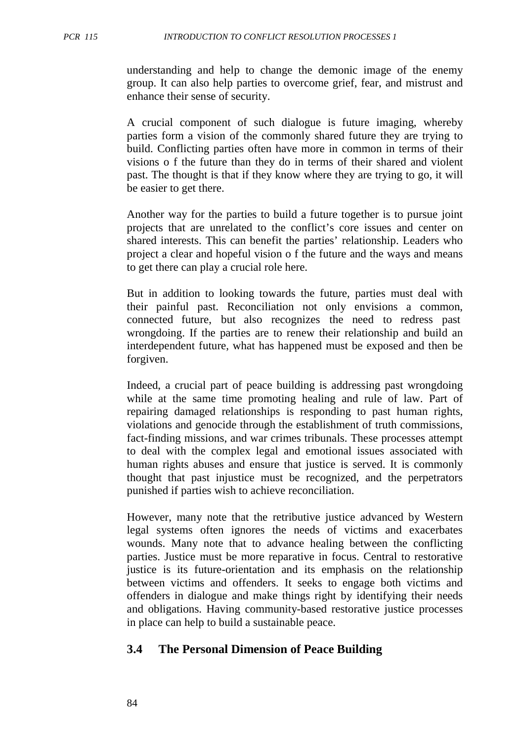understanding and help to change the demonic image of the enemy group. It can also help parties to overcome grief, fear, and mistrust and enhance their sense of security.

A crucial component of such dialogue is future imaging, whereby parties form a vision of the commonly shared future they are trying to build. Conflicting parties often have more in common in terms of their visions o f the future than they do in terms of their shared and violent past. The thought is that if they know where they are trying to go, it will be easier to get there.

Another way for the parties to build a future together is to pursue joint projects that are unrelated to the conflict's core issues and center on shared interests. This can benefit the parties' relationship. Leaders who project a clear and hopeful vision o f the future and the ways and means to get there can play a crucial role here.

But in addition to looking towards the future, parties must deal with their painful past. Reconciliation not only envisions a common, connected future, but also recognizes the need to redress past wrongdoing. If the parties are to renew their relationship and build an interdependent future, what has happened must be exposed and then be forgiven.

Indeed, a crucial part of peace building is addressing past wrongdoing while at the same time promoting healing and rule of law. Part of repairing damaged relationships is responding to past human rights, violations and genocide through the establishment of truth commissions, fact-finding missions, and war crimes tribunals. These processes attempt to deal with the complex legal and emotional issues associated with human rights abuses and ensure that justice is served. It is commonly thought that past injustice must be recognized, and the perpetrators punished if parties wish to achieve reconciliation.

However, many note that the retributive justice advanced by Western legal systems often ignores the needs of victims and exacerbates wounds. Many note that to advance healing between the conflicting parties. Justice must be more reparative in focus. Central to restorative justice is its future-orientation and its emphasis on the relationship between victims and offenders. It seeks to engage both victims and offenders in dialogue and make things right by identifying their needs and obligations. Having community-based restorative justice processes in place can help to build a sustainable peace.

## **3.4 The Personal Dimension of Peace Building**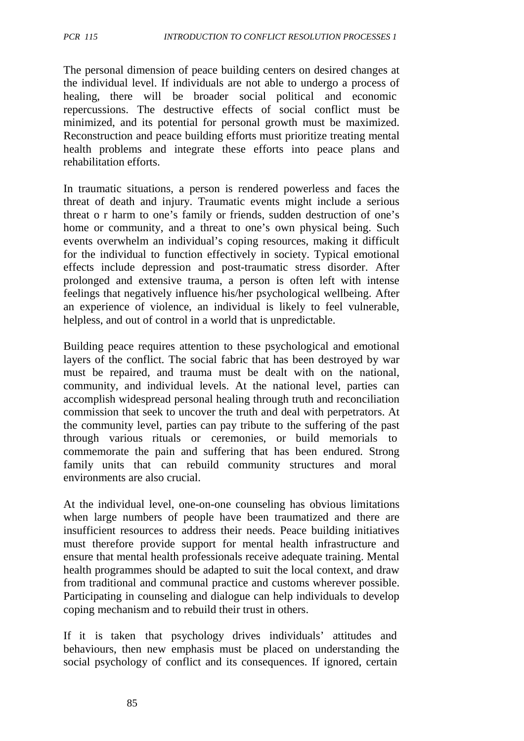The personal dimension of peace building centers on desired changes at the individual level. If individuals are not able to undergo a process of healing, there will be broader social political and economic repercussions. The destructive effects of social conflict must be minimized, and its potential for personal growth must be maximized. Reconstruction and peace building efforts must prioritize treating mental health problems and integrate these efforts into peace plans and rehabilitation efforts.

In traumatic situations, a person is rendered powerless and faces the threat of death and injury. Traumatic events might include a serious threat o r harm to one's family or friends, sudden destruction of one's home or community, and a threat to one's own physical being. Such events overwhelm an individual's coping resources, making it difficult for the individual to function effectively in society. Typical emotional effects include depression and post-traumatic stress disorder. After prolonged and extensive trauma, a person is often left with intense feelings that negatively influence his/her psychological wellbeing. After an experience of violence, an individual is likely to feel vulnerable, helpless, and out of control in a world that is unpredictable.

Building peace requires attention to these psychological and emotional layers of the conflict. The social fabric that has been destroyed by war must be repaired, and trauma must be dealt with on the national, community, and individual levels. At the national level, parties can accomplish widespread personal healing through truth and reconciliation commission that seek to uncover the truth and deal with perpetrators. At the community level, parties can pay tribute to the suffering of the past through various rituals or ceremonies, or build memorials to commemorate the pain and suffering that has been endured. Strong family units that can rebuild community structures and moral environments are also crucial.

At the individual level, one-on-one counseling has obvious limitations when large numbers of people have been traumatized and there are insufficient resources to address their needs. Peace building initiatives must therefore provide support for mental health infrastructure and ensure that mental health professionals receive adequate training. Mental health programmes should be adapted to suit the local context, and draw from traditional and communal practice and customs wherever possible. Participating in counseling and dialogue can help individuals to develop coping mechanism and to rebuild their trust in others.

If it is taken that psychology drives individuals' attitudes and behaviours, then new emphasis must be placed on understanding the social psychology of conflict and its consequences. If ignored, certain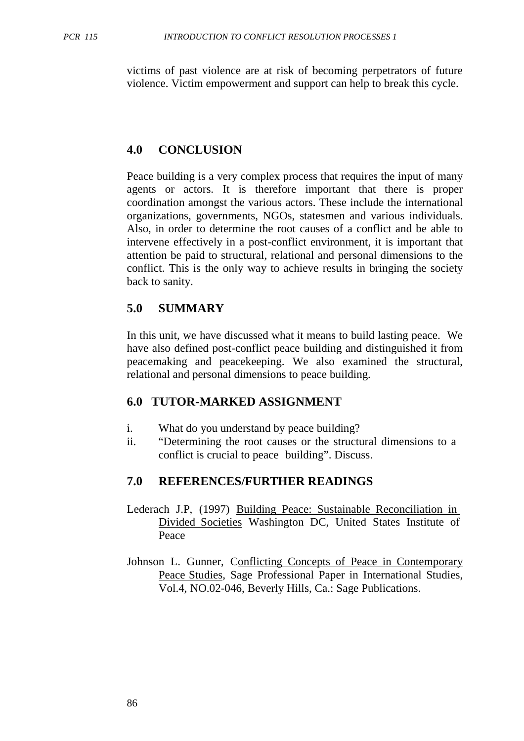victims of past violence are at risk of becoming perpetrators of future violence. Victim empowerment and support can help to break this cycle.

#### **4.0 CONCLUSION**

Peace building is a very complex process that requires the input of many agents or actors. It is therefore important that there is proper coordination amongst the various actors. These include the international organizations, governments, NGOs, statesmen and various individuals. Also, in order to determine the root causes of a conflict and be able to intervene effectively in a post-conflict environment, it is important that attention be paid to structural, relational and personal dimensions to the conflict. This is the only way to achieve results in bringing the society back to sanity.

# **5.0 SUMMARY**

In this unit, we have discussed what it means to build lasting peace. We have also defined post-conflict peace building and distinguished it from peacemaking and peacekeeping. We also examined the structural, relational and personal dimensions to peace building.

#### **6.0 TUTOR-MARKED ASSIGNMENT**

- i. What do you understand by peace building?
- ii. "Determining the root causes or the structural dimensions to a conflict is crucial to peace building". Discuss.

## **7.0 REFERENCES/FURTHER READINGS**

- Lederach J.P, (1997) Building Peace: Sustainable Reconciliation in Divided Societies Washington DC, United States Institute of Peace
- Johnson L. Gunner, Conflicting Concepts of Peace in Contemporary Peace Studies, Sage Professional Paper in International Studies, Vol.4, NO.02-046, Beverly Hills, Ca.: Sage Publications.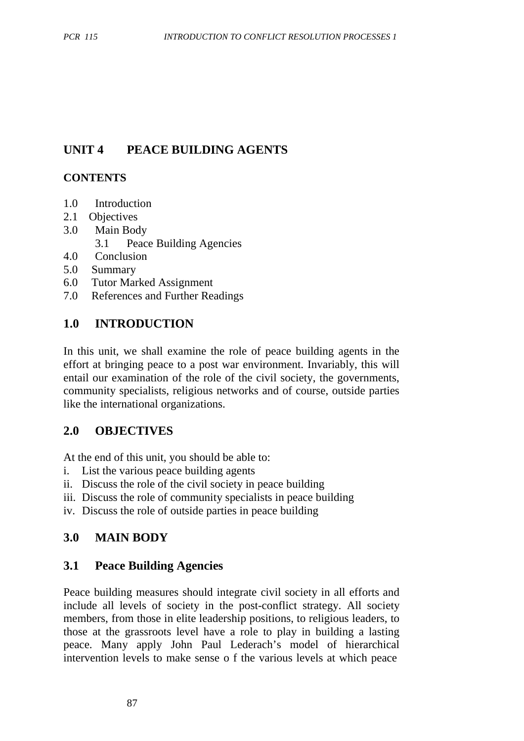# **UNIT 4 PEACE BUILDING AGENTS**

#### **CONTENTS**

- 1.0 Introduction
- 2.1 Objectives
- 3.0 Main Body
	- 3.1 Peace Building Agencies
- 4.0 Conclusion
- 5.0 Summary
- 6.0 Tutor Marked Assignment
- 7.0 References and Further Readings

## **1.0 INTRODUCTION**

In this unit, we shall examine the role of peace building agents in the effort at bringing peace to a post war environment. Invariably, this will entail our examination of the role of the civil society, the governments, community specialists, religious networks and of course, outside parties like the international organizations.

## **2.0 OBJECTIVES**

At the end of this unit, you should be able to:

- i. List the various peace building agents
- ii. Discuss the role of the civil society in peace building
- iii. Discuss the role of community specialists in peace building
- iv. Discuss the role of outside parties in peace building

## **3.0 MAIN BODY**

## **3.1 Peace Building Agencies**

Peace building measures should integrate civil society in all efforts and include all levels of society in the post-conflict strategy. All society members, from those in elite leadership positions, to religious leaders, to those at the grassroots level have a role to play in building a lasting peace. Many apply John Paul Lederach's model of hierarchical intervention levels to make sense o f the various levels at which peace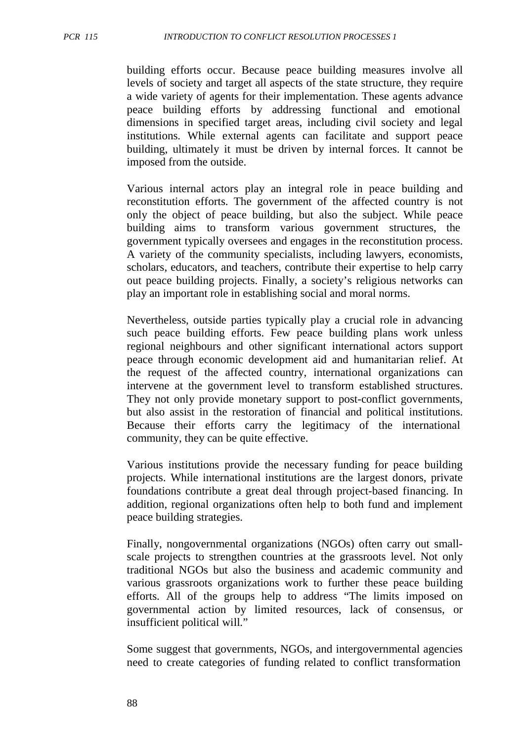building efforts occur. Because peace building measures involve all levels of society and target all aspects of the state structure, they require a wide variety of agents for their implementation. These agents advance peace building efforts by addressing functional and emotional dimensions in specified target areas, including civil society and legal institutions. While external agents can facilitate and support peace building, ultimately it must be driven by internal forces. It cannot be imposed from the outside.

Various internal actors play an integral role in peace building and reconstitution efforts. The government of the affected country is not only the object of peace building, but also the subject. While peace building aims to transform various government structures, the government typically oversees and engages in the reconstitution process. A variety of the community specialists, including lawyers, economists, scholars, educators, and teachers, contribute their expertise to help carry out peace building projects. Finally, a society's religious networks can play an important role in establishing social and moral norms.

Nevertheless, outside parties typically play a crucial role in advancing such peace building efforts. Few peace building plans work unless regional neighbours and other significant international actors support peace through economic development aid and humanitarian relief. At the request of the affected country, international organizations can intervene at the government level to transform established structures. They not only provide monetary support to post-conflict governments, but also assist in the restoration of financial and political institutions. Because their efforts carry the legitimacy of the international community, they can be quite effective.

Various institutions provide the necessary funding for peace building projects. While international institutions are the largest donors, private foundations contribute a great deal through project-based financing. In addition, regional organizations often help to both fund and implement peace building strategies.

Finally, nongovernmental organizations (NGOs) often carry out smallscale projects to strengthen countries at the grassroots level. Not only traditional NGOs but also the business and academic community and various grassroots organizations work to further these peace building efforts. All of the groups help to address "The limits imposed on governmental action by limited resources, lack of consensus, or insufficient political will."

Some suggest that governments, NGOs, and intergovernmental agencies need to create categories of funding related to conflict transformation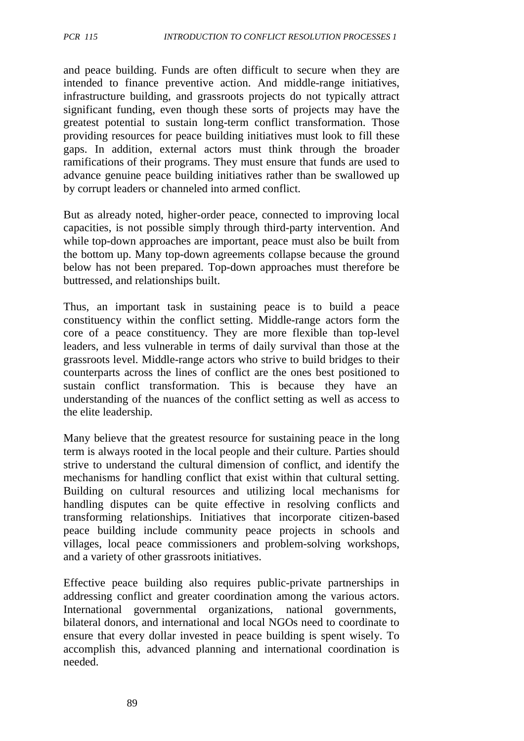and peace building. Funds are often difficult to secure when they are intended to finance preventive action. And middle-range initiatives, infrastructure building, and grassroots projects do not typically attract significant funding, even though these sorts of projects may have the greatest potential to sustain long-term conflict transformation. Those providing resources for peace building initiatives must look to fill these gaps. In addition, external actors must think through the broader ramifications of their programs. They must ensure that funds are used to advance genuine peace building initiatives rather than be swallowed up by corrupt leaders or channeled into armed conflict.

But as already noted, higher-order peace, connected to improving local capacities, is not possible simply through third-party intervention. And while top-down approaches are important, peace must also be built from the bottom up. Many top-down agreements collapse because the ground below has not been prepared. Top-down approaches must therefore be buttressed, and relationships built.

Thus, an important task in sustaining peace is to build a peace constituency within the conflict setting. Middle-range actors form the core of a peace constituency. They are more flexible than top-level leaders, and less vulnerable in terms of daily survival than those at the grassroots level. Middle-range actors who strive to build bridges to their counterparts across the lines of conflict are the ones best positioned to sustain conflict transformation. This is because they have an understanding of the nuances of the conflict setting as well as access to the elite leadership.

Many believe that the greatest resource for sustaining peace in the long term is always rooted in the local people and their culture. Parties should strive to understand the cultural dimension of conflict, and identify the mechanisms for handling conflict that exist within that cultural setting. Building on cultural resources and utilizing local mechanisms for handling disputes can be quite effective in resolving conflicts and transforming relationships. Initiatives that incorporate citizen-based peace building include community peace projects in schools and villages, local peace commissioners and problem-solving workshops, and a variety of other grassroots initiatives.

Effective peace building also requires public-private partnerships in addressing conflict and greater coordination among the various actors. International governmental organizations, national governments, bilateral donors, and international and local NGOs need to coordinate to ensure that every dollar invested in peace building is spent wisely. To accomplish this, advanced planning and international coordination is needed.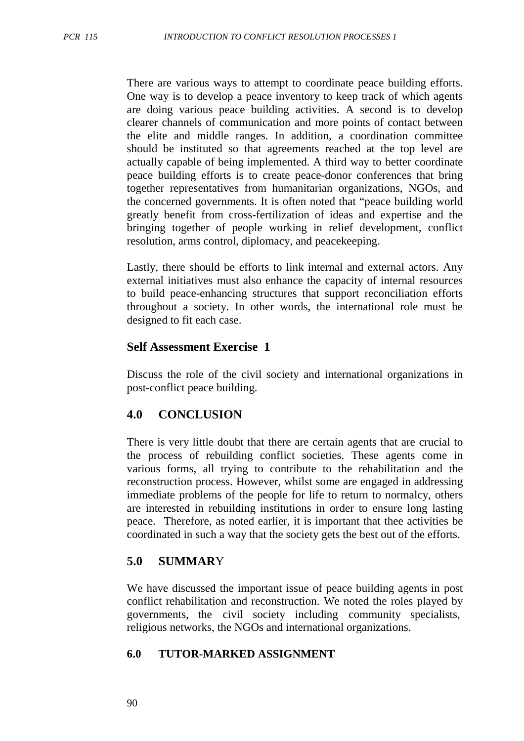There are various ways to attempt to coordinate peace building efforts. One way is to develop a peace inventory to keep track of which agents are doing various peace building activities. A second is to develop clearer channels of communication and more points of contact between the elite and middle ranges. In addition, a coordination committee should be instituted so that agreements reached at the top level are actually capable of being implemented. A third way to better coordinate peace building efforts is to create peace-donor conferences that bring together representatives from humanitarian organizations, NGOs, and the concerned governments. It is often noted that "peace building world greatly benefit from cross-fertilization of ideas and expertise and the bringing together of people working in relief development, conflict resolution, arms control, diplomacy, and peacekeeping.

Lastly, there should be efforts to link internal and external actors. Any external initiatives must also enhance the capacity of internal resources to build peace-enhancing structures that support reconciliation efforts throughout a society. In other words, the international role must be designed to fit each case.

#### **Self Assessment Exercise 1**

Discuss the role of the civil society and international organizations in post-conflict peace building.

# **4.0 CONCLUSION**

There is very little doubt that there are certain agents that are crucial to the process of rebuilding conflict societies. These agents come in various forms, all trying to contribute to the rehabilitation and the reconstruction process. However, whilst some are engaged in addressing immediate problems of the people for life to return to normalcy, others are interested in rebuilding institutions in order to ensure long lasting peace. Therefore, as noted earlier, it is important that thee activities be coordinated in such a way that the society gets the best out of the efforts.

# **5.0 SUMMAR**Y

We have discussed the important issue of peace building agents in post conflict rehabilitation and reconstruction. We noted the roles played by governments, the civil society including community specialists, religious networks, the NGOs and international organizations.

#### **6.0 TUTOR-MARKED ASSIGNMENT**